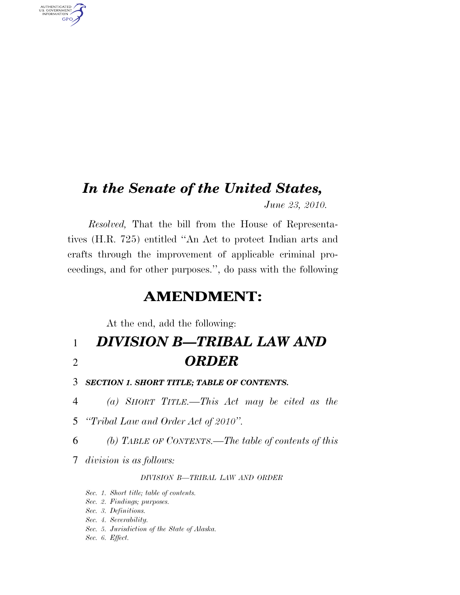# *In the Senate of the United States,*

*June 23, 2010.* 

*Resolved,* That the bill from the House of Representatives (H.R. 725) entitled ''An Act to protect Indian arts and crafts through the improvement of applicable criminal proceedings, and for other purposes.'', do pass with the following

## **AMENDMENT:**

At the end, add the following:

## 1 *DIVISION B—TRIBAL LAW AND*  2 *ORDER*

- 3 *SECTION 1. SHORT TITLE; TABLE OF CONTENTS.*
- 4 *(a) SHORT TITLE.—This Act may be cited as the*
- 5 *''Tribal Law and Order Act of 2010''.*
- 6 *(b) TABLE OF CONTENTS.—The table of contents of this*
- 7 *division is as follows:*

AUTHENTICATED<br>U.S. GOVERNMENT<br>INFORMATION **GPO** 

### *DIVISION B—TRIBAL LAW AND ORDER*

- *Sec. 1. Short title; table of contents.*
- *Sec. 2. Findings; purposes.*
- *Sec. 3. Definitions.*
- *Sec. 4. Severability.*
- *Sec. 5. Jurisdiction of the State of Alaska.*
- *Sec. 6. Effect.*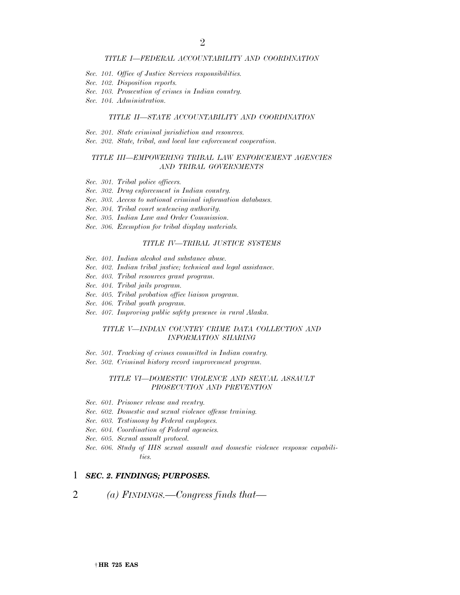#### *TITLE I—FEDERAL ACCOUNTABILITY AND COORDINATION*

- *Sec. 101. Office of Justice Services responsibilities.*
- *Sec. 102. Disposition reports.*
- *Sec. 103. Prosecution of crimes in Indian country.*
- *Sec. 104. Administration.*

#### *TITLE II—STATE ACCOUNTABILITY AND COORDINATION*

- *Sec. 201. State criminal jurisdiction and resources.*
- *Sec. 202. State, tribal, and local law enforcement cooperation.*

#### *TITLE III—EMPOWERING TRIBAL LAW ENFORCEMENT AGENCIES AND TRIBAL GOVERNMENTS*

- *Sec. 301. Tribal police officers.*
- *Sec. 302. Drug enforcement in Indian country.*
- *Sec. 303. Access to national criminal information databases.*
- *Sec. 304. Tribal court sentencing authority.*
- *Sec. 305. Indian Law and Order Commission.*
- *Sec. 306. Exemption for tribal display materials.*

#### *TITLE IV—TRIBAL JUSTICE SYSTEMS*

- *Sec. 401. Indian alcohol and substance abuse.*
- *Sec. 402. Indian tribal justice; technical and legal assistance.*
- *Sec. 403. Tribal resources grant program.*
- *Sec. 404. Tribal jails program.*
- *Sec. 405. Tribal probation office liaison program.*
- *Sec. 406. Tribal youth program.*
- *Sec. 407. Improving public safety presence in rural Alaska.*

#### *TITLE V—INDIAN COUNTRY CRIME DATA COLLECTION AND INFORMATION SHARING*

- *Sec. 501. Tracking of crimes committed in Indian country.*
- *Sec. 502. Criminal history record improvement program.*

#### *TITLE VI—DOMESTIC VIOLENCE AND SEXUAL ASSAULT PROSECUTION AND PREVENTION*

- *Sec. 601. Prisoner release and reentry.*
- *Sec. 602. Domestic and sexual violence offense training.*
- *Sec. 603. Testimony by Federal employees.*
- *Sec. 604. Coordination of Federal agencies.*
- *Sec. 605. Sexual assault protocol.*
- *Sec. 606. Study of IHS sexual assault and domestic violence response capabilities.*

#### 1 *SEC. 2. FINDINGS; PURPOSES.*

2 *(a) FINDINGS.—Congress finds that—*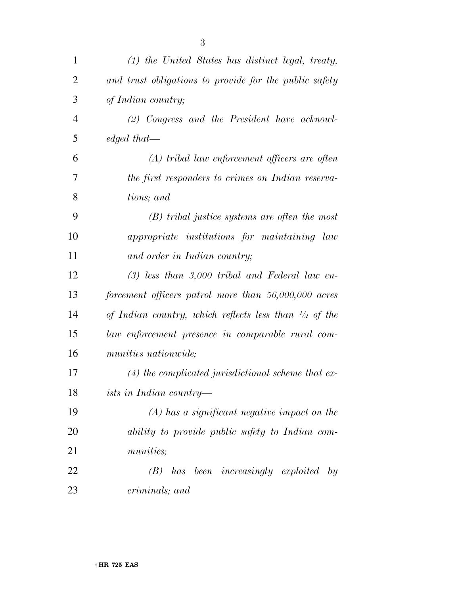| $\mathbf{1}$   | $(1)$ the United States has distinct legal, treaty,              |
|----------------|------------------------------------------------------------------|
| $\overline{2}$ | and trust obligations to provide for the public safety           |
| 3              | of Indian country;                                               |
| 4              | (2) Congress and the President have acknowl-                     |
| 5              | edged that—                                                      |
| 6              | $(A)$ tribal law enforcement officers are often                  |
| 7              | the first responders to crimes on Indian reserva-                |
| 8              | tions; and                                                       |
| 9              | $(B)$ tribal justice systems are often the most                  |
| 10             | appropriate institutions for maintaining law                     |
| 11             | and order in Indian country;                                     |
| 12             | $(3)$ less than 3,000 tribal and Federal law en-                 |
| 13             | forcement officers patrol more than $56,000,000$ acres           |
| 14             | of Indian country, which reflects less than $\frac{1}{2}$ of the |
| 15             | law enforcement presence in comparable rural com-                |
| 16             | <i>munities nationwide</i> ;                                     |
| 17             | $(4)$ the complicated jurisdictional scheme that ex-             |
| 18             | ists in Indian country—                                          |
| 19             | $(A)$ has a significant negative impact on the                   |
| 20             | ability to provide public safety to Indian com-                  |
| 21             | <i>munities</i> ;                                                |
| 22             | $(B)$ has been increasingly exploited<br>by                      |
| 23             | criminals; and                                                   |
|                |                                                                  |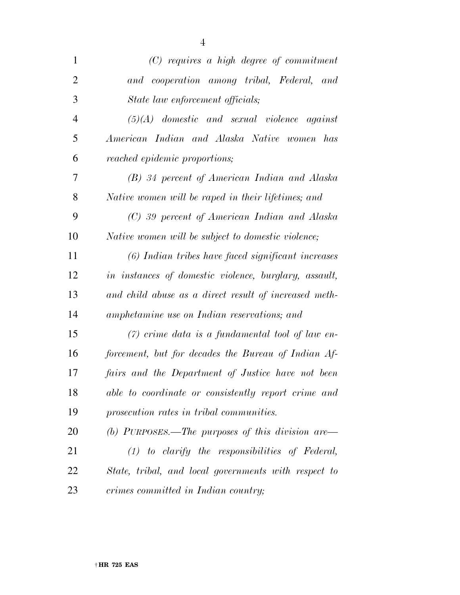| $\mathbf{1}$   | $(C)$ requires a high degree of commitment            |
|----------------|-------------------------------------------------------|
| $\overline{2}$ | and cooperation among tribal, Federal, and            |
| 3              | State law enforcement officials;                      |
| $\overline{4}$ | $(5)(A)$ domestic and sexual violence against         |
| 5              | American Indian and Alaska Native women has           |
| 6              | reached epidemic proportions;                         |
| 7              | (B) 34 percent of American Indian and Alaska          |
| 8              | Native women will be raped in their lifetimes; and    |
| 9              | (C) 39 percent of American Indian and Alaska          |
| 10             | Native women will be subject to domestic violence;    |
| 11             | (6) Indian tribes have faced significant increases    |
| 12             | in instances of domestic violence, burglary, assault, |
| 13             | and child abuse as a direct result of increased meth- |
| 14             | amphetamine use on Indian reservations; and           |
| 15             | $(7)$ crime data is a fundamental tool of law en-     |
| 16             | forcement, but for decades the Bureau of Indian Af-   |
| 17             | fairs and the Department of Justice have not been     |
| 18             | able to coordinate or consistently report crime and   |
| 19             | prosecution rates in tribal communities.              |
| 20             | (b) PURPOSES.—The purposes of this division are—      |
| 21             | $(1)$ to clarify the responsibilities of Federal,     |
| 22             | State, tribal, and local governments with respect to  |
| 23             | crimes committed in Indian country;                   |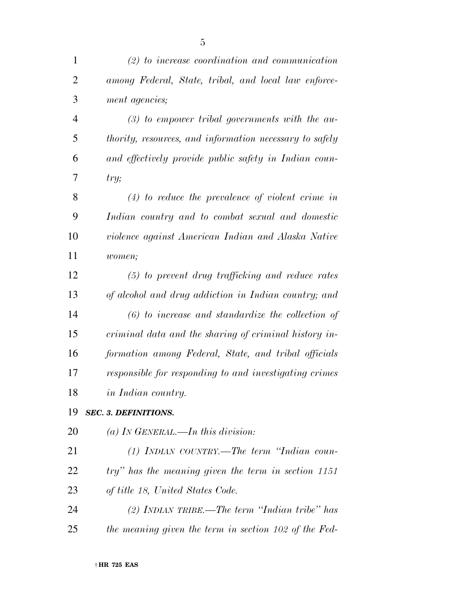| $\mathbf{1}$   | $(2)$ to increase coordination and communication        |
|----------------|---------------------------------------------------------|
| $\overline{2}$ | among Federal, State, tribal, and local law enforce-    |
| 3              | ment agencies;                                          |
| $\overline{4}$ | $(3)$ to empower tribal governments with the au-        |
| 5              | thority, resources, and information necessary to safely |
| 6              | and effectively provide public safety in Indian coun-   |
| 7              | try;                                                    |
| 8              | $(4)$ to reduce the prevalence of violent crime in      |
| 9              | Indian country and to combat sexual and domestic        |
| 10             | violence against American Indian and Alaska Native      |
| 11             | women;                                                  |
| 12             | $(5)$ to prevent drug trafficking and reduce rates      |
| 13             | of alcohol and drug addiction in Indian country; and    |
| 14             | $(6)$ to increase and standardize the collection of     |
| 15             | criminal data and the sharing of criminal history in-   |
| 16             | formation among Federal, State, and tribal officials    |
| 17             | responsible for responding to and investigating crimes  |
| 18             | <i>in Indian country.</i>                               |
| 19             | <b>SEC. 3. DEFINITIONS.</b>                             |
| 20             | (a) IN GENERAL.—In this division:                       |
| 21             | $(1)$ INDIAN COUNTRY.—The term "Indian coun-            |
| 22             | try" has the meaning given the term in section 1151     |
| 23             | of title 18, United States Code.                        |
| 24             | (2) INDIAN TRIBE.—The term "Indian tribe" has           |
| 25             | the meaning given the term in section 102 of the Fed-   |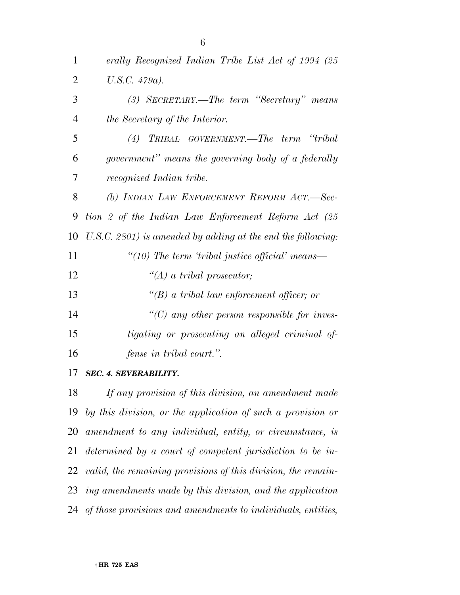| $\mathbf{1}$   | erally Recognized Indian Tribe List Act of 1994 (25            |
|----------------|----------------------------------------------------------------|
| $\overline{2}$ | $U.S.C. 479a)$ .                                               |
| 3              | (3) SECRETARY.—The term "Secretary" means                      |
| $\overline{4}$ | the Secretary of the Interior.                                 |
| 5              | TRIBAL GOVERNMENT.—The term "tribal"<br>(4)                    |
| 6              | government" means the governing body of a federally            |
| 7              | recognized Indian tribe.                                       |
| 8              | (b) INDIAN LAW ENFORCEMENT REFORM ACT.-Sec-                    |
| 9              | tion 2 of the Indian Law Enforcement Reform Act (25            |
| 10             | $U.S.C. 2801$ ) is amended by adding at the end the following: |
| 11             | "(10) The term 'tribal justice official' means—                |
| 12             | $\lq\lq (A)$ a tribal prosecutor;                              |
| 13             | $\lq\lq(B)$ a tribal law enforcement officer; or               |
| 14             | $\lq\lq$ any other person responsible for inves-               |
| 15             | <i>tigating or prosecuting an alleged criminal of-</i>         |
| 16             | <i>fense in tribal court.</i> ".                               |
| 17             | $CFA$ <i>A</i> $CATEF$ <i>A DIT UNIT</i>                       |

*SEC. 4. SEVERABILITY.* 

 *If any provision of this division, an amendment made by this division, or the application of such a provision or amendment to any individual, entity, or circumstance, is determined by a court of competent jurisdiction to be in- valid, the remaining provisions of this division, the remain- ing amendments made by this division, and the application of those provisions and amendments to individuals, entities,*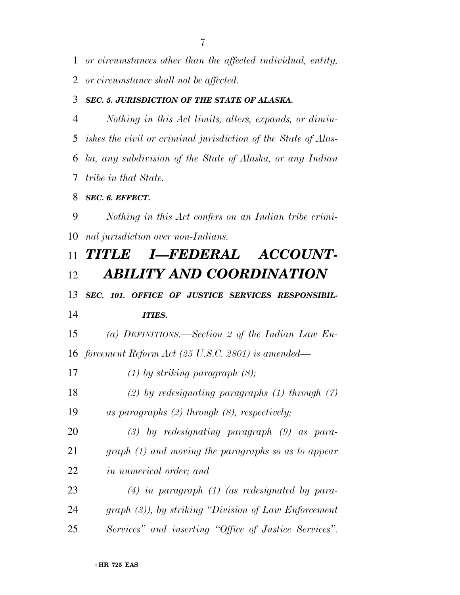*or circumstances other than the affected individual, entity,* 

*or circumstance shall not be affected.* 

### *SEC. 5. JURISDICTION OF THE STATE OF ALASKA.*

 *Nothing in this Act limits, alters, expands, or dimin- ishes the civil or criminal jurisdiction of the State of Alas- ka, any subdivision of the State of Alaska, or any Indian tribe in that State.* 

### *SEC. 6. EFFECT.*

 *Nothing in this Act confers on an Indian tribe crimi-nal jurisdiction over non-Indians.* 

## *TITLE I—FEDERAL ACCOUNT-ABILITY AND COORDINATION*

# *SEC. 101. OFFICE OF JUSTICE SERVICES RESPONSIBIL-*

## *ITIES.*

 *(a) DEFINITIONS.—Section 2 of the Indian Law En-forcement Reform Act (25 U.S.C. 2801) is amended—* 

*(1) by striking paragraph (8);* 

*(2) by redesignating paragraphs (1) through (7)* 

*as paragraphs (2) through (8), respectively;* 

 *(3) by redesignating paragraph (9) as para- graph (1) and moving the paragraphs so as to appear in numerical order; and* 

 *(4) in paragraph (1) (as redesignated by para- graph (3)), by striking ''Division of Law Enforcement Services'' and inserting ''Office of Justice Services''.*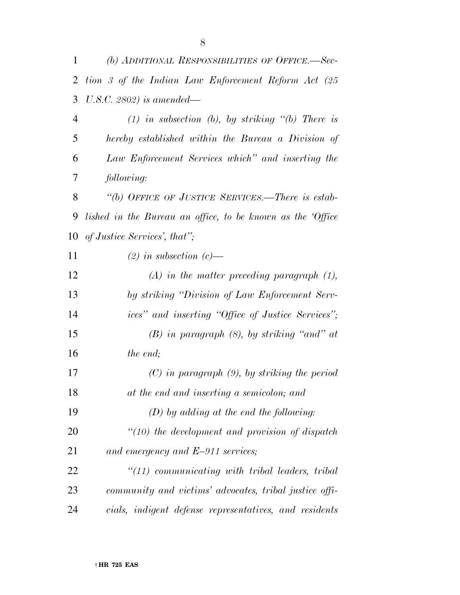| 1              | (b) ADDITIONAL RESPONSIBILITIES OF OFFICE.—Sec-            |
|----------------|------------------------------------------------------------|
| $\overline{2}$ | tion 3 of the Indian Law Enforcement Reform Act (25        |
| 3              | U.S.C. 2802) is amended—                                   |
| $\overline{4}$ | $(1)$ in subsection (b), by striking "(b) There is         |
| 5              | hereby established within the Bureau a Division of         |
| 6              | Law Enforcement Services which" and inserting the          |
| 7              | following:                                                 |
| 8              | "(b) OFFICE OF JUSTICE SERVICES.—There is estab-           |
| 9              | lished in the Bureau an office, to be known as the 'Office |
| 10             | of Justice Services', that";                               |
| 11             | $(2)$ in subsection $(c)$ —                                |
| 12             | $(A)$ in the matter preceding paragraph $(1)$ ,            |
| 13             | by striking "Division of Law Enforcement Serv-             |
| 14             | ices" and inserting "Office of Justice Services";          |
| 15             | $(B)$ in paragraph $(8)$ , by striking "and" at            |
| 16             | the end;                                                   |
| 17             | $(C)$ in paragraph $(9)$ , by striking the period          |
| 18             | at the end and inserting a semicolon; and                  |
| 19             | $(D)$ by adding at the end the following:                  |
| 20             | $\lq(10)$ the development and provision of dispatch        |
| 21             | and emergency and $E-911$ services;                        |
| 22             | $\lq(11)$ communicating with tribal leaders, tribal        |
| 23             | community and victims' advocates, tribal justice offi-     |
| 24             | cials, indigent defense representatives, and residents     |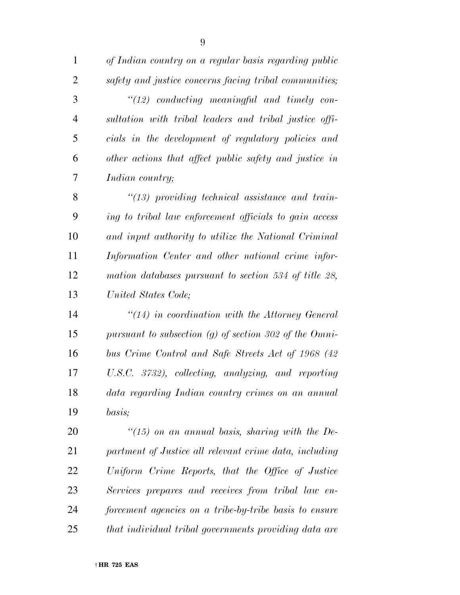*of Indian country on a regular basis regarding public safety and justice concerns facing tribal communities; ''(12) conducting meaningful and timely con- sultation with tribal leaders and tribal justice offi- cials in the development of regulatory policies and other actions that affect public safety and justice in Indian country; ''(13) providing technical assistance and train-*

 *ing to tribal law enforcement officials to gain access and input authority to utilize the National Criminal Information Center and other national crime infor- mation databases pursuant to section 534 of title 28, United States Code;* 

 *''(14) in coordination with the Attorney General pursuant to subsection (g) of section 302 of the Omni- bus Crime Control and Safe Streets Act of 1968 (42 U.S.C. 3732), collecting, analyzing, and reporting data regarding Indian country crimes on an annual basis;* 

 *''(15) on an annual basis, sharing with the De- partment of Justice all relevant crime data, including Uniform Crime Reports, that the Office of Justice Services prepares and receives from tribal law en- forcement agencies on a tribe-by-tribe basis to ensure that individual tribal governments providing data are*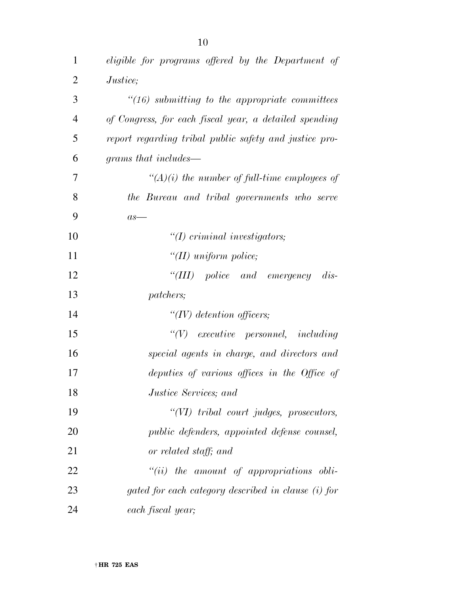| $\mathbf 1$    | eligible for programs offered by the Department of                                                                                                                                                                                                                                                      |
|----------------|---------------------------------------------------------------------------------------------------------------------------------------------------------------------------------------------------------------------------------------------------------------------------------------------------------|
| $\overline{2}$ | <i>Justice</i> ;                                                                                                                                                                                                                                                                                        |
| 3              | $"(16)$ submitting to the appropriate committees                                                                                                                                                                                                                                                        |
| $\overline{4}$ | of Congress, for each fiscal year, a detailed spending                                                                                                                                                                                                                                                  |
| 5              | report regarding tribal public safety and justice pro-                                                                                                                                                                                                                                                  |
| 6              | grams that includes—                                                                                                                                                                                                                                                                                    |
| 7              | $\lq (A)(i)$ the number of full-time employees of                                                                                                                                                                                                                                                       |
| 8              | the Bureau and tribal governments who serve                                                                                                                                                                                                                                                             |
| 9              | $as-$                                                                                                                                                                                                                                                                                                   |
| 10             | $\lq (I) \lq (I) \rq (I) \rq (I) \rq (I) \rq (I) \rq (I) \rq (I) \rq (I) \rq (I) \rq (I) \rq (I) \rq (I) \rq (I) \rq (I) \rq (I) \rq (I) \rq (I) \rq (I) \rq (I) \rq (I) \rq (I) \rq (I) \rq (I) \rq (I) \rq (I) \rq (I) \rq (I) \rq (I) \rq (I) \rq (I) \rq (I) \rq (I) \rq (I) \rq (I) \rq (I) \rq ($ |
| 11             | "(II) uniform police;                                                                                                                                                                                                                                                                                   |
| 12             | "(III) police and emergency<br>$dis-$                                                                                                                                                                                                                                                                   |
| 13             | patchers;                                                                                                                                                                                                                                                                                               |
| 14             | $\lq\lq (IV)$ detention officers;                                                                                                                                                                                                                                                                       |
| 15             | $``(V)$ executive personnel, including                                                                                                                                                                                                                                                                  |
| 16             | special agents in charge, and directors and                                                                                                                                                                                                                                                             |
| 17             | deputies of various offices in the Office of                                                                                                                                                                                                                                                            |
| 18             | Justice Services; and                                                                                                                                                                                                                                                                                   |
| 19             | $``(VI)$ tribal court judges, prosecutors,                                                                                                                                                                                                                                                              |
| 20             | public defenders, appointed defense counsel,                                                                                                                                                                                                                                                            |
| 21             | or related staff; and                                                                                                                                                                                                                                                                                   |
| 22             | $``(ii)$ the amount of appropriations obli-                                                                                                                                                                                                                                                             |
| 23             | gated for each category described in clause (i) for                                                                                                                                                                                                                                                     |
| 24             | each fiscal year;                                                                                                                                                                                                                                                                                       |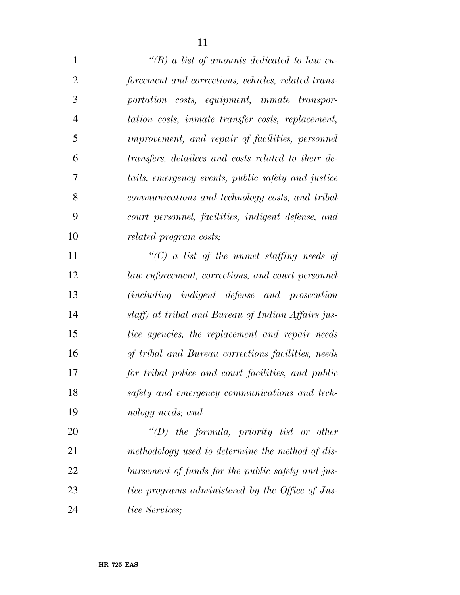| $\mathbf{1}$   | "(B) a list of amounts dedicated to law en-         |
|----------------|-----------------------------------------------------|
| $\overline{2}$ | forcement and corrections, vehicles, related trans- |
| 3              | portation costs, equipment, inmate transpor-        |
| $\overline{4}$ | tation costs, inmate transfer costs, replacement,   |
| 5              | improvement, and repair of facilities, personnel    |
| 6              | transfers, detailees and costs related to their de- |
| 7              | tails, emergency events, public safety and justice  |
| 8              | communications and technology costs, and tribal     |
| 9              | court personnel, facilities, indigent defense, and  |
| 10             | <i>related program costs;</i>                       |
| 11             | "(C) a list of the unmet staffing needs of          |
| 12             | law enforcement, corrections, and court personnel   |
| 13             | (including indigent defense and prosecution         |
| 14             | staff) at tribal and Bureau of Indian Affairs jus-  |
| 15             | tice agencies, the replacement and repair needs     |
| 16             | of tribal and Bureau corrections facilities, needs  |
| 17             | for tribal police and court facilities, and public  |
| 18             | safety and emergency communications and tech-       |
| 19             | nology needs; and                                   |
| 20             | $\lq\lq D$ the formula, priority list or other      |
| 21             | methodology used to determine the method of dis-    |
| 22             | bursement of funds for the public safety and jus-   |
| 23             | tice programs administered by the Office of Jus-    |
| 24             | tice Services;                                      |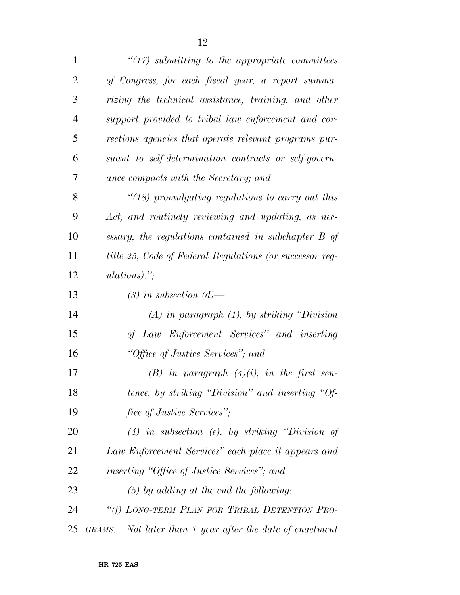| $\mathbf{1}$   | $\lq(17)$ submitting to the appropriate committees       |
|----------------|----------------------------------------------------------|
| $\overline{2}$ | of Congress, for each fiscal year, a report summa-       |
| 3              | rizing the technical assistance, training, and other     |
| $\overline{4}$ | support provided to tribal law enforcement and cor-      |
| 5              | rections agencies that operate relevant programs pur-    |
| 6              | suant to self-determination contracts or self-govern-    |
| 7              | ance compacts with the Secretary; and                    |
| 8              | " $(18)$ promulgating regulations to carry out this      |
| 9              | Act, and routinely reviewing and updating, as nec-       |
| 10             | essary, the regulations contained in subchapter B of     |
| 11             | title 25, Code of Federal Regulations (or successor reg- |
| 12             | $ulations).$ ";                                          |
| 13             | $(3)$ in subsection $(d)$ —                              |
| 14             | $(A)$ in paragraph $(1)$ , by striking "Division"        |
| 15             | of Law Enforcement Services" and inserting               |
| 16             | "Office of Justice Services"; and                        |
| 17             | $(B)$ in paragraph $(4)(i)$ , in the first sen-          |
| 18             | tence, by striking "Division" and inserting "Of-         |
| 19             | fice of Justice Services";                               |
| 20             | $(4)$ in subsection (e), by striking "Division of        |
| 21             | Law Enforcement Services" each place it appears and      |
| 22             | <i>inserting "Office of Justice Services"</i> ; and      |
| 23             | $(5)$ by adding at the end the following:                |
| 24             | "(f) LONG-TERM PLAN FOR TRIBAL DETENTION PRO-            |
| 25             | GRAMS.—Not later than 1 year after the date of enactment |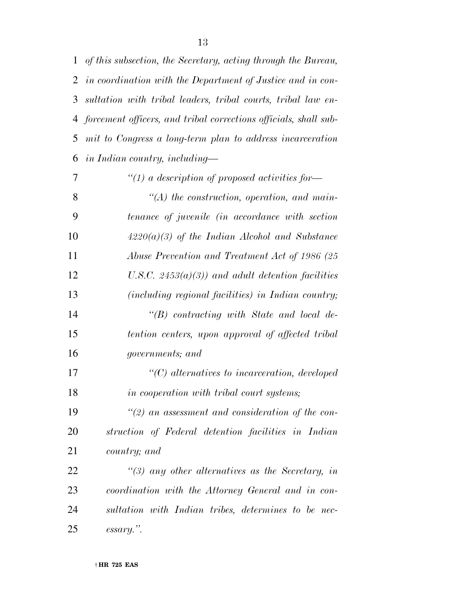| $\mathbf{1}$ | of this subsection, the Secretary, acting through the Bureau,    |
|--------------|------------------------------------------------------------------|
| 2            | in coordination with the Department of Justice and in con-       |
| 3            | sultation with tribal leaders, tribal courts, tribal law en-     |
| 4            | forcement officers, and tribal corrections officials, shall sub- |
| 5            | mit to Congress a long-term plan to address incarceration        |
| 6            | in Indian country, including—                                    |
| 7            | "(1) a description of proposed activities for-                   |
| 8            | $\lq (A)$ the construction, operation, and main-                 |
| 9            | tenance of juvenile (in accordance with section                  |
| 10           | $4220(a)(3)$ of the Indian Alcohol and Substance                 |
| 11           | Abuse Prevention and Treatment Act of 1986 (25                   |
| 12           | U.S.C. $2453(a)(3)$ and adult detention facilities               |
| 13           | (including regional facilities) in Indian country;               |
| 14           | $\lq\lq(B)$ contracting with State and local de-                 |
| 15           | tention centers, upon approval of affected tribal                |
| 16           | governments; and                                                 |
| 17           | $\lq (C)$ alternatives to incarceration, developed               |
| 18           | in cooperation with tribal court systems;                        |
| 19           | $\lq(2)$ an assessment and consideration of the con-             |
| <b>20</b>    | struction of Federal detention facilities in Indian              |
| 21           | country; and                                                     |
| 22           | $\lq(3)$ any other alternatives as the Secretary, in             |
| 23           | coordination with the Attorney General and in con-               |
| 24           | sultation with Indian tribes, determines to be nec-              |

† **HR 725 EAS** 

*essary.''.*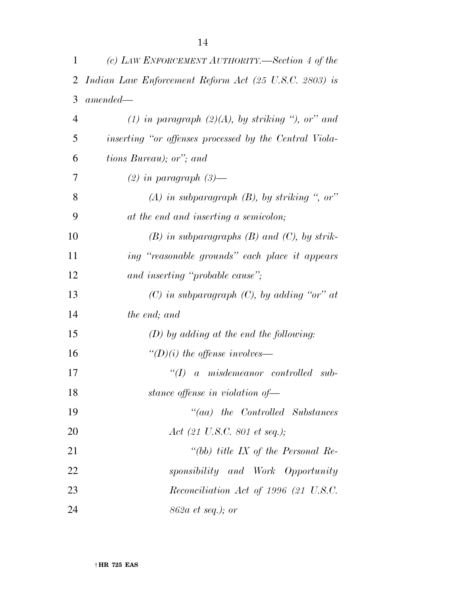| 1              | (c) LAW ENFORCEMENT AUTHORITY.—Section 4 of the        |
|----------------|--------------------------------------------------------|
| 2              | Indian Law Enforcement Reform Act (25 U.S.C. 2803) is  |
| 3              | $amended-$                                             |
| $\overline{4}$ | (1) in paragraph $(2)(A)$ , by striking ", or" and     |
| 5              | inserting "or offenses processed by the Central Viola- |
| 6              | tions Bureau); or"; and                                |
| 7              | $(2)$ in paragraph $(3)$ —                             |
| 8              | $(A)$ in subparagraph $(B)$ , by striking ", or"       |
| 9              | at the end and inserting a semicolon;                  |
| 10             | $(B)$ in subparagraphs $(B)$ and $(C)$ , by strik-     |
| 11             | ing "reasonable grounds" each place it appears         |
| 12             | and inserting "probable cause";                        |
| 13             | $(C)$ in subparagraph $(C)$ , by adding "or" at        |
| 14             | the end; and                                           |
| 15             | $(D)$ by adding at the end the following:              |
| 16             | "(D)(i) the offense involves—                          |
| 17             | a misdemeanor controlled sub-<br>$\lq(T)$              |
| 18             | stance offense in violation of-                        |
| 19             | $``(aa)$ the Controlled Substances                     |
| 20             | Act (21 U.S.C. 801 et seq.);                           |
| 21             | "(bb) title IX of the Personal Re-                     |
| 22             | sponsibility and Work Opportunity                      |
| 23             | Reconciliation Act of 1996 (21 U.S.C.                  |
| 24             | 862a et seq.); or                                      |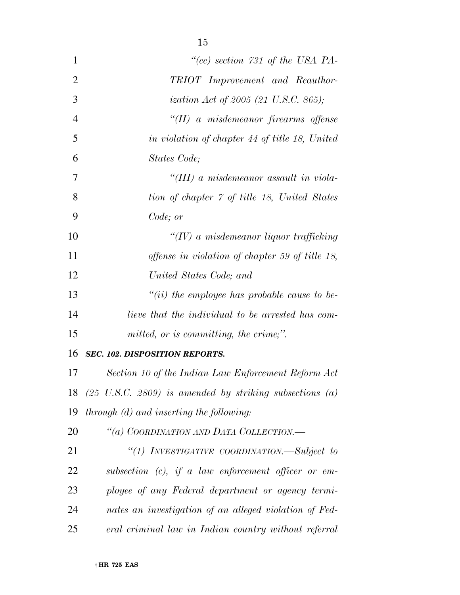| 1              | "(cc) section $731$ of the USA PA-                                 |
|----------------|--------------------------------------------------------------------|
| $\overline{2}$ | TRIOT Improvement and Reauthor-                                    |
| 3              | ization Act of 2005 (21 U.S.C. 865);                               |
| $\overline{4}$ | $\lq\lq (II)$ a misdemeanor firearms offense                       |
| 5              | in violation of chapter 44 of title 18, United                     |
| 6              | States Code;                                                       |
| 7              | "(III) a misdemeanor assault in viola-                             |
| 8              | tion of chapter 7 of title 18, United States                       |
| 9              | Code; or                                                           |
| 10             | $\lq (IV)$ a misdemeanor liquor trafficking                        |
| 11             | offense in violation of chapter 59 of title 18,                    |
| 12             | United States Code; and                                            |
| 13             | "(ii) the employee has probable cause to be-                       |
| 14             | lieve that the individual to be arrested has com-                  |
| 15             | mitted, or is committing, the crime;".                             |
| 16             | <b>SEC. 102. DISPOSITION REPORTS.</b>                              |
| 17             | Section 10 of the Indian Law Enforcement Reform Act                |
| 18             | $(25 \text{ U.S.C. } 2809)$ is amended by striking subsections (a) |
| 19             | <i>through (d) and inserting the following:</i>                    |
| 20             | "(a) COORDINATION AND DATA COLLECTION.—                            |
| 21             | "(1) INVESTIGATIVE COORDINATION.—Subject to                        |
| 22             | subsection $(c)$ , if a law enforcement officer or em-             |
| 23             | ployee of any Federal department or agency termi-                  |
| 24             | nates an investigation of an alleged violation of Fed-             |
| 25             | eral criminal law in Indian country without referral               |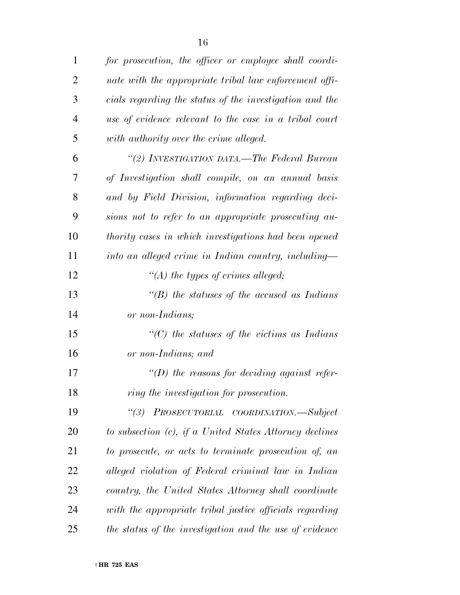| $\mathbf{1}$   | for prosecution, the officer or employee shall coordi-  |
|----------------|---------------------------------------------------------|
| $\overline{2}$ | nate with the appropriate tribal law enforcement offi-  |
| 3              | cials regarding the status of the investigation and the |
| $\overline{4}$ | use of evidence relevant to the case in a tribal court  |
| 5              | with authority over the crime alleged.                  |
| 6              | "(2) INVESTIGATION DATA.—The Federal Bureau             |
| 7              | of Investigation shall compile, on an annual basis      |
| 8              | and by Field Division, information regarding deci-      |
| 9              | sions not to refer to an appropriate prosecuting au-    |
| 10             | thority cases in which investigations had been opened   |
| 11             | into an alleged crime in Indian country, including—     |
| 12             | "(A) the types of crimes alleged;                       |
| 13             | "(B) the statuses of the accused as Indians             |
| 14             | or non-Indians;                                         |
| 15             | $\lq\lq C$ the statuses of the victims as Indians       |
| 16             | or non-Indians; and                                     |
| 17             | $\lq\lq(D)$ the reasons for deciding against refer-     |
| 18             | ring the investigation for prosecution.                 |
| 19             | ``(3)<br>PROSECUTORIAL COORDINATION.-Subject            |
| 20             | to subsection (c), if a United States Attorney declines |
| 21             | to prosecute, or acts to terminate prosecution of, an   |
| 22             | alleged violation of Federal criminal law in Indian     |
| 23             | country, the United States Attorney shall coordinate    |
| 24             | with the appropriate tribal justice officials regarding |
| 25             | the status of the investigation and the use of evidence |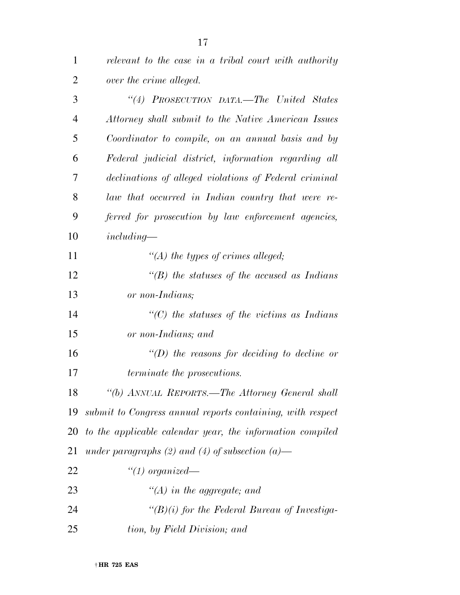| $\overline{2}$ | over the crime alleged.                                    |
|----------------|------------------------------------------------------------|
| 3              | "(4) PROSECUTION DATA.—The United States                   |
| $\overline{4}$ | Attorney shall submit to the Native American Issues        |
| 5              | Coordinator to compile, on an annual basis and by          |
| 6              | Federal judicial district, information regarding all       |
| 7              | declinations of alleged violations of Federal criminal     |
| 8              | law that occurred in Indian country that were re-          |
| 9              | ferred for prosecution by law enforcement agencies,        |
| 10             | $including-$                                               |
| 11             | "(A) the types of crimes alleged;                          |
| 12             | "(B) the statuses of the accused as Indians                |
| 13             | or non-Indians;                                            |
| 14             | " $(C)$ the statuses of the victims as Indians"            |
| 15             | or non-Indians; and                                        |
| 16             | $\lq (D)$ the reasons for deciding to decline or           |
| 17             | <i>terminate the prosecutions.</i>                         |
| 18             | "(b) ANNUAL REPORTS.—The Attorney General shall            |
| 19             | submit to Congress annual reports containing, with respect |
| 20             | to the applicable calendar year, the information compiled  |
| 21             | under paragraphs $(2)$ and $(4)$ of subsection $(a)$ —     |
| 22             | $"(1)$ organized—                                          |
| 23             | $\lq (A)$ in the aggregate; and                            |
| 24             | " $(B)(i)$ for the Federal Bureau of Investiga-            |
| 25             | tion, by Field Division; and                               |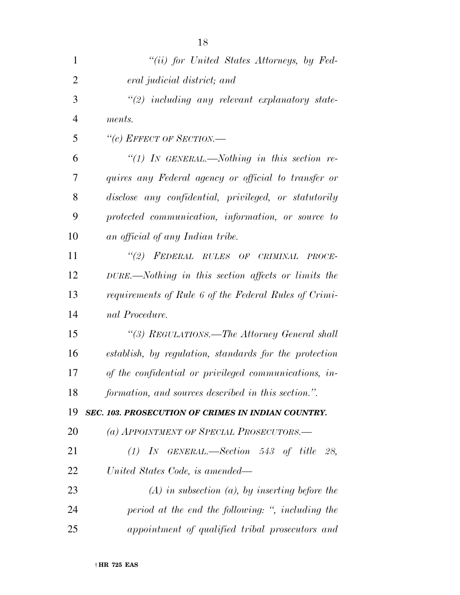| 1              | "(ii) for United States Attorneys, by Fed-             |
|----------------|--------------------------------------------------------|
| $\overline{2}$ | eral judicial district; and                            |
| 3              | $\lq(2)$ including any relevant explanatory state-     |
| $\overline{4}$ | ments.                                                 |
| 5              | "(c) EFFECT OF SECTION.—                               |
| 6              | "(1) IN GENERAL.—Nothing in this section re-           |
| 7              | quires any Federal agency or official to transfer or   |
| 8              | disclose any confidential, privileged, or statutorily  |
| 9              | protected communication, information, or source to     |
| 10             | an official of any Indian tribe.                       |
| 11             | "(2) FEDERAL RULES OF CRIMINAL PROCE-                  |
| 12             | DURE.—Nothing in this section affects or limits the    |
| 13             | requirements of Rule 6 of the Federal Rules of Crimi-  |
| 14             | nal Procedure.                                         |
| 15             | "(3) REGULATIONS.—The Attorney General shall           |
| 16             | establish, by regulation, standards for the protection |
| 17             | of the confidential or privileged communications, in-  |
| 18             | formation, and sources described in this section.".    |
| 19             | SEC. 103. PROSECUTION OF CRIMES IN INDIAN COUNTRY.     |
| 20             | (a) APPOINTMENT OF SPECIAL PROSECUTORS.—               |
| 21             | $(1)$ IN GENERAL.—Section 543 of title 28,             |
| 22             | United States Code, is amended—                        |
| 23             | $(A)$ in subsection $(a)$ , by inserting before the    |
| 24             | period at the end the following: ", including the      |
| 25             | appointment of qualified tribal prosecutors and        |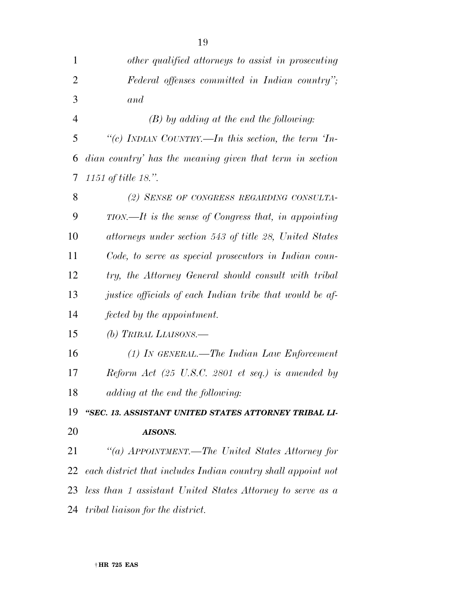| $\mathbf{1}$   | other qualified attorneys to assist in prosecuting           |
|----------------|--------------------------------------------------------------|
| $\overline{2}$ | Federal offenses committed in Indian country";               |
| 3              | and                                                          |
| $\overline{4}$ | $(B)$ by adding at the end the following:                    |
| 5              | "(c) INDIAN COUNTRY.—In this section, the term $T_{n-1}$     |
| 6              | dian country' has the meaning given that term in section     |
| 7              | 1151 of title 18.".                                          |
| 8              | (2) SENSE OF CONGRESS REGARDING CONSULTA-                    |
| 9              | $TION$ —It is the sense of Congress that, in appointing      |
| 10             | attorneys under section 543 of title 28, United States       |
| 11             | Code, to serve as special prosecutors in Indian coun-        |
| 12             | try, the Attorney General should consult with tribal         |
| 13             | justice officials of each Indian tribe that would be af-     |
| 14             | fected by the appointment.                                   |
| 15             | (b) TRIBAL LIAISONS.—                                        |
| 16             | (1) IN GENERAL.—The Indian Law Enforcement                   |
| 17             | Reform Act (25 U.S.C. 2801 et seq.) is amended by            |
| 18             | adding at the end the following:                             |
| 19             | "SEC. 13. ASSISTANT UNITED STATES ATTORNEY TRIBAL LI-        |
| 20             | AISONS.                                                      |
| 21             | "(a) APPOINTMENT.—The United States Attorney for             |
| 22             | each district that includes Indian country shall appoint not |
| 23             | less than 1 assistant United States Attorney to serve as a   |
| 24             | <i>tribal liaison for the district.</i>                      |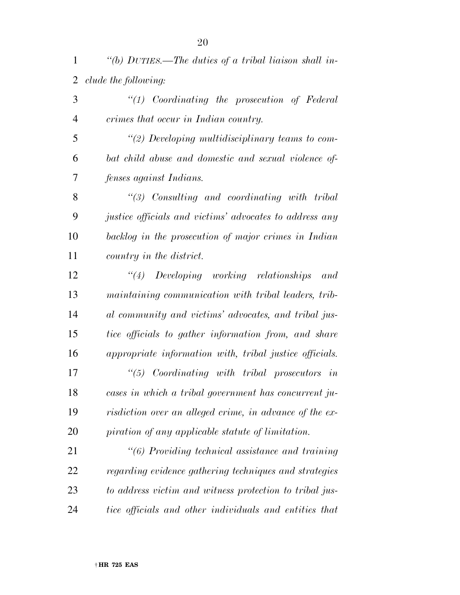*''(b) DUTIES.—The duties of a tribal liaison shall in-clude the following:* 

|          | $\lq(1)$ Coordinating the prosecution of Federal |  |  |
|----------|--------------------------------------------------|--|--|
| $\Delta$ | crimes that occur in Indian country.             |  |  |

 *''(2) Developing multidisciplinary teams to com- bat child abuse and domestic and sexual violence of-fenses against Indians.* 

 *''(3) Consulting and coordinating with tribal justice officials and victims' advocates to address any backlog in the prosecution of major crimes in Indian country in the district.* 

 *''(4) Developing working relationships and maintaining communication with tribal leaders, trib- al community and victims' advocates, and tribal jus- tice officials to gather information from, and share appropriate information with, tribal justice officials.* 

 *''(5) Coordinating with tribal prosecutors in cases in which a tribal government has concurrent ju- risdiction over an alleged crime, in advance of the ex-piration of any applicable statute of limitation.* 

 *''(6) Providing technical assistance and training regarding evidence gathering techniques and strategies to address victim and witness protection to tribal jus-tice officials and other individuals and entities that*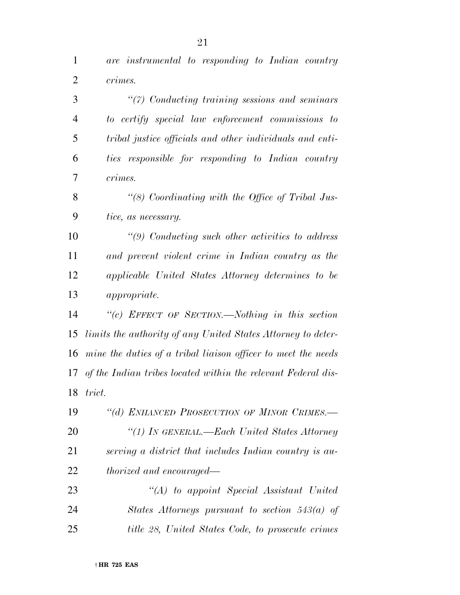*are instrumental to responding to Indian country crimes.* 

 *''(7) Conducting training sessions and seminars to certify special law enforcement commissions to tribal justice officials and other individuals and enti- ties responsible for responding to Indian country crimes.* 

 *''(8) Coordinating with the Office of Tribal Jus-tice, as necessary.* 

 *''(9) Conducting such other activities to address and prevent violent crime in Indian country as the applicable United States Attorney determines to be appropriate.* 

 *''(c) EFFECT OF SECTION.—Nothing in this section limits the authority of any United States Attorney to deter- mine the duties of a tribal liaison officer to meet the needs of the Indian tribes located within the relevant Federal dis-trict.* 

 *''(d) ENHANCED PROSECUTION OF MINOR CRIMES.— ''(1) IN GENERAL.—Each United States Attorney serving a district that includes Indian country is au-thorized and encouraged—* 

 *''(A) to appoint Special Assistant United States Attorneys pursuant to section 543(a) of title 28, United States Code, to prosecute crimes*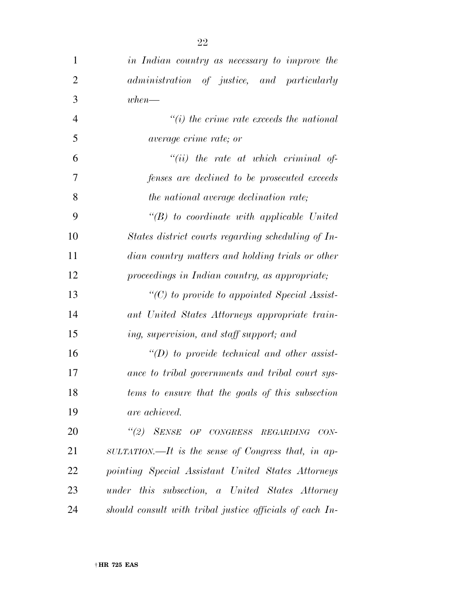| $\mathbf{1}$   | in Indian country as necessary to improve the            |
|----------------|----------------------------------------------------------|
| $\overline{2}$ | administration of justice, and particularly              |
| 3              | $when-$                                                  |
| $\overline{4}$ | $``(i)$ the crime rate exceeds the national              |
| 5              | <i>average crime rate; or</i>                            |
| 6              | $``(ii)$ the rate at which criminal of-                  |
| 7              | fenses are declined to be prosecuted exceeds             |
| 8              | the national average declination rate;                   |
| 9              | $\lq\lq B$ to coordinate with applicable United          |
| 10             | States district courts regarding scheduling of In-       |
| 11             | dian country matters and holding trials or other         |
| 12             | proceedings in Indian country, as appropriate;           |
| 13             | $"(C)$ to provide to appointed Special Assist-           |
| 14             | ant United States Attorneys appropriate train-           |
| 15             | ing, supervision, and staff support; and                 |
| 16             | $\lq\lq(D)$ to provide technical and other assist-       |
| 17             | ance to tribal governments and tribal court sys-         |
| 18             | tems to ensure that the goals of this subsection         |
| 19             | are achieved.                                            |
| 20             | "(2) SENSE OF CONGRESS REGARDING CON-                    |
| 21             | SULTATION.—It is the sense of Congress that, in ap-      |
| 22             | pointing Special Assistant United States Attorneys       |
| 23             | under this subsection, a United States Attorney          |
| 24             | should consult with tribal justice officials of each In- |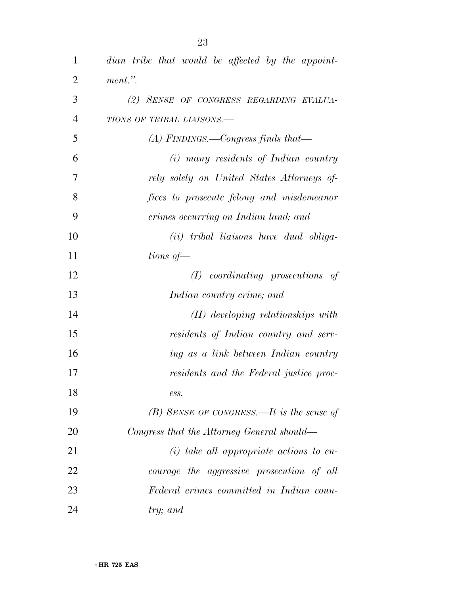| $\mathbf{1}$   | dian tribe that would be affected by the appoint- |
|----------------|---------------------------------------------------|
| 2              | ment.".                                           |
| 3              | (2) SENSE OF CONGRESS REGARDING EVALUA-           |
| $\overline{4}$ | TIONS OF TRIBAL LIAISONS.-                        |
| 5              | $(A)$ FINDINGS.—Congress finds that—              |
| 6              | $(i)$ many residents of Indian country            |
| 7              | rely solely on United States Attorneys of-        |
| 8              | fices to prosecute felony and misdemeanor         |
| 9              | crimes occurring on Indian land; and              |
| 10             | (ii) tribal liaisons have dual obliga-            |
| 11             | tions of $-$                                      |
| 12             | $(I)$ coordinating prosecutions<br>of             |
| 13             | Indian country crime; and                         |
| 14             | $(II)$ developing relationships with              |
| 15             | residents of Indian country and serv-             |
| 16             | ing as a link between Indian country              |
| 17             | residents and the Federal justice proc-           |
| 18             | ess.                                              |
| 19             | $(B)$ SENSE OF CONGRESS.—It is the sense of       |
| 20             | Congress that the Attorney General should—        |
| 21             | $(i)$ take all appropriate actions to en-         |
| 22             | courage the aggressive prosecution of all         |
| 23             | Federal crimes committed in Indian coun-          |
| 24             | try; and                                          |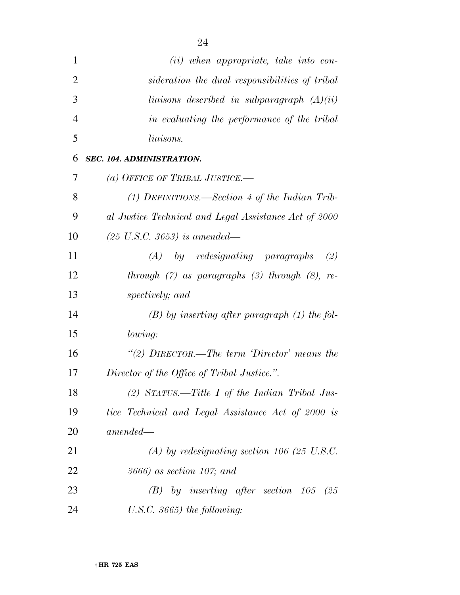| 1              | (ii) when appropriate, take into con-                 |
|----------------|-------------------------------------------------------|
| $\overline{2}$ | sideration the dual responsibilities of tribal        |
| 3              | liaisons described in subparagraph $(A)(ii)$          |
| $\overline{4}$ | in evaluating the performance of the tribal           |
| 5              | liaisons.                                             |
| 6              | SEC. 104. ADMINISTRATION.                             |
| 7              | (a) OFFICE OF TRIBAL JUSTICE.—                        |
| 8              | (1) DEFINITIONS.—Section 4 of the Indian Trib-        |
| 9              | al Justice Technical and Legal Assistance Act of 2000 |
| 10             | $(25 \text{ U.S.C. } 3653)$ is amended—               |
| 11             | $(A)$ by redesignating paragraphs<br>(2)              |
| 12             | through $(7)$ as paragraphs $(3)$ through $(8)$ , re- |
| 13             | spectively; and                                       |
| 14             | $(B)$ by inserting after paragraph $(1)$ the fol-     |
| 15             | lowing:                                               |
| 16             | "(2) $DIRECTOR$ —The term 'Director' means the        |
| 17             | Director of the Office of Tribal Justice.".           |
| 18             | (2) STATUS.—Title I of the Indian Tribal Jus-         |
| 19             | tice Technical and Legal Assistance Act of 2000 is    |
| 20             | $amended-$                                            |
| 21             | $(A)$ by redesignating section 106 (25 U.S.C.)        |
| 22             | $3666$ ) as section 107; and                          |
| 23             | by inserting after section $105$ (25)<br>(B)          |
| 24             | U.S.C. $3665$ ) the following:                        |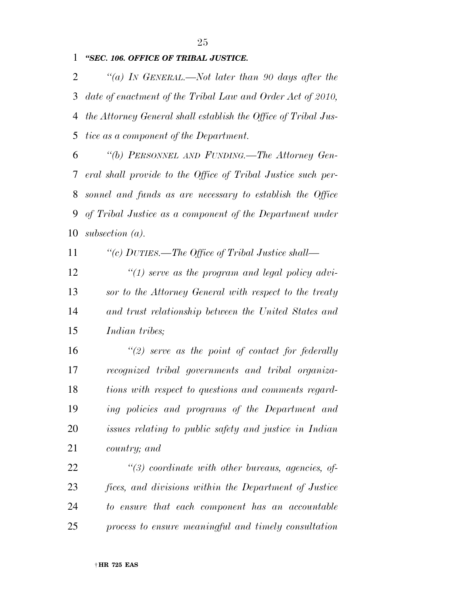*''SEC. 106. OFFICE OF TRIBAL JUSTICE.* 

 *''(a) IN GENERAL.—Not later than 90 days after the date of enactment of the Tribal Law and Order Act of 2010, the Attorney General shall establish the Office of Tribal Jus-tice as a component of the Department.* 

 *''(b) PERSONNEL AND FUNDING.—The Attorney Gen- eral shall provide to the Office of Tribal Justice such per- sonnel and funds as are necessary to establish the Office of Tribal Justice as a component of the Department under subsection (a).* 

*''(c) DUTIES.—The Office of Tribal Justice shall—* 

 *''(1) serve as the program and legal policy advi- sor to the Attorney General with respect to the treaty and trust relationship between the United States and Indian tribes;* 

 *''(2) serve as the point of contact for federally recognized tribal governments and tribal organiza- tions with respect to questions and comments regard- ing policies and programs of the Department and issues relating to public safety and justice in Indian country; and* 

 *''(3) coordinate with other bureaus, agencies, of- fices, and divisions within the Department of Justice to ensure that each component has an accountable process to ensure meaningful and timely consultation*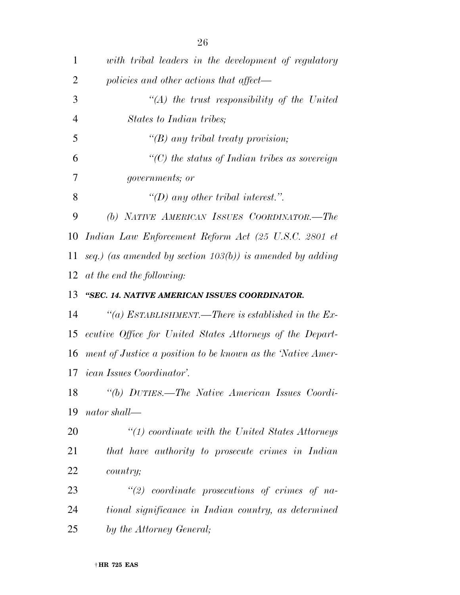| $\mathbf{1}$   | with tribal leaders in the development of regulatory         |
|----------------|--------------------------------------------------------------|
| $\overline{2}$ | policies and other actions that affect—                      |
| 3              | $\lq (A)$ the trust responsibility of the United             |
| 4              | States to Indian tribes;                                     |
| 5              | " $(B)$ any tribal treaty provision;                         |
| 6              | $\lq\lq C$ the status of Indian tribes as sovereign          |
| 7              | governments; or                                              |
| 8              | "(D) any other tribal interest.".                            |
| 9              | (b) NATIVE AMERICAN ISSUES COORDINATOR.-The                  |
| 10             | Indian Law Enforcement Reform Act (25 U.S.C. 2801 et         |
| 11             | seq.) (as amended by section $103(b)$ ) is amended by adding |
| 12             | at the end the following:                                    |
| 13             | "SEC. 14. NATIVE AMERICAN ISSUES COORDINATOR.                |
| 14             | "(a) ESTABLISHMENT.—There is established in the Ex-          |
| 15             | ecutive Office for United States Attorneys of the Depart-    |
| 16             | ment of Justice a position to be known as the 'Native Amer-  |
|                | 17 <i>ican Issues Coordinator'</i> .                         |
| 18             | "(b) DUTIES.—The Native American Issues Coordi-              |
| 19             | nator shall—                                                 |
| 20             | $\lq(1)$ coordinate with the United States Attorneys         |
| 21             | that have authority to prosecute crimes in Indian            |
| 22             | <i>country</i> ;                                             |
| 23             | $"(2)$ coordinate prosecutions of crimes of na-              |
| 24             | tional significance in Indian country, as determined         |
| 25             | by the Attorney General;                                     |
|                |                                                              |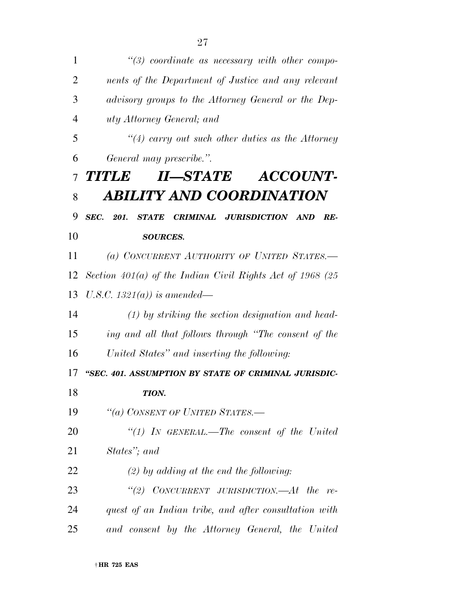| 1              | $\lq(3)$ coordinate as necessary with other compo-         |
|----------------|------------------------------------------------------------|
| $\overline{2}$ | nents of the Department of Justice and any relevant        |
| 3              | advisory groups to the Attorney General or the Dep-        |
| $\overline{4}$ | uty Attorney General; and                                  |
| 5              | $\lq(4)$ carry out such other duties as the Attorney       |
| 6              | General may prescribe.".                                   |
| $\overline{7}$ | II-STATE ACCOUNT-<br><b>TITLE</b>                          |
| 8              | <b>ABILITY AND COORDINATION</b>                            |
| 9              | <b>SEC.</b> 201.<br>STATE CRIMINAL JURISDICTION AND<br>RE- |
| 10             | <b>SOURCES.</b>                                            |
| 11             | (a) CONCURRENT AUTHORITY OF UNITED STATES.-                |
| 12             | Section 401(a) of the Indian Civil Rights Act of 1968 (25  |
| 13             | U.S.C. 1321(a)) is amended—                                |
| 14             | $(1)$ by striking the section designation and head-        |
| 15             | ing and all that follows through "The consent of the       |
| 16             | United States" and inserting the following:                |
| 17             | "SEC. 401. ASSUMPTION BY STATE OF CRIMINAL JURISDIC-       |
| 18             | TION.                                                      |
| 19             | "(a) CONSENT OF UNITED STATES.-                            |
| 20             | "(1) In GENERAL.—The consent of the United                 |
| 21             | States"; and                                               |
| 22             | $(2)$ by adding at the end the following:                  |
| 23             | "(2) $CONCURRENT$ JURISDICTION.— $At$ the<br>re            |
| 24             | quest of an Indian tribe, and after consultation with      |
| 25             | and consent by the Attorney General, the United            |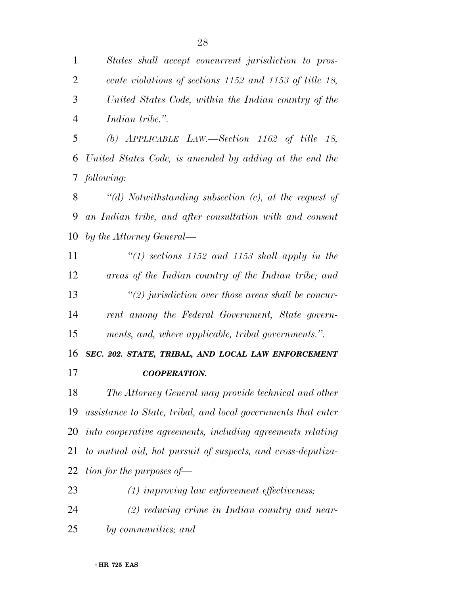*States shall accept concurrent jurisdiction to pros- ecute violations of sections 1152 and 1153 of title 18, United States Code, within the Indian country of the Indian tribe.''.* 

 *(b) APPLICABLE LAW.—Section 1162 of title 18, United States Code, is amended by adding at the end the following:* 

 *''(d) Notwithstanding subsection (c), at the request of an Indian tribe, and after consultation with and consent by the Attorney General—* 

 *''(1) sections 1152 and 1153 shall apply in the areas of the Indian country of the Indian tribe; and ''(2) jurisdiction over those areas shall be concur- rent among the Federal Government, State govern-ments, and, where applicable, tribal governments.''.* 

*SEC. 202. STATE, TRIBAL, AND LOCAL LAW ENFORCEMENT* 

### *COOPERATION.*

 *The Attorney General may provide technical and other assistance to State, tribal, and local governments that enter into cooperative agreements, including agreements relating to mutual aid, hot pursuit of suspects, and cross-deputiza-tion for the purposes of—* 

 *(1) improving law enforcement effectiveness; (2) reducing crime in Indian country and near-by communities; and*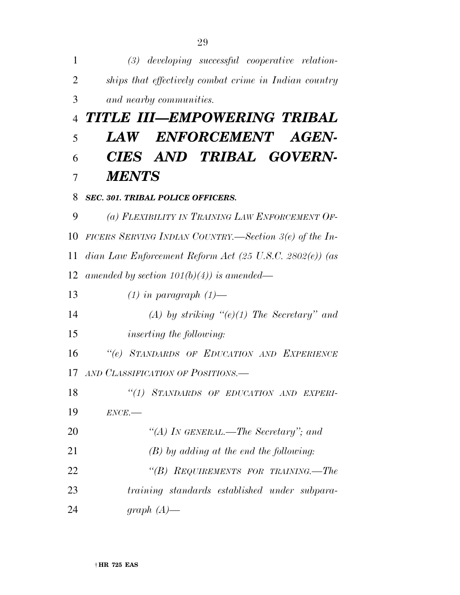| $\mathbf{1}$   | $(3)$ developing successful cooperative relation-                  |
|----------------|--------------------------------------------------------------------|
| 2              | ships that effectively combat crime in Indian country              |
| 3              | and nearby communities.                                            |
| $\overline{4}$ | TITLE III—EMPOWERING TRIBAL                                        |
| 5              | ENFORCEMENT AGEN-<br>$\bm{L}\mathbf{A}\bm{W}$                      |
| 6              | CIES AND TRIBAL GOVERN-                                            |
| 7              | <b>MENTS</b>                                                       |
| 8              | <b>SEC. 301. TRIBAL POLICE OFFICERS.</b>                           |
| 9              | (a) FLEXIBILITY IN TRAINING LAW ENFORCEMENT OF-                    |
| 10             | FICERS SERVING INDIAN COUNTRY.—Section $3(e)$ of the In-           |
| 11             | dian Law Enforcement Reform Act $(25 \text{ U.S.C. } 2802(e))$ (as |
| 12             | amended by section $101(b)(4)$ is amended—                         |
| 13             | $(1)$ in paragraph $(1)$ —                                         |
| 14             | (A) by striking " $(e)(1)$ The Secretary" and                      |
| 15             | <i>inserting the following:</i>                                    |
| 16             | "(e) STANDARDS OF EDUCATION AND EXPERIENCE                         |
| 17             | AND CLASSIFICATION OF POSITIONS.—                                  |
| 18             | "(1) STANDARDS OF EDUCATION AND EXPERI-                            |
| 19             | $ENCE$ .                                                           |
| 20             | "(A) IN GENERAL.—The Secretary"; and                               |
| 21             | $(B)$ by adding at the end the following:                          |
| 22             | "(B) REQUIREMENTS FOR TRAINING.—The                                |
| 23             | training standards established under subpara-                      |
| 24             | graph $(A)$ —                                                      |

† **HR 725 EAS**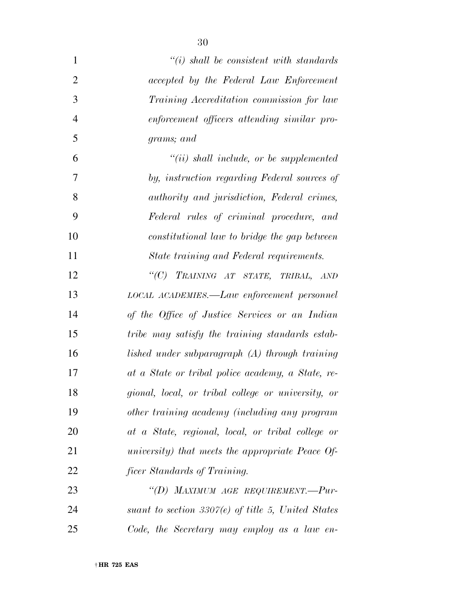| $\mathbf{1}$   | $\lq\lq(i)$ shall be consistent with standards        |
|----------------|-------------------------------------------------------|
| $\overline{2}$ | accepted by the Federal Law Enforcement               |
| 3              | Training Accreditation commission for law             |
| $\overline{4}$ | enforcement officers attending similar pro-           |
| 5              | grams; and                                            |
| 6              | $``(ii)$ shall include, or be supplemented            |
| 7              | by, instruction regarding Federal sources of          |
| 8              | authority and jurisdiction, Federal crimes,           |
| 9              | Federal rules of criminal procedure, and              |
| 10             | constitutional law to bridge the gap between          |
| 11             | State training and Federal requirements.              |
| 12             | "(C) TRAINING AT STATE, TRIBAL, AND                   |
| 13             | LOCAL ACADEMIES.—Law enforcement personnel            |
| 14             | of the Office of Justice Services or an Indian        |
| 15             | tribe may satisfy the training standards estab-       |
| 16             | lished under subparagraph (A) through training        |
| 17             | at a State or tribal police academy, a State, re-     |
| 18             | gional, local, or tribal college or university, or    |
| 19             | other training academy (including any program         |
| 20             | at a State, regional, local, or tribal college or     |
| 21             | university) that meets the appropriate Peace Of-      |
| 22             | <i>ficer Standards of Training.</i>                   |
| 23             | "(D) MAXIMUM AGE REQUIREMENT.-- $Pur$ -               |
| 24             | suant to section 3307 $(e)$ of title 5, United States |
| 25             | Code, the Secretary may employ as a law en-           |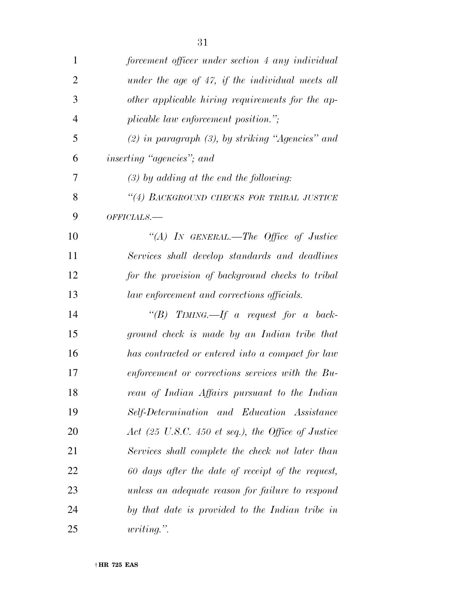| 1              | forcement officer under section 4 any individual                      |
|----------------|-----------------------------------------------------------------------|
| $\overline{2}$ | under the age of 47, if the individual meets all                      |
| 3              | other applicable hiring requirements for the ap-                      |
| 4              | plicable law enforcement position.";                                  |
| 5              | $(2)$ in paragraph $(3)$ , by striking "Agencies" and                 |
| 6              | inserting "agencies"; and                                             |
| 7              | $(3)$ by adding at the end the following:                             |
| 8              | "(4) BACKGROUND CHECKS FOR TRIBAL JUSTICE                             |
| 9              | OFFICIALS.-                                                           |
| 10             | "(A) IN GENERAL.—The Office of Justice                                |
| 11             | Services shall develop standards and deadlines                        |
| 12             | for the provision of background checks to tribal                      |
| 13             | law enforcement and corrections officials.                            |
| 14             | "(B) TIMING.—If a request for a back-                                 |
| 15             | ground check is made by an Indian tribe that                          |
| 16             | has contracted or entered into a compact for law                      |
| 17             | enforcement or corrections services with the Bu-                      |
| 18             | reau of Indian Affairs pursuant to the Indian                         |
| 19             | Self-Determination and Education Assistance                           |
| 20             | Act $(25 \text{ U.S.C. } 450 \text{ et seq.}),$ the Office of Justice |
| 21             | Services shall complete the check not later than                      |
| 22             | 60 days after the date of receipt of the request,                     |
| 23             | unless an adequate reason for failure to respond                      |
| 24             | by that date is provided to the Indian tribe in                       |
| 25             | <i>writing.</i> "                                                     |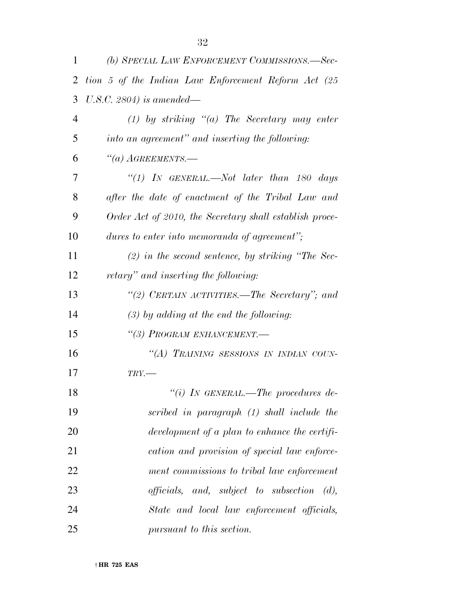| 1              | (b) SPECIAL LAW ENFORCEMENT COMMISSIONS.—Sec-                       |
|----------------|---------------------------------------------------------------------|
| 2              | tion 5 of the Indian Law Enforcement Reform Act (25                 |
| 3              | U.S.C. 2804) is amended—                                            |
| $\overline{4}$ | $(1)$ by striking " $(a)$ The Secretary may enter                   |
| 5              | into an agreement" and inserting the following:                     |
| 6              | $``(a)$ AGREEMENTS.—                                                |
| 7              | "(1) IN GENERAL.—Not later than 180 days                            |
| 8              | after the date of enactment of the Tribal Law and                   |
| 9              | Order Act of 2010, the Secretary shall establish proce-             |
| 10             | dures to enter into memoranda of agreement";                        |
| 11             | $(2)$ in the second sentence, by striking "The Sec-                 |
| 12             | retary" and inserting the following:                                |
| 13             | "(2) CERTAIN ACTIVITIES.—The Secretary"; and                        |
| 14             | $(3)$ by adding at the end the following:                           |
| 15             | "(3) PROGRAM ENHANCEMENT.-                                          |
| 16             | "(A) TRAINING SESSIONS IN INDIAN COUN-                              |
| 17             | $TRY$ .                                                             |
| 18             | "(i) IN GENERAL.—The procedures de-                                 |
| 19             | scribed in paragraph (1) shall include the                          |
| 20             | development of a plan to enhance the certifi-                       |
| 21             | cation and provision of special law enforce-                        |
| 22             | ment commissions to tribal law enforcement                          |
| 23             | <i>officials</i> , and, <i>subject</i> to <i>subsection</i><br>(d), |
| 24             | State and local law enforcement officials,                          |
| 25             | pursuant to this section.                                           |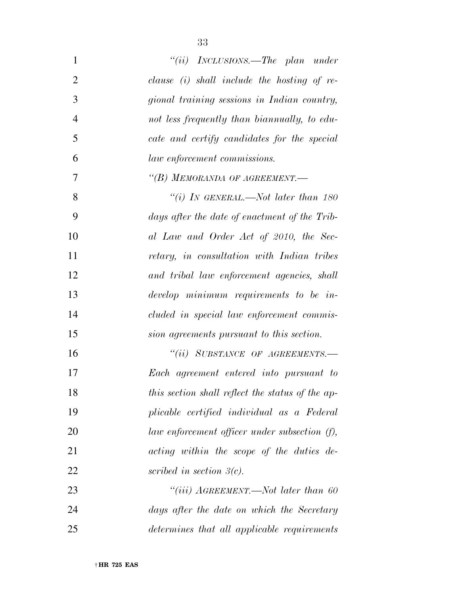| $\mathbf{1}$   | "(ii) $INCLUSIONS$ . The plan under              |
|----------------|--------------------------------------------------|
| $\overline{2}$ | clause $(i)$ shall include the hosting of re-    |
| 3              | gional training sessions in Indian country,      |
| $\overline{4}$ | not less frequently than bianmually, to edu-     |
| 5              | cate and certify candidates for the special      |
| 6              | law enforcement commissions.                     |
| 7              | "(B) MEMORANDA OF AGREEMENT.-                    |
| 8              | "(i) IN GENERAL.—Not later than $180$            |
| 9              | days after the date of enactment of the Trib-    |
| 10             | al Law and Order Act of 2010, the Sec-           |
| 11             | retary, in consultation with Indian tribes       |
| 12             | and tribal law enforcement agencies, shall       |
| 13             | develop minimum requirements to be in-           |
| 14             | cluded in special law enforcement commis-        |
| 15             | sion agreements pursuant to this section.        |
| 16             | "(ii) SUBSTANCE OF AGREEMENTS.-                  |
| 17             | Each agreement entered into pursuant to          |
| 18             | this section shall reflect the status of the ap- |
| 19             | plicable certified individual as a Federal       |
| 20             | law enforcement officer under subsection (f),    |
| 21             | acting within the scope of the duties de-        |
| 22             | scribed in section $\beta(c)$ .                  |
| 23             | "(iii) $A$ GREEMENT.—Not later than 60           |
| 24             | days after the date on which the Secretary       |
| 25             | determines that all applicable requirements      |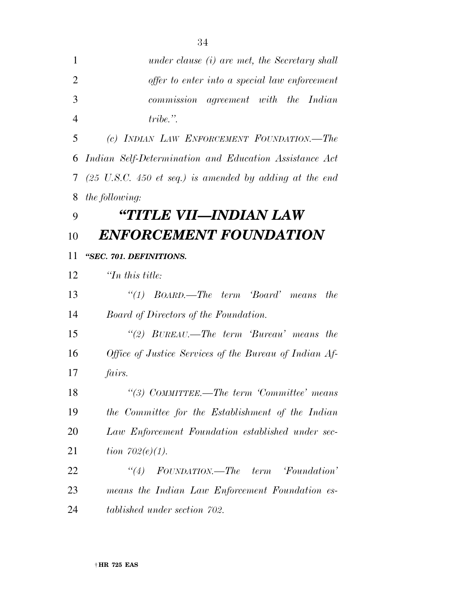|                | 34                                                                         |
|----------------|----------------------------------------------------------------------------|
| 1              | under clause (i) are met, the Secretary shall                              |
| $\overline{2}$ | offer to enter into a special law enforcement                              |
| 3              | commission agreement with the Indian                                       |
| $\overline{4}$ | $tribe.$ ".                                                                |
| 5              | (c) INDIAN LAW ENFORCEMENT FOUNDATION.—The                                 |
| 6              | Indian Self-Determination and Education Assistance Act                     |
| 7              | $(25 \text{ U.S.C. } 450 \text{ et seq.})$ is amended by adding at the end |
| 8              | <i>the following:</i>                                                      |
| 9              | "TITLE VII—INDIAN LAW                                                      |
| 10             | <b>ENFORCEMENT FOUNDATION</b>                                              |
| 11             | "SEC. 701. DEFINITIONS.                                                    |
| 12             | $\lq$ <sup>Th</sup> this title:                                            |
| 13             | "(1) $BoARD$ —The term 'Board' means<br><i>the</i>                         |
| 14             | Board of Directors of the Foundation.                                      |
| 15             | "(2) $BUREAU$ . The term 'Bureau' means the                                |
| 16             | Office of Justice Services of the Bureau of Indian Af-                     |
| 17             | fairs.                                                                     |
| 18             | "(3) COMMITTEE.—The term 'Committee' means                                 |
| 19             | the Committee for the Establishment of the Indian                          |
| 20             | Law Enforcement Foundation established under sec-                          |
| 21             | <i>tion</i> $702(e)(1)$ .                                                  |
| 22             | "(4) $FOUNDATION.$ The term 'Foundation'                                   |
| 23             | means the Indian Law Enforcement Foundation es-                            |
| 24             | tablished under section 702.                                               |

† **HR 725 EAS**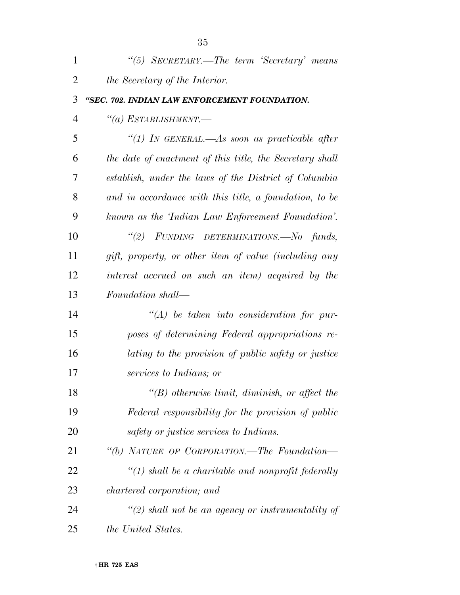| $\mathbf{1}$   | "(5) SECRETARY.—The term 'Secretary' means               |
|----------------|----------------------------------------------------------|
| $\overline{2}$ | <i>the Secretary of the Interior.</i>                    |
| 3              | "SEC. 702. INDIAN LAW ENFORCEMENT FOUNDATION.            |
| $\overline{4}$ | $``(a)$ Establishment.—                                  |
| 5              | "(1) IN GENERAL.—As soon as practicable after            |
| 6              | the date of enactment of this title, the Secretary shall |
| 7              | establish, under the laws of the District of Columbia    |
| 8              | and in accordance with this title, a foundation, to be   |
| 9              | known as the 'Indian Law Enforcement Foundation'.        |
| 10             | "(2) FUNDING DETERMINATIONS.—No funds,                   |
| 11             | gift, property, or other item of value (including any    |
| 12             | interest accrued on such an item) acquired by the        |
| 13             | Foundation shall—                                        |
| 14             | $\lq (A)$ be taken into consideration for pur-           |
| 15             | poses of determining Federal appropriations re-          |
| 16             | lating to the provision of public safety or justice      |
| 17             | services to Indians; or                                  |
| 18             | $\lq\lq(B)$ otherwise limit, diminish, or affect the     |
| 19             | Federal responsibility for the provision of public       |
| 20             | safety or justice services to Indians.                   |
| 21             | "(b) NATURE OF CORPORATION.—The Foundation—              |
| 22             | $\lq(1)$ shall be a charitable and nonprofit federally   |
| 23             | <i>chartered corporation; and</i>                        |
| 24             | $\lq(2)$ shall not be an agency or instrumentality of    |
| 25             | <i>the United States.</i>                                |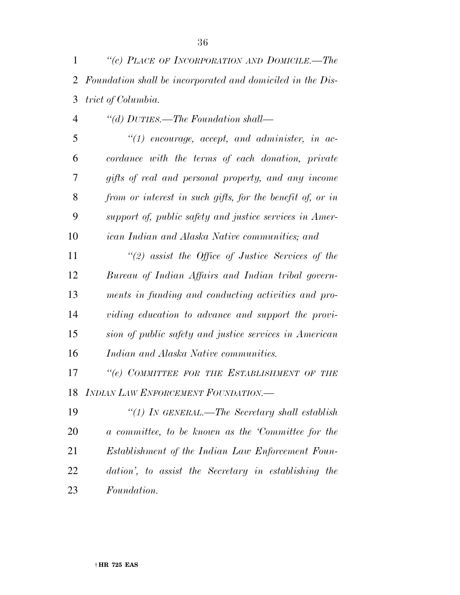- *''(d) DUTIES.—The Foundation shall— ''(1) encourage, accept, and administer, in ac- cordance with the terms of each donation, private gifts of real and personal property, and any income from or interest in such gifts, for the benefit of, or in support of, public safety and justice services in Amer- ican Indian and Alaska Native communities; and ''(2) assist the Office of Justice Services of the Bureau of Indian Affairs and Indian tribal govern- ments in funding and conducting activities and pro- viding education to advance and support the provi- sion of public safety and justice services in American Indian and Alaska Native communities. ''(e) COMMITTEE FOR THE ESTABLISHMENT OF THE INDIAN LAW ENFORCEMENT FOUNDATION.—*
- *''(1) IN GENERAL.—The Secretary shall establish a committee, to be known as the 'Committee for the Establishment of the Indian Law Enforcement Foun- dation', to assist the Secretary in establishing the Foundation.*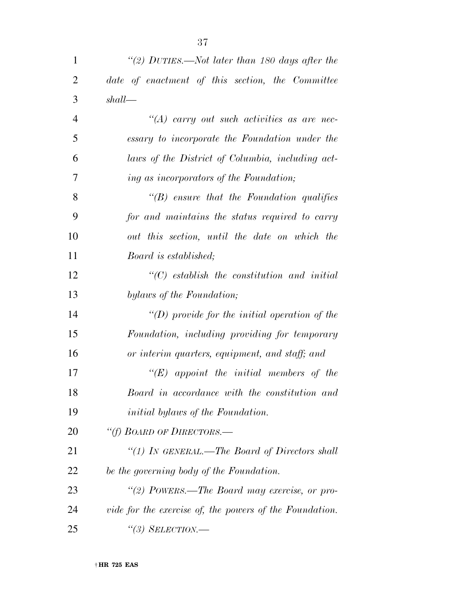| $\mathbf{1}$   | "(2) DUTIES.—Not later than 180 days after the          |
|----------------|---------------------------------------------------------|
| $\overline{2}$ | date of enactment of this section, the Committee        |
| 3              | shall                                                   |
| $\overline{4}$ | $\lq (A)$ carry out such activities as are nec-         |
| 5              | essary to incorporate the Foundation under the          |
| 6              | laws of the District of Columbia, including act-        |
| 7              | ing as incorporators of the Foundation;                 |
| 8              | $\lq\lq(B)$ ensure that the Foundation qualifies        |
| 9              | for and maintains the status required to carry          |
| 10             | out this section, until the date on which the           |
| 11             | Board is established;                                   |
| 12             | $\lq$ (C) establish the constitution and initial        |
| 13             | bylaws of the Foundation;                               |
| 14             | "(D) provide for the initial operation of the           |
| 15             | Foundation, including providing for temporary           |
| 16             | or interim quarters, equipment, and staff; and          |
| 17             | $\lq\lq (E)$ appoint the initial members of the         |
| 18             | Board in accordance with the constitution and           |
| 19             | <i>initial bylaws of the Foundation.</i>                |
| 20             | "(f) BOARD OF DIRECTORS.-                               |
| 21             | "(1) IN GENERAL.—The Board of Directors shall           |
| 22             | be the governing body of the Foundation.                |
| 23             | "(2) POWERS.—The Board may exercise, or pro-            |
| 24             | vide for the exercise of, the powers of the Foundation. |
| 25             |                                                         |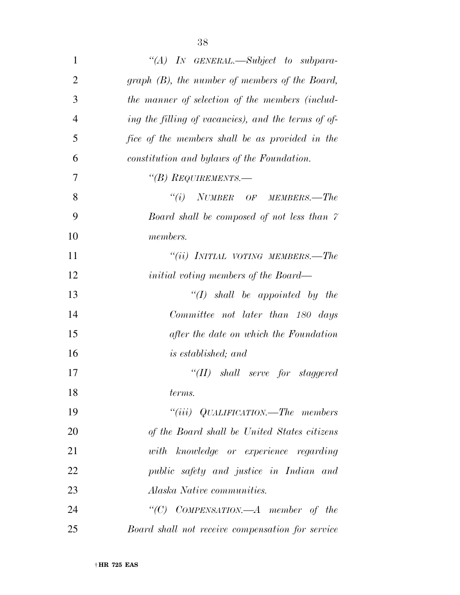| 1              | "(A) IN GENERAL.—Subject to subpara-                |
|----------------|-----------------------------------------------------|
| $\overline{2}$ | graph $(B)$ , the number of members of the Board,   |
| 3              | the manner of selection of the members (includ-     |
| $\overline{4}$ | ing the filling of vacancies), and the terms of of- |
| 5              | fice of the members shall be as provided in the     |
| 6              | constitution and bylaws of the Foundation.          |
| 7              | "(B) REQUIREMENTS.—                                 |
| 8              | $``(i)$ NUMBER OF MEMBERS.—The                      |
| 9              | Board shall be composed of not less than 7          |
| 10             | <i>members.</i>                                     |
| 11             | "(ii) INITIAL VOTING MEMBERS.—The                   |
| 12             | <i>initial voting members of the Board—</i>         |
| 13             | $\lq (I)$ shall be appointed by the                 |
| 14             | Committee not later than 180 days                   |
| 15             | after the date on which the Foundation              |
| 16             | <i>is established; and</i>                          |
| 17             | "(II) shall serve for staggered                     |
| 18             | terms.                                              |
| 19             | "(iii) $QUALIFICATION$ —The members                 |
| 20             | of the Board shall be United States citizens        |
| 21             | with knowledge or experience regarding              |
| 22             | public safety and justice in Indian and             |
| 23             | <i>Alaska Native communities.</i>                   |
| 24             | "(C) COMPENSATION.—A member of the                  |
| 25             | Board shall not receive compensation for service    |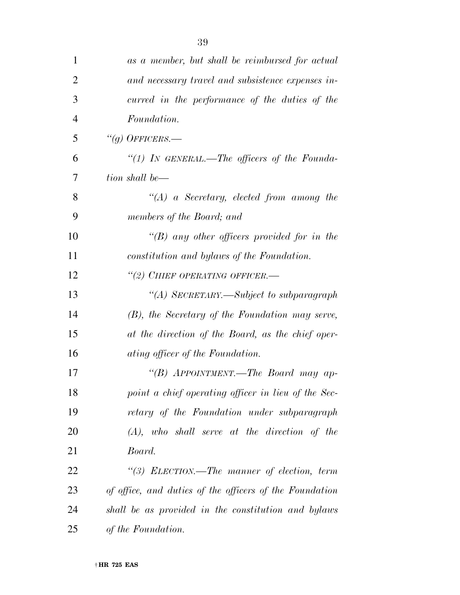| $\mathbf{1}$   | as a member, but shall be reimbursed for actual         |
|----------------|---------------------------------------------------------|
| $\overline{2}$ | and necessary travel and subsistence expenses in-       |
| 3              | curred in the performance of the duties of the          |
| $\overline{4}$ | Foundation.                                             |
| 5              | "(g) OFFICERS.—                                         |
| 6              | "(1) IN GENERAL.—The officers of the Founda-            |
| 7              | tion shall be—                                          |
| 8              | $\lq (A)$ a Secretary, elected from among the           |
| 9              | members of the Board; and                               |
| 10             | "(B) any other officers provided for in the             |
| 11             | constitution and bylaws of the Foundation.              |
| 12             | "(2) CHIEF OPERATING OFFICER.-                          |
| 13             | "(A) SECRETARY.—Subject to subparagraph                 |
| 14             | (B), the Secretary of the Foundation may serve,         |
| 15             | at the direction of the Board, as the chief oper-       |
| 16             | ating officer of the Foundation.                        |
| 17             | "(B) APPOINTMENT.—The Board may ap-                     |
| 18             | point a chief operating officer in lieu of the Sec-     |
| 19             | retary of the Foundation under subparagraph             |
| 20             | $(A)$ , who shall serve at the direction of the         |
| 21             | Board.                                                  |
| 22             | "(3) ELECTION.—The manner of election, term             |
| 23             | of office, and duties of the officers of the Foundation |
| 24             | shall be as provided in the constitution and bylaws     |
| 25             | of the Foundation.                                      |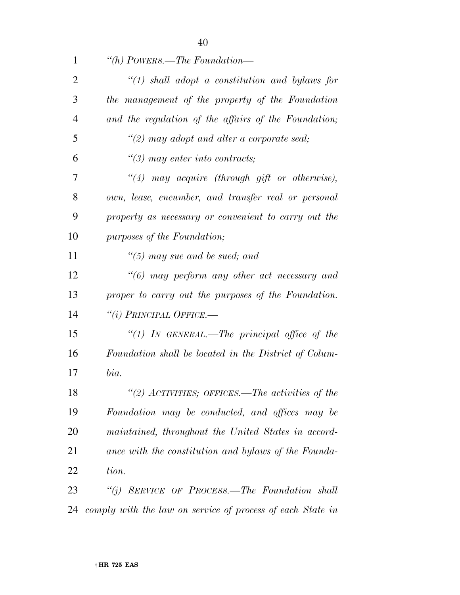| 1              | "(h) POWERS.—The Foundation—                               |
|----------------|------------------------------------------------------------|
| $\overline{2}$ | $\lq(1)$ shall adopt a constitution and bylaws for         |
| 3              | the management of the property of the Foundation           |
| $\overline{4}$ | and the regulation of the affairs of the Foundation;       |
| 5              | $\lq(2)$ may adopt and alter a corporate seal;             |
| 6              | $\lq(3)$ may enter into contracts;                         |
| 7              | $\lq(4)$ may acquire (through gift or otherwise),          |
| 8              | own, lease, encumber, and transfer real or personal        |
| 9              | property as necessary or convenient to carry out the       |
| 10             | purposes of the Foundation;                                |
| 11             | $\degree$ (5) may sue and be sued; and                     |
| 12             | $"(6)$ may perform any other act necessary and             |
| 13             | proper to carry out the purposes of the Foundation.        |
| 14             | $``(i)$ Principal Office.—                                 |
| 15             | "(1) IN GENERAL.—The principal office of the               |
| 16             | Foundation shall be located in the District of Colum-      |
| 17             | bia.                                                       |
| 18             | "(2) ACTIVITIES; OFFICES.—The activities of the            |
| 19             | Foundation may be conducted, and offices may be            |
| 20             | maintained, throughout the United States in accord-        |
| 21             | ance with the constitution and bylaws of the Founda-       |
| 22             | tion.                                                      |
| 23             | "(i) SERVICE OF PROCESS.—The Foundation shall              |
| 24             | comply with the law on service of process of each State in |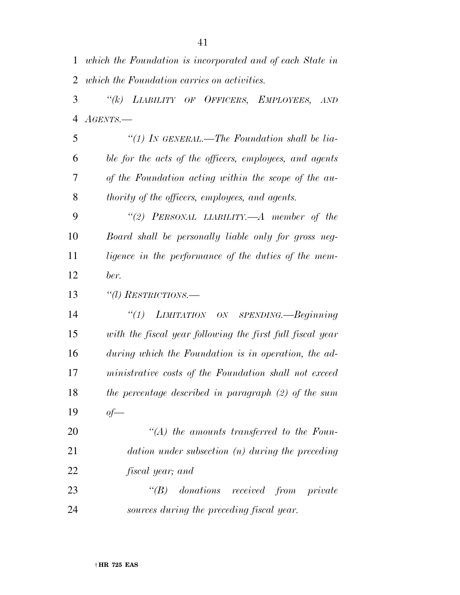| $\mathbf{1}$   | which the Foundation is incorporated and of each State in   |
|----------------|-------------------------------------------------------------|
| 2              | which the Foundation carries on activities.                 |
| 3              | LIABILITY OF OFFICERS, EMPLOYEES,<br>$\lq (k)$<br>AND       |
| $\overline{4}$ | $A\textit{GENTS}$ . —                                       |
| 5              | "(1) IN GENERAL.—The Foundation shall be lia-               |
| 6              | ble for the acts of the officers, employees, and agents     |
| 7              | of the Foundation acting within the scope of the au-        |
| 8              | thority of the officers, employees, and agents.             |
| 9              | "(2) PERSONAL LIABILITY.—A member of the                    |
| 10             | Board shall be personally liable only for gross neg-        |
| 11             | ligence in the performance of the duties of the mem-        |
| 12             | ber.                                                        |
| 13             | "(l) RESTRICTIONS.—                                         |
| 14             | $\lq(1)$<br>LIMITATION ON SPENDING.—Beginning               |
| 15             | with the fiscal year following the first full fiscal year   |
| 16             | during which the Foundation is in operation, the ad-        |
| 17             | ministrative costs of the Foundation shall not exceed       |
| 18             | the percentage described in paragraph $(2)$ of the sum      |
| 19             | $of$ —                                                      |
| 20             | $\lq (A)$ the amounts transferred to the Foun-              |
| 21             | $\textit{dation under subsection}$ (n) during the preceding |
| 22             | <i>fiscal year</i> ; and                                    |
| 23             | $\lq (B)$<br>donations received from private                |
| 24             | sources during the preceding fiscal year.                   |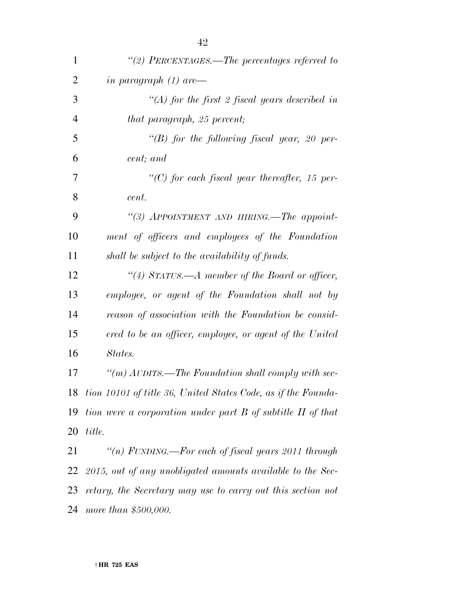| $\mathbf{1}$   | "(2) PERCENTAGES.—The percentages referred to                 |
|----------------|---------------------------------------------------------------|
| $\overline{2}$ | in paragraph $(1)$ are —                                      |
| 3              | $\lq (A)$ for the first 2 fiscal years described in           |
| $\overline{4}$ | that paragraph, 25 percent;                                   |
| 5              | "(B) for the following fiscal year, 20 per-                   |
| 6              | cent; and                                                     |
| 7              | " $(C)$ for each fiscal year thereafter, 15 per-              |
| 8              | cent.                                                         |
| 9              | "(3) APPOINTMENT AND HIRING.—The appoint-                     |
| 10             | ment of officers and employees of the Foundation              |
| 11             | shall be subject to the availability of funds.                |
| 12             | "(4) STATUS.—A member of the Board or officer,                |
| 13             | employee, or agent of the Foundation shall not by             |
| 14             | reason of association with the Foundation be consid-          |
| 15             | ered to be an officer, employee, or agent of the United       |
| 16             | States.                                                       |
| 17             | "(m) $AUDITS$ . The Foundation shall comply with sec-         |
| 18             | tion 10101 of title 36, United States Code, as if the Founda- |
| 19             | tion were a corporation under part B of subtitle II of that   |
| 20             | title.                                                        |
| 21             | "(n) FUNDING.—For each of fiscal years $2011$ through         |
| 22             | 2015, out of any unobligated amounts available to the Sec-    |
| 23             | retary, the Secretary may use to carry out this section not   |
| 24             | more than \$500,000.                                          |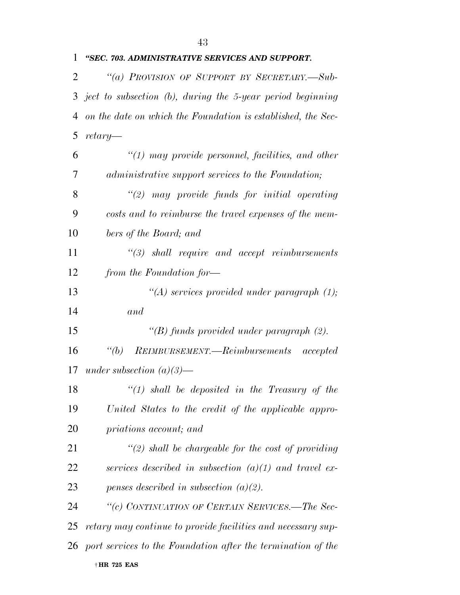| $\mathbf{1}$ | "SEC. 703. ADMINISTRATIVE SERVICES AND SUPPORT.               |
|--------------|---------------------------------------------------------------|
| 2            | "(a) PROVISION OF SUPPORT BY SECRETARY.-Sub-                  |
| 3            | ject to subsection $(b)$ , during the 5-year period beginning |
| 4            | on the date on which the Foundation is established, the Sec-  |
| 5            | $return$ —                                                    |
| 6            | $\lq(1)$ may provide personnel, facilities, and other         |
| 7            | administrative support services to the Foundation;            |
| 8            | $\lq(2)$ may provide funds for initial operating              |
| 9            | costs and to reimburse the travel expenses of the mem-        |
| 10           | bers of the Board; and                                        |
| 11           | $\lq(3)$ shall require and accept reimbursements              |
| 12           | from the Foundation for-                                      |
| 13           | "(A) services provided under paragraph $(1)$ ;                |
| 14           | and                                                           |
| 15           | "(B) funds provided under paragraph $(2)$ .                   |
| 16           | REIMBURSEMENT.—Reimbursements accepted<br>$\lq(a)$            |
| 17           | under subsection $(a)(3)$ —                                   |
| 18           | $\lq(1)$ shall be deposited in the Treasury of the            |
| 19           | United States to the credit of the applicable appro-          |
| 20           | priations account; and                                        |
| 21           | $\lq(2)$ shall be chargeable for the cost of providing        |
| 22           | services described in subsection $(a)(1)$ and travel ex-      |
| 23           | penses described in subsection $(a)(2)$ .                     |
| 24           | "(c) CONTINUATION OF CERTAIN SERVICES.—The Sec-               |
| 25           | retary may continue to provide facilities and necessary sup-  |
| 26           | port services to the Foundation after the termination of the  |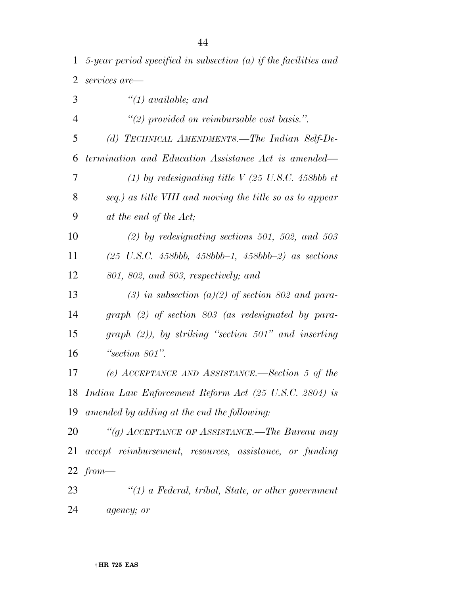| 1              | 5-year period specified in subsection $(a)$ if the facilities and |
|----------------|-------------------------------------------------------------------|
| $\overline{2}$ | services are—                                                     |
| 3              | $\lq(1)$ available; and                                           |
| $\overline{4}$ | $\lq(2)$ provided on reimbursable cost basis.".                   |
| 5              | (d) TECHNICAL AMENDMENTS.—The Indian Self-De-                     |
| 6              | termination and Education Assistance Act is amended—              |
| 7              | (1) by redesignating title V (25 U.S.C. 458bb et                  |
| 8              | seq.) as title VIII and moving the title so as to appear          |
| 9              | at the end of the Act;                                            |
| 10             | $(2)$ by redesignating sections 501, 502, and 503                 |
| 11             | $(25 \text{ U.S.C. } 458bbb, 458bbb-1, 458bbb-2)$ as sections     |
| 12             | 801, 802, and 803, respectively; and                              |
| 13             | (3) in subsection (a)(2) of section 802 and para-                 |
| 14             | $graph$ (2) of section 803 (as redesignated by para-              |
| 15             | $graph$ (2)), by striking "section 501" and inserting             |
| 16             | "section $801$ ".                                                 |
| 17             | (e) ACCEPTANCE AND ASSISTANCE.—Section 5 of the                   |
|                | 18 Indian Law Enforcement Reform Act (25 U.S.C. 2804) is          |
|                | 19 amended by adding at the end the following:                    |
| 20             | "(g) ACCEPTANCE OF ASSISTANCE.—The Bureau may                     |
| 21             | accept reimbursement, resources, assistance, or funding           |
|                | 22 $from-$                                                        |
| 23             | $"(1)$ a Federal, tribal, State, or other government              |
|                |                                                                   |

*agency; or*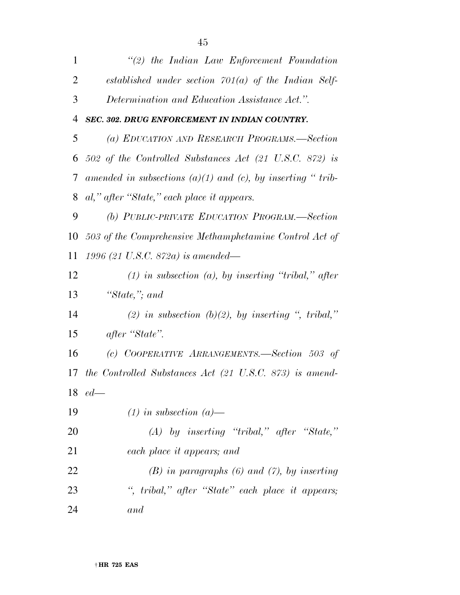| $\mathbf{1}$   | $\lq(2)$ the Indian Law Enforcement Foundation                     |
|----------------|--------------------------------------------------------------------|
| $\overline{2}$ | established under section $701(a)$ of the Indian Self-             |
| 3              | Determination and Education Assistance Act.".                      |
| 4              | SEC. 302. DRUG ENFORCEMENT IN INDIAN COUNTRY.                      |
| 5              | (a) EDUCATION AND RESEARCH PROGRAMS.—Section                       |
| 6              | 502 of the Controlled Substances Act $(21 \text{ U.S.C. } 872)$ is |
| 7              | amended in subsections $(a)(1)$ and $(c)$ , by inserting "trib-    |
| 8              | al," after "State," each place it appears.                         |
| 9              | (b) PUBLIC-PRIVATE EDUCATION PROGRAM.-Section                      |
| 10             | 503 of the Comprehensive Methamphetamine Control Act of            |
| 11             | 1996 (21 U.S.C. 872a) is amended—                                  |
| 12             | $(1)$ in subsection $(a)$ , by inserting "tribal," after           |
| 13             | "State,"; and                                                      |
| 14             | (2) in subsection (b)(2), by inserting ", tribal,"                 |
| 15             | after "State".                                                     |
| 16             | (c) COOPERATIVE ARRANGEMENTS.—Section 503 of                       |
| 17             | the Controlled Substances Act $(21 \text{ U.S.C. } 873)$ is amend- |
|                | $18$ ed $-$                                                        |
| 19             | $(1)$ in subsection $(a)$ —                                        |
| 20             | $(A)$ by inserting "tribal," after "State,"                        |
| 21             | each place it appears; and                                         |
| 22             | $(B)$ in paragraphs $(6)$ and $(7)$ , by inserting                 |
| 23             | ", tribal," after "State" each place it appears;                   |
| 24             | and                                                                |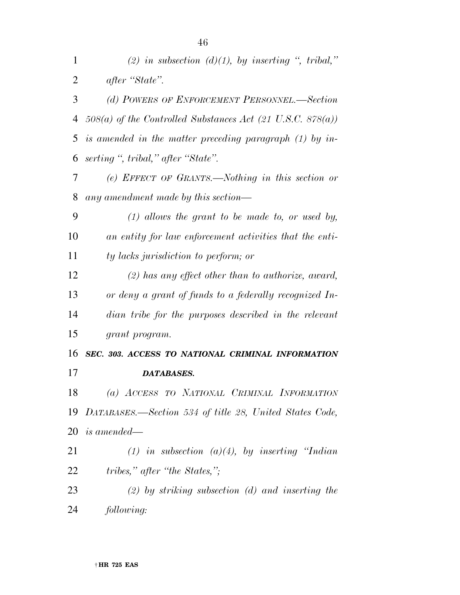| 1  | (2) in subsection (d)(1), by inserting ", tribal,"           |
|----|--------------------------------------------------------------|
| 2  | after "State".                                               |
| 3  | (d) POWERS OF ENFORCEMENT PERSONNEL.—Section                 |
| 4  | $508(a)$ of the Controlled Substances Act (21 U.S.C. 878(a)) |
| 5  | is amended in the matter preceding paragraph (1) by in-      |
| 6  | serting ", tribal," after "State".                           |
| 7  | (e) EFFECT OF GRANTS.—Nothing in this section or             |
| 8  | any amendment made by this section—                          |
| 9  | $(1)$ allows the grant to be made to, or used by,            |
| 10 | an entity for law enforcement activities that the enti-      |
| 11 | ty lacks jurisdiction to perform; or                         |
| 12 | $(2)$ has any effect other than to authorize, award,         |
| 13 | or deny a grant of funds to a federally recognized In-       |
| 14 | dian tribe for the purposes described in the relevant        |
| 15 | grant program.                                               |
| 16 | SEC. 303. ACCESS TO NATIONAL CRIMINAL INFORMATION            |
| 17 | DATABASES.                                                   |
| 18 | (a) ACCESS TO NATIONAL CRIMINAL INFORMATION                  |
| 19 | DATABASES.—Section 534 of title 28, United States Code,      |
| 20 | <i>is amended—</i>                                           |
| 21 | (1) in subsection (a)(4), by inserting "Indian               |
| 22 | tribes," after "the States,";                                |
| 23 | $(2)$ by striking subsection $(d)$ and inserting the         |
| 24 | following:                                                   |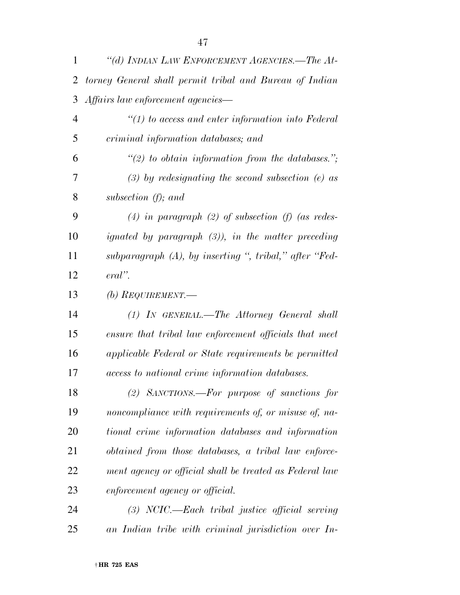| 1              | "(d) INDIAN LAW ENFORCEMENT AGENCIES.—The At-            |
|----------------|----------------------------------------------------------|
| 2              | torney General shall permit tribal and Bureau of Indian  |
| 3              | Affairs law enforcement agencies—                        |
| $\overline{4}$ | $"(1)$ to access and enter information into Federal      |
| 5              | criminal information databases; and                      |
| 6              | $\lq(2)$ to obtain information from the databases.";     |
| 7              | $(3)$ by redesignating the second subsection (e) as      |
| 8              | subsection $(f)$ ; and                                   |
| 9              | (4) in paragraph (2) of subsection (f) (as redes-        |
| 10             | ignated by paragraph $(3)$ ), in the matter preceding    |
| 11             | $subparagraph (A), by inserting ", tribal," after "Fed-$ |
| 12             | $eral$ ".                                                |
| 13             | (b) REQUIREMENT.—                                        |
| 14             | $(1)$ In GENERAL.—The Attorney General shall             |
| 15             | ensure that tribal law enforcement officials that meet   |
| 16             | applicable Federal or State requirements be permitted    |
| 17             | access to national crime information databases.          |
| 18             | $(2)$ SANCTIONS.—For purpose of sanctions for            |
| 19             | noncompliance with requirements of, or misuse of, na-    |
| 20             | tional crime information databases and information       |
| 21             | obtained from those databases, a tribal law enforce-     |
| 22             | ment agency or official shall be treated as Federal law  |
| 23             | enforcement agency or official.                          |

 *(3) NCIC.—Each tribal justice official serving an Indian tribe with criminal jurisdiction over In-*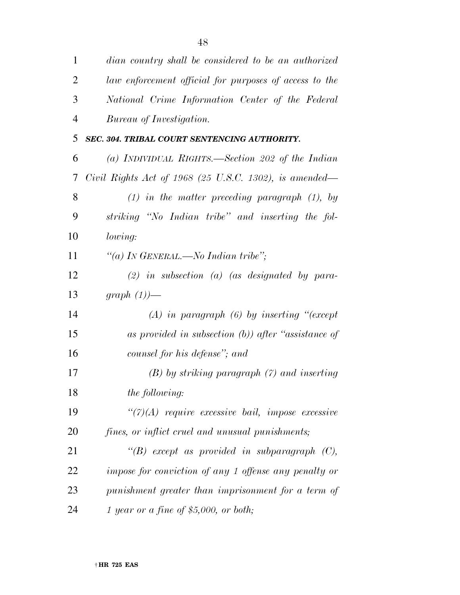| $\mathbf{1}$   | dian country shall be considered to be an authorized    |
|----------------|---------------------------------------------------------|
| $\overline{2}$ | law enforcement official for purposes of access to the  |
| 3              | National Crime Information Center of the Federal        |
| $\overline{4}$ | Bureau of Investigation.                                |
| 5              | SEC. 304. TRIBAL COURT SENTENCING AUTHORITY.            |
| 6              | (a) INDIVIDUAL RIGHTS.—Section 202 of the Indian        |
| 7              | Civil Rights Act of 1968 (25 U.S.C. 1302), is amended—  |
| 8              | $(1)$ in the matter preceding paragraph $(1)$ , by      |
| 9              | striking "No Indian tribe" and inserting the fol-       |
| 10             | <i>lowing:</i>                                          |
| 11             | "(a) In GENERAL.—No Indian tribe";                      |
| 12             | $(2)$ in subsection (a) (as designated by para-         |
| 13             | graph $(1)$ )—                                          |
| 14             | $(A)$ in paragraph $(B)$ by inserting "(except          |
| 15             | as provided in subsection $(b)$ ) after "assistance of  |
| 16             | counsel for his defense"; and                           |
| 17             | $(B)$ by striking paragraph $(7)$ and inserting         |
| 18             | <i>the following:</i>                                   |
| 19             | $\lq(7)(A)$ require excessive bail, impose excessive    |
| 20             | <i>fines, or inflict cruel and unusual punishments;</i> |
| 21             | $\lq\lq(B)$ except as provided in subparagraph $(C)$ ,  |
| 22             | impose for conviction of any 1 offense any penalty or   |
| 23             | punishment greater than imprisonment for a term of      |
| 24             | 1 year or a fine of \$5,000, or both;                   |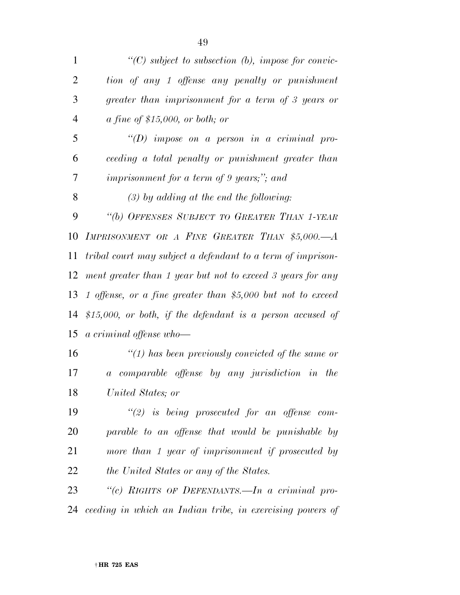| $\mathbf{1}$   | $\lq (C)$ subject to subsection (b), impose for convic-     |
|----------------|-------------------------------------------------------------|
| $\overline{2}$ | tion of any 1 offense any penalty or punishment             |
| 3              | greater than imprisonment for a term of 3 years or          |
| $\overline{4}$ | a fine of \$15,000, or both; or                             |
| 5              | "(D) impose on a person in a criminal pro-                  |
| 6              | ceeding a total penalty or punishment greater than          |
| 7              | <i>imprisonment for a term of 9 years;"; and</i>            |
| 8              | $(3)$ by adding at the end the following:                   |
| 9              | "(b) OFFENSES SUBJECT TO GREATER THAN 1-YEAR                |
| 10             | IMPRISONMENT OR A FINE GREATER THAN \$5,000.-A              |
| 11             | tribal court may subject a defendant to a term of imprison- |
| 12             | ment greater than 1 year but not to exceed 3 years for any  |
| 13             | 1 offense, or a fine greater than \$5,000 but not to exceed |
| 14             | \$15,000, or both, if the defendant is a person accused of  |
| 15             | a criminal offense who-                                     |
| 16             | $\lq(1)$ has been previously convicted of the same or       |
| 17             | a comparable offense by any jurisdiction in the             |
| 18             | United States; or                                           |
| 19             | $\lq(2)$ is being prosecuted for an offense com-            |
|                |                                                             |

 *parable to an offense that would be punishable by more than 1 year of imprisonment if prosecuted by the United States or any of the States.* 

 *''(c) RIGHTS OF DEFENDANTS.—In a criminal pro-ceeding in which an Indian tribe, in exercising powers of*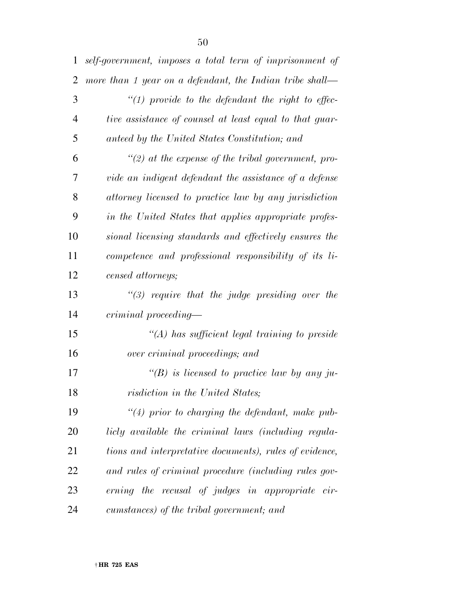| $\mathbf{1}$   | self-government, imposes a total term of imprisonment of |
|----------------|----------------------------------------------------------|
| $\overline{2}$ | more than 1 year on a defendant, the Indian tribe shall— |
| 3              | $\lq(1)$ provide to the defendant the right to effec-    |
| $\overline{4}$ | tive assistance of counsel at least equal to that guar-  |
| 5              | anteed by the United States Constitution; and            |
| 6              | $\lq(2)$ at the expense of the tribal government, pro-   |
| 7              | vide an indigent defendant the assistance of a defense   |
| 8              | attorney licensed to practice law by any jurisdiction    |
| 9              | in the United States that applies appropriate profes-    |
| 10             | sional licensing standards and effectively ensures the   |
| 11             | competence and professional responsibility of its li-    |
| 12             | censed attorneys;                                        |
| 13             | $\lq(3)$ require that the judge presiding over the       |
| 14             | criminal proceeding—                                     |
| 15             | "(A) has sufficient legal training to preside            |
| 16             | over criminal proceedings; and                           |
| 17             | "(B) is licensed to practice law by any ju-              |
| 18             | risdiction in the United States;                         |
| 19             | $\lq(4)$ prior to charging the defendant, make pub-      |
| 20             | licly available the criminal laws (including regula-     |
| 21             | tions and interpretative documents), rules of evidence,  |
| 22             | and rules of criminal procedure (including rules gov-    |
| 23             | erning the recusal of judges in appropriate cir-         |
| 24             | cumstances) of the tribal government; and                |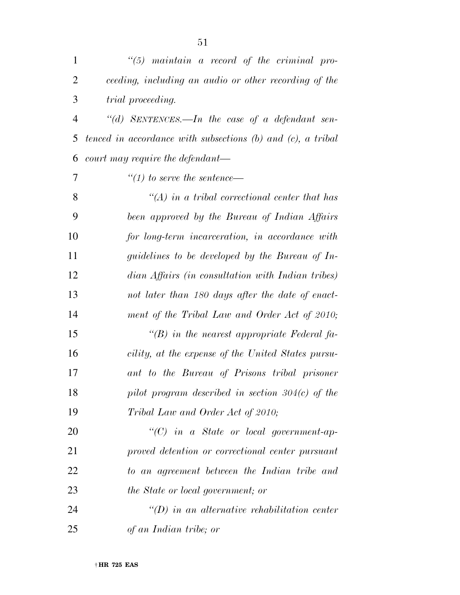| $\mathbf{1}$   | $\lq(5)$ maintain a record of the criminal pro-                  |
|----------------|------------------------------------------------------------------|
| 2              | ceeding, including an audio or other recording of the            |
| 3              | <i>trial proceeding.</i>                                         |
| $\overline{4}$ | "(d) SENTENCES.—In the case of a defendant sen-                  |
| 5              | tenced in accordance with subsections $(b)$ and $(c)$ , a tribal |
| 6              | court may require the defendant—                                 |
| 7              | $\lq(1)$ to serve the sentence—                                  |
| 8              | $\lq (A)$ in a tribal correctional center that has               |
| 9              | been approved by the Bureau of Indian Affairs                    |
| 10             | for long-term incarceration, in accordance with                  |
| 11             | guidelines to be developed by the Bureau of In-                  |
| 12             | dian Affairs (in consultation with Indian tribes)                |
| 13             | not later than 180 days after the date of enact-                 |
| 14             | ment of the Tribal Law and Order Act of 2010;                    |
| 15             | "(B) in the nearest appropriate Federal fa-                      |
| 16             | cility, at the expense of the United States pursu-               |
| 17             | ant to the Bureau of Prisons tribal prisoner                     |
| 18             | pilot program described in section $304(c)$ of the               |
| 19             | Tribal Law and Order Act of 2010;                                |
| 20             | $``(C)$ in a State or local government-ap-                       |
| 21             | proved detention or correctional center pursuant                 |
| 22             | to an agreement between the Indian tribe and                     |
| 23             | the State or local government; or                                |
| 24             | $\lq\lq D$ in an alternative rehabilitation center               |
| 25             | of an Indian tribe; or                                           |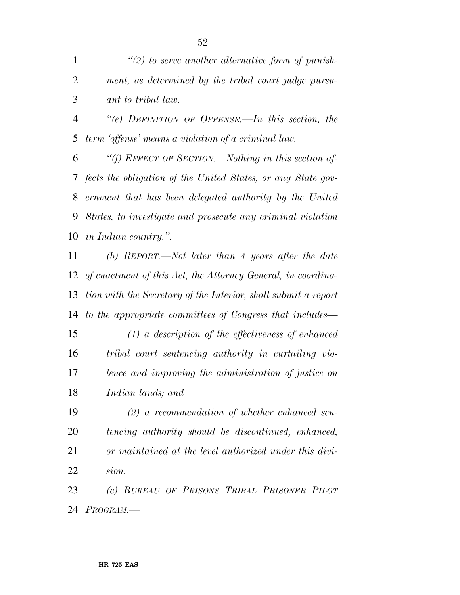*''(2) to serve another alternative form of punish- ment, as determined by the tribal court judge pursu-ant to tribal law.* 

 *''(e) DEFINITION OF OFFENSE.—In this section, the term 'offense' means a violation of a criminal law.* 

 *''(f) EFFECT OF SECTION.—Nothing in this section af- fects the obligation of the United States, or any State gov- ernment that has been delegated authority by the United States, to investigate and prosecute any criminal violation in Indian country.''.* 

 *(b) REPORT.—Not later than 4 years after the date of enactment of this Act, the Attorney General, in coordina- tion with the Secretary of the Interior, shall submit a report to the appropriate committees of Congress that includes—* 

 *(1) a description of the effectiveness of enhanced tribal court sentencing authority in curtailing vio- lence and improving the administration of justice on Indian lands; and* 

 *(2) a recommendation of whether enhanced sen- tencing authority should be discontinued, enhanced, or maintained at the level authorized under this divi-sion.* 

 *(c) BUREAU OF PRISONS TRIBAL PRISONER PILOT PROGRAM.—*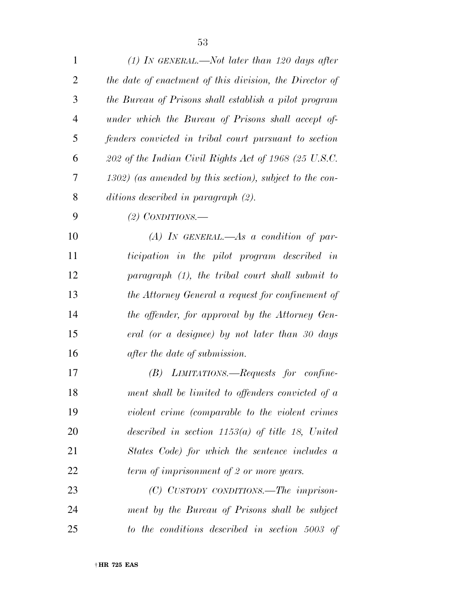*(1) IN GENERAL.—Not later than 120 days after the date of enactment of this division, the Director of the Bureau of Prisons shall establish a pilot program under which the Bureau of Prisons shall accept of- fenders convicted in tribal court pursuant to section 202 of the Indian Civil Rights Act of 1968 (25 U.S.C. 1302) (as amended by this section), subject to the con-ditions described in paragraph (2).* 

## *(2) CONDITIONS.—*

 *(A) IN GENERAL.—As a condition of par- ticipation in the pilot program described in paragraph (1), the tribal court shall submit to the Attorney General a request for confinement of the offender, for approval by the Attorney Gen- eral (or a designee) by not later than 30 days after the date of submission.* 

 *(B) LIMITATIONS.—Requests for confine- ment shall be limited to offenders convicted of a violent crime (comparable to the violent crimes described in section 1153(a) of title 18, United States Code) for which the sentence includes a term of imprisonment of 2 or more years.* 

 *(C) CUSTODY CONDITIONS.—The imprison- ment by the Bureau of Prisons shall be subject to the conditions described in section 5003 of*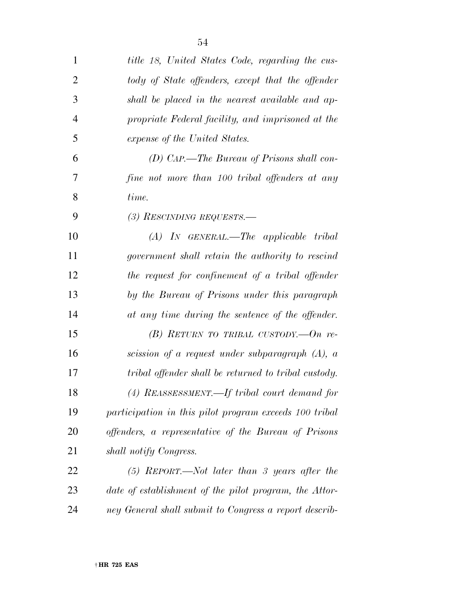| $\mathbf{1}$   | title 18, United States Code, regarding the cus-       |
|----------------|--------------------------------------------------------|
| $\overline{2}$ | tody of State offenders, except that the offender      |
| 3              | shall be placed in the nearest available and ap-       |
| $\overline{4}$ | propriate Federal facility, and imprisoned at the      |
| 5              | expense of the United States.                          |
| 6              | (D) CAP.—The Bureau of Prisons shall con-              |
| 7              | fine not more than 100 tribal offenders at any         |
| 8              | time.                                                  |
| 9              | (3) RESCINDING REQUESTS.—                              |
| 10             | $(A)$ IN GENERAL.—The applicable tribal                |
| 11             | government shall retain the authority to rescind       |
| 12             | the request for confinement of a tribal offender       |
| 13             | by the Bureau of Prisons under this paragraph          |
| 14             | at any time during the sentence of the offender.       |
| 15             | (B) RETURN TO TRIBAL CUSTODY.— $On$ re-                |
| 16             | scission of a request under subparagraph $(A)$ , a     |
| 17             | tribal offender shall be returned to tribal custody.   |
| 18             | (4) REASSESSMENT.—If tribal court demand for           |
| 19             | participation in this pilot program exceeds 100 tribal |
| <b>20</b>      | offenders, a representative of the Bureau of Prisons   |
| 21             | shall notify Congress.                                 |
| 22             | $(5)$ REPORT.—Not later than 3 years after the         |
| 23             | date of establishment of the pilot program, the Attor- |
| 24             | ney General shall submit to Congress a report describ- |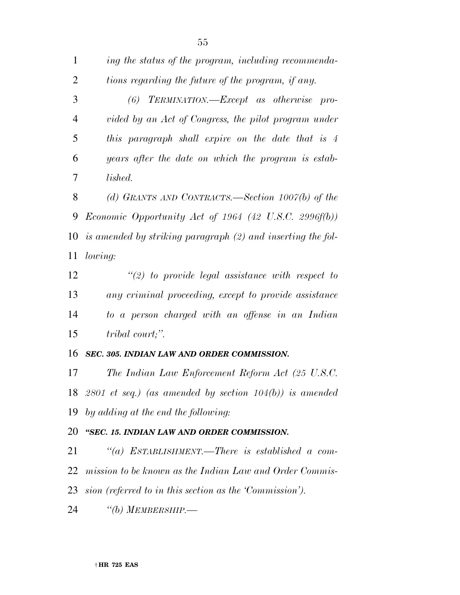| $\mathbf{1}$ | ing the status of the program, including recommenda-             |
|--------------|------------------------------------------------------------------|
| 2            | tions regarding the future of the program, if any.               |
| 3            | $(6)$ TERMINATION.—Except as otherwise pro-                      |
| 4            | vided by an Act of Congress, the pilot program under             |
| 5            | this paragraph shall expire on the date that is 4                |
| 6            | years after the date on which the program is estab-              |
| 7            | lished.                                                          |
| 8            | (d) GRANTS AND CONTRACTS.—Section $1007(b)$ of the               |
| 9            | <i>Economic Opportunity Act of 1964 (42 U.S.C. 2996f(b))</i>     |
|              | 10 is amended by striking paragraph $(2)$ and inserting the fol- |
| 11           | lowing:                                                          |
| 12           | $\lq(2)$ to provide legal assistance with respect to             |
| 13           | any criminal proceeding, except to provide assistance            |
| 14           | to a person charged with an offense in an Indian                 |

*tribal court;''.* 

## *SEC. 305. INDIAN LAW AND ORDER COMMISSION.*

 *The Indian Law Enforcement Reform Act (25 U.S.C. 2801 et seq.) (as amended by section 104(b)) is amended by adding at the end the following:* 

## *''SEC. 15. INDIAN LAW AND ORDER COMMISSION.*

 *''(a) ESTABLISHMENT.—There is established a com- mission to be known as the Indian Law and Order Commis-sion (referred to in this section as the 'Commission').* 

*''(b) MEMBERSHIP.—*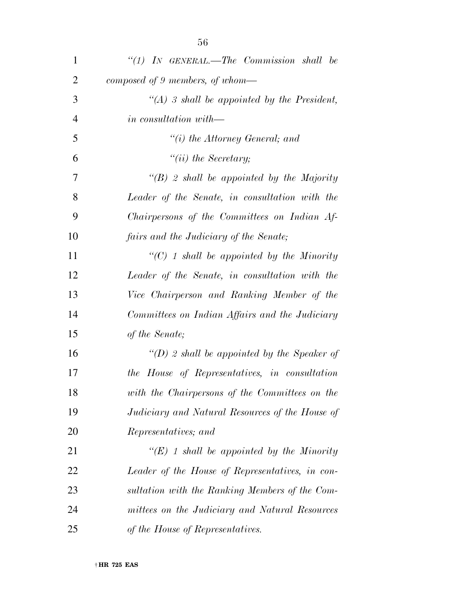| 1              | "(1) IN GENERAL.—The Commission shall be         |
|----------------|--------------------------------------------------|
| $\overline{2}$ | composed of 9 members, of whom-                  |
| 3              | "(A) 3 shall be appointed by the President,      |
| $\overline{4}$ | in consultation with—                            |
| 5              | $``(i)$ the Attorney General; and                |
| 6              | $``(ii)$ the Secretary;                          |
| 7              | $\lq\lq(B)$ 2 shall be appointed by the Majority |
| 8              | Leader of the Senate, in consultation with the   |
| 9              | Chairpersons of the Committees on Indian Af-     |
| 10             | fairs and the Judiciary of the Senate;           |
| 11             | " $(C)$ 1 shall be appointed by the Minority     |
| 12             | Leader of the Senate, in consultation with the   |
| 13             | Vice Chairperson and Ranking Member of the       |
| 14             | Committees on Indian Affairs and the Judiciary   |
| 15             | of the Senate;                                   |
| 16             | "(D) 2 shall be appointed by the Speaker of      |
| 17             | the House of Representatives, in consultation    |
| 18             | with the Chairpersons of the Committees on the   |
| 19             | Judiciary and Natural Resources of the House of  |
| 20             | Representatives; and                             |
| 21             | "(E) 1 shall be appointed by the Minority        |
| 22             | Leader of the House of Representatives, in con-  |
| 23             | sultation with the Ranking Members of the Com-   |
| 24             | mittees on the Judiciary and Natural Resources   |
| 25             | of the House of Representatives.                 |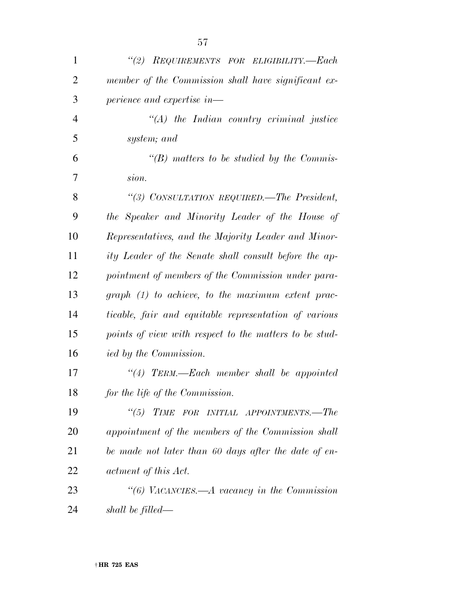| $\mathbf{1}$   | (2)<br>REQUIREMENTS FOR ELIGIBILITY.-Each              |
|----------------|--------------------------------------------------------|
| $\overline{2}$ | member of the Commission shall have significant ex-    |
| 3              | perience and expertise in-                             |
| $\overline{4}$ | $\lq (A)$ the Indian country criminal justice          |
| 5              | system; and                                            |
| 6              | $\lq\lq(B)$ matters to be studied by the Commis-       |
| 7              | sion.                                                  |
| 8              | "(3) CONSULTATION REQUIRED.—The President,             |
| 9              | the Speaker and Minority Leader of the House of        |
| 10             | Representatives, and the Majority Leader and Minor-    |
| 11             | ity Leader of the Senate shall consult before the ap-  |
| 12             | pointment of members of the Commission under para-     |
| 13             | $graph (1) to achieve, to the maximum extent prac-$    |
| 14             | ticable, fair and equitable representation of various  |
| 15             | points of view with respect to the matters to be stud- |
| 16             | <i>ied by the Commission.</i>                          |
| 17             | $\lq(4)$ TERM.—Each member shall be appointed          |
| 18             | for the life of the Commission.                        |
| 19             | TIME FOR INITIAL APPOINTMENTS.-The<br>$\frac{1}{2}$    |
| 20             | appointment of the members of the Commission shall     |
| 21             | be made not later than 60 days after the date of en-   |
| 22             | actment of this Act.                                   |
| 23             | "(6) VACANCIES.—A vacancy in the Commission            |
| 24             | shall be filled—                                       |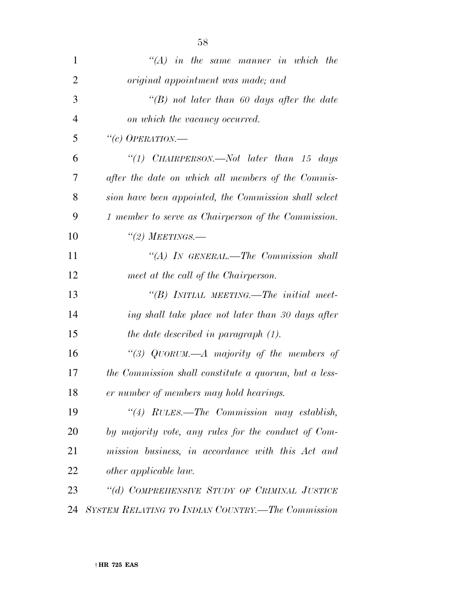| $\mathbf{1}$   | $\lq (A)$ in the same manner in which the             |
|----------------|-------------------------------------------------------|
| $\overline{2}$ | original appointment was made; and                    |
| 3              | $\lq\lq(B)$ not later than 60 days after the date     |
| $\overline{4}$ | on which the vacancy occurred.                        |
| 5              | "(c) OPERATION.—                                      |
| 6              | "(1) CHAIRPERSON.—Not later than 15 days              |
| 7              | after the date on which all members of the Commis-    |
| 8              | sion have been appointed, the Commission shall select |
| 9              | 1 member to serve as Chairperson of the Commission.   |
| 10             | $\lq (2)$ MEETINGS.—                                  |
| 11             | "(A) IN GENERAL.—The Commission shall                 |
| 12             | meet at the call of the Chairperson.                  |
| 13             | "(B) INITIAL MEETING.—The initial meet-               |
| 14             | ing shall take place not later than 30 days after     |
| 15             | the date described in paragraph (1).                  |
| 16             | "(3) QUORUM.—A majority of the members of             |
| 17             | the Commission shall constitute a quorum, but a less- |
| 18             | er number of members may hold hearings.               |
| 19             | "(4) RULES.—The Commission may establish,             |
| 20             | by majority vote, any rules for the conduct of Com-   |
| 21             | mission business, in accordance with this Act and     |
| 22             | other applicable law.                                 |
| 23             | "(d) COMPREHENSIVE STUDY OF CRIMINAL JUSTICE          |
| 24             | SYSTEM RELATING TO INDIAN COUNTRY.—The Commission     |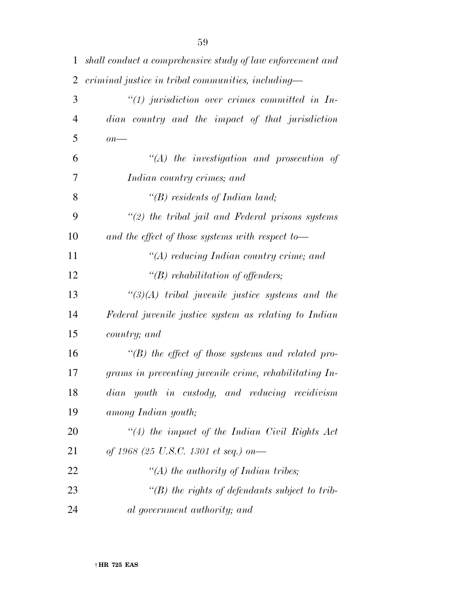| $\mathbf{1}$   | shall conduct a comprehensive study of law enforcement and |
|----------------|------------------------------------------------------------|
| $\overline{2}$ | criminal justice in tribal communities, including-         |
| 3              | $\lq(1)$ jurisdiction over crimes committed in In-         |
| $\overline{4}$ | dian country and the impact of that jurisdiction           |
| 5              | $\overline{on}$ —                                          |
| 6              | $\lq (A)$ the investigation and prosecution of             |
| 7              | Indian country crimes; and                                 |
| 8              | "(B) residents of Indian land;                             |
| 9              | $\lq(2)$ the tribal jail and Federal prisons systems       |
| 10             | and the effect of those systems with respect to-           |
| 11             | "(A) reducing Indian country crime; and                    |
| 12             | " $(B)$ rehabilitation of offenders;                       |
| 13             | $\lq(3)(A)$ tribal juvenile justice systems and the        |
| 14             | Federal juvenile justice system as relating to Indian      |
| 15             | country; and                                               |
| 16             | $\lq\lq(B)$ the effect of those systems and related pro-   |
| 17             | grams in preventing juvenile crime, rehabilitating In-     |
| 18             | dian youth in custody, and reducing recidivism             |
| 19             | among Indian youth;                                        |
| 20             | $\lq(4)$ the impact of the Indian Civil Rights Act         |
| 21             | of 1968 (25 U.S.C. 1301 et seq.) on-                       |
| 22             | "(A) the authority of Indian tribes;                       |
| 23             | $\lq\lq(B)$ the rights of defendants subject to trib-      |
| 24             | al government authority; and                               |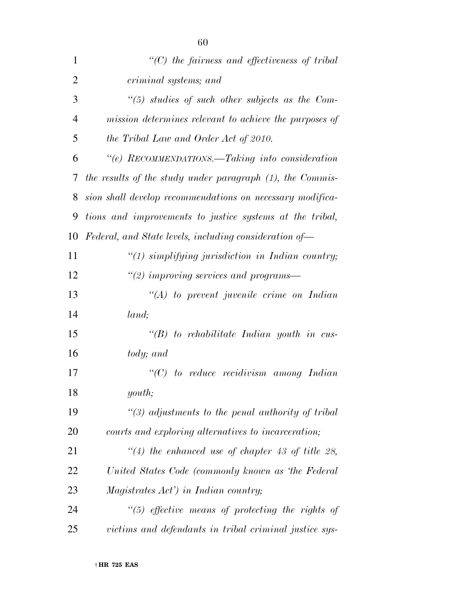| $\mathbf{1}$   | $"$ (C) the fairness and effectiveness of tribal          |
|----------------|-----------------------------------------------------------|
| $\overline{2}$ | criminal systems; and                                     |
| 3              | $\lq(5)$ studies of such other subjects as the Com-       |
| $\overline{4}$ | mission determines relevant to achieve the purposes of    |
| 5              | the Tribal Law and Order Act of 2010.                     |
| 6              | "(e) RECOMMENDATIONS.—Taking into consideration           |
| 7              | the results of the study under paragraph (1), the Commis- |
| 8              | sion shall develop recommendations on necessary modifica- |
| 9              | tions and improvements to justice systems at the tribal,  |
| 10             | Federal, and State levels, including consideration of-    |
| 11             | $\lq(1)$ simplifying jurisdiction in Indian country;      |
| 12             | $\lq(2)$ improving services and programs—                 |
| 13             | $\lq (A)$ to prevent juvenile crime on Indian             |
| 14             | land;                                                     |
| 15             | $\lq (B)$ to rehabilitate Indian youth in cus-            |
| 16             | tody; and                                                 |
| 17             | $\lq\lq C$ to reduce recidivism among Indian              |
| 18             | youth;                                                    |
| 19             | $\lq(3)$ adjustments to the penal authority of tribal     |
| 20             | courts and exploring alternatives to incarceration;       |
| 21             | $\lq(4)$ the enhanced use of chapter 43 of title 28,      |
| 22             | United States Code (commonly known as 'the Federal        |
| 23             | Magistrates Act') in Indian country;                      |
| 24             | $\lq(5)$ effective means of protecting the rights of      |
| 25             | victims and defendants in tribal criminal justice sys-    |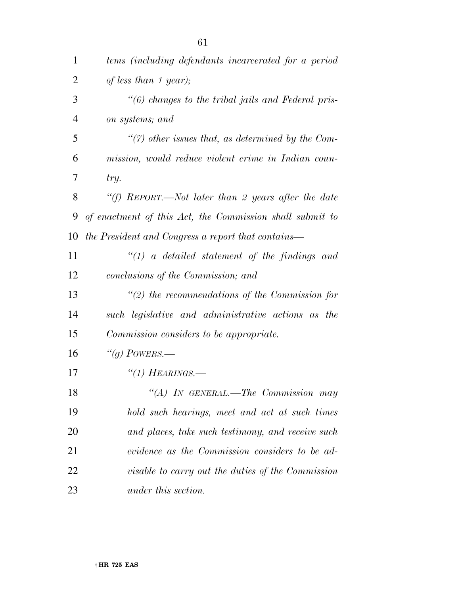| $\mathbf{1}$   | tems (including defendants incarcerated for a period     |
|----------------|----------------------------------------------------------|
| $\overline{2}$ | of less than 1 year);                                    |
| 3              | "(6) changes to the tribal jails and Federal pris-       |
| $\overline{4}$ | on systems; and                                          |
| 5              | $\lq(7)$ other issues that, as determined by the Com-    |
| 6              | mission, would reduce violent crime in Indian coun-      |
| 7              | try.                                                     |
| 8              | "(f) REPORT.—Not later than 2 years after the date       |
| 9              | of enactment of this Act, the Commission shall submit to |
| 10             | the President and Congress a report that contains—       |
| 11             | $\lq(1)$ a detailed statement of the findings and        |
| 12             | conclusions of the Commission; and                       |
| 13             | $\lq(2)$ the recommendations of the Commission for       |
| 14             | such legislative and administrative actions as the       |
| 15             | Commission considers to be appropriate.                  |
| 16             | "(g) POWERS.—                                            |
| 17             | $\lq(1)$ HEARINGS.—                                      |
| 18             | "(A) IN GENERAL.—The Commission may                      |
| 19             | hold such hearings, meet and act at such times           |
| 20             | and places, take such testimony, and receive such        |
| 21             | evidence as the Commission considers to be ad-           |
| 22             | <i>visable to carry out the duties of the Commission</i> |
| 23             | under this section.                                      |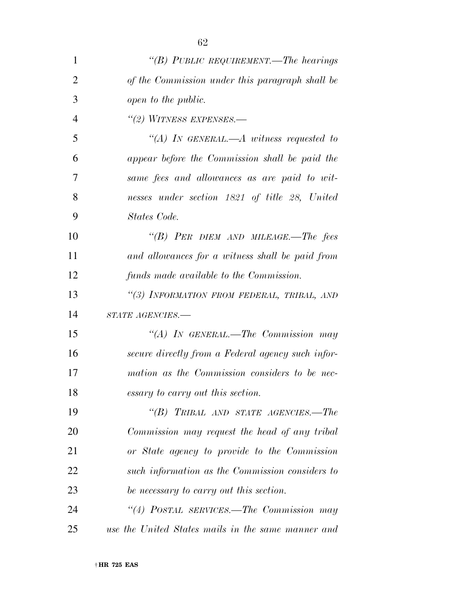| 1              | "(B) PUBLIC REQUIREMENT.—The hearings              |
|----------------|----------------------------------------------------|
| $\overline{2}$ | of the Commission under this paragraph shall be    |
| 3              | open to the public.                                |
| $\overline{4}$ | "(2) WITNESS EXPENSES.—                            |
| 5              | "(A) IN GENERAL.—A witness requested to            |
| 6              | appear before the Commission shall be paid the     |
| 7              | same fees and allowances as are paid to wit-       |
| 8              | nesses under section 1821 of title 28, United      |
| 9              | States Code.                                       |
| 10             | "(B) PER DIEM AND MILEAGE.—The fees                |
| 11             | and allowances for a witness shall be paid from    |
| 12             | funds made available to the Commission.            |
| 13             | "(3) INFORMATION FROM FEDERAL, TRIBAL, AND         |
| 14             | STATE AGENCIES.-                                   |
| 15             | "(A) IN GENERAL.—The Commission may                |
| 16             | secure directly from a Federal agency such infor-  |
| 17             | mation as the Commission considers to be nec-      |
| 18             | essary to carry out this section.                  |
| 19             | "(B) TRIBAL AND STATE AGENCIES.—The                |
| 20             | Commission may request the head of any tribal      |
| 21             | or State agency to provide to the Commission       |
| 22             | such information as the Commission considers to    |
| 23             | be necessary to carry out this section.            |
| 24             | "(4) POSTAL SERVICES.—The Commission may           |
| 25             | use the United States mails in the same manner and |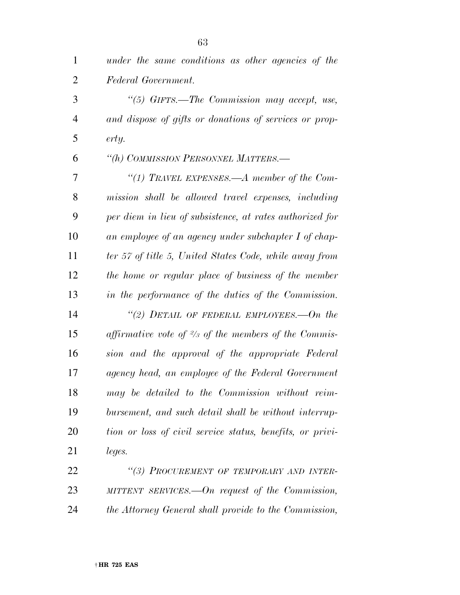| $\mathbf{1}$   | under the same conditions as other agencies of the              |
|----------------|-----------------------------------------------------------------|
| $\overline{2}$ | Federal Government.                                             |
| 3              | "(5) $GIFY.$ The Commission may accept, use,                    |
| 4              | and dispose of gifts or donations of services or prop-          |
| 5              | erty.                                                           |
| 6              | "(h) COMMISSION PERSONNEL MATTERS.-                             |
| 7              | "(1) TRAVEL EXPENSES.—A member of the Com-                      |
| 8              | mission shall be allowed travel expenses, including             |
| 9              | per diem in lieu of subsistence, at rates authorized for        |
| 10             | an employee of an agency under subchapter I of chap-            |
| 11             | ter 57 of title 5, United States Code, while away from          |
| 12             | the home or regular place of business of the member             |
| 13             | in the performance of the duties of the Commission.             |
| 14             | "(2) DETAIL OF FEDERAL EMPLOYEES.—On the                        |
| 15             | affirmative vote of $\frac{2}{3}$ of the members of the Commis- |
| 16             | sion and the approval of the appropriate Federal                |
| 17             | agency head, an employee of the Federal Government              |
| 18             | may be detailed to the Commission without reim-                 |
| 19             | bursement, and such detail shall be without interrup-           |
| 20             | tion or loss of civil service status, benefits, or privi-       |
| 21             | leges.                                                          |
| 22             | "(3) PROCUREMENT OF TEMPORARY AND INTER-                        |
| 23             | MITTENT SERVICES.—On request of the Commission,                 |

*the Attorney General shall provide to the Commission,*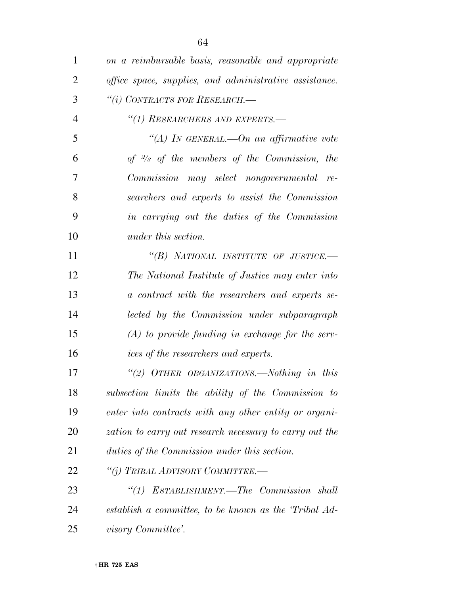| $\mathbf{1}$   | on a reimbursable basis, reasonable and appropriate     |
|----------------|---------------------------------------------------------|
| $\overline{2}$ | office space, supplies, and administrative assistance.  |
| 3              | "(i) CONTRACTS FOR RESEARCH.-                           |
| $\overline{4}$ | "(1) RESEARCHERS AND EXPERTS.-                          |
| 5              | "(A) IN GENERAL.—On an affirmative vote                 |
| 6              | of $\frac{2}{3}$ of the members of the Commission, the  |
| 7              | Commission may select nongovernmental re-               |
| 8              | searchers and experts to assist the Commission          |
| 9              | in carrying out the duties of the Commission            |
| 10             | under this section.                                     |
| 11             | "(B) NATIONAL INSTITUTE OF JUSTICE.-                    |
| 12             | The National Institute of Justice may enter into        |
| 13             | a contract with the researchers and experts se-         |
| 14             | lected by the Commission under subparagraph             |
| 15             | $(A)$ to provide funding in exchange for the serv-      |
| 16             | ices of the researchers and experts.                    |
| 17             | "(2) OTHER ORGANIZATIONS.-Nothing in this               |
| 18             | subsection limits the ability of the Commission to      |
| 19             | enter into contracts with any other entity or organi-   |
| 20             | zation to carry out research necessary to carry out the |
| 21             | duties of the Commission under this section.            |
| 22             | "(j) TRIBAL ADVISORY COMMITTEE.-                        |
| 23             | ESTABLISHMENT.—The Commission shall<br>``(1)            |
| 24             | establish a committee, to be known as the 'Tribal Ad-   |
| 25             | visory Committee'.                                      |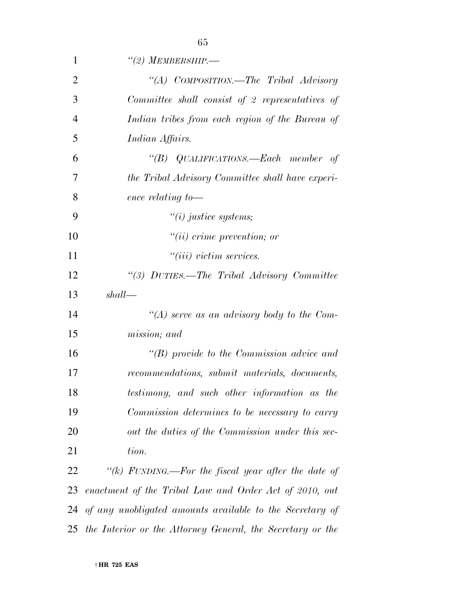| $\mathbf{1}$   | $\lq(2)$ MEMBERSHIP.-                                      |
|----------------|------------------------------------------------------------|
| $\overline{2}$ | "(A) COMPOSITION.—The Tribal Advisory                      |
| 3              | Committee shall consist of 2 representatives of            |
| $\overline{4}$ | Indian tribes from each region of the Bureau of            |
| 5              | Indian Affairs.                                            |
| 6              | "(B) QUALIFICATIONS.—Each member of                        |
| 7              | the Tribal Advisory Committee shall have experi-           |
| 8              | ence relating to-                                          |
| 9              | $\tilde{u}(i)$ justice systems;                            |
| 10             | $"(ii)$ crime prevention; or                               |
| 11             | $"(iii)$ victim services.                                  |
| 12             | "(3) DUTIES.—The Tribal Advisory Committee                 |
| 13             | shall                                                      |
| 14             | "(A) serve as an advisory body to the Com-                 |
| 15             | mission; and                                               |
| 16             | $\lq\lq(B)$ provide to the Commission advice and           |
| 17             | recommendations, submit materials, documents,              |
| 18             | testimony, and such other information as the               |
| 19             | Commission determines to be necessary to carry             |
| <b>20</b>      | out the duties of the Commission under this sec-           |
| 21             | tion.                                                      |
| 22             | "(k) FUNDING.—For the fiscal year after the date of        |
| 23             | enactment of the Tribal Law and Order Act of 2010, out     |
| 24             | of any unobligated amounts available to the Secretary of   |
| 25             | the Interior or the Attorney General, the Secretary or the |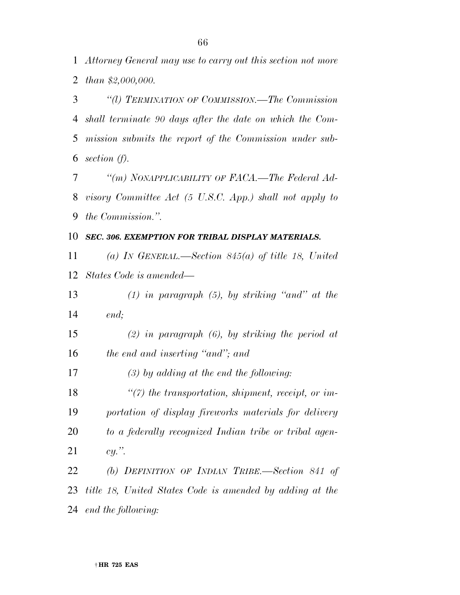*Attorney General may use to carry out this section not more than \$2,000,000.* 

 *''(l) TERMINATION OF COMMISSION.—The Commission shall terminate 90 days after the date on which the Com- mission submits the report of the Commission under sub-section (f).* 

 *''(m) NONAPPLICABILITY OF FACA.—The Federal Ad- visory Committee Act (5 U.S.C. App.) shall not apply to the Commission.''.* 

## *SEC. 306. EXEMPTION FOR TRIBAL DISPLAY MATERIALS.*

 *(a) IN GENERAL.—Section 845(a) of title 18, United States Code is amended—* 

 *(1) in paragraph (5), by striking ''and'' at the end;* 

 *(2) in paragraph (6), by striking the period at the end and inserting ''and''; and* 

*(3) by adding at the end the following:* 

 *''(7) the transportation, shipment, receipt, or im- portation of display fireworks materials for delivery to a federally recognized Indian tribe or tribal agen-cy.''.* 

 *(b) DEFINITION OF INDIAN TRIBE.—Section 841 of title 18, United States Code is amended by adding at the end the following:*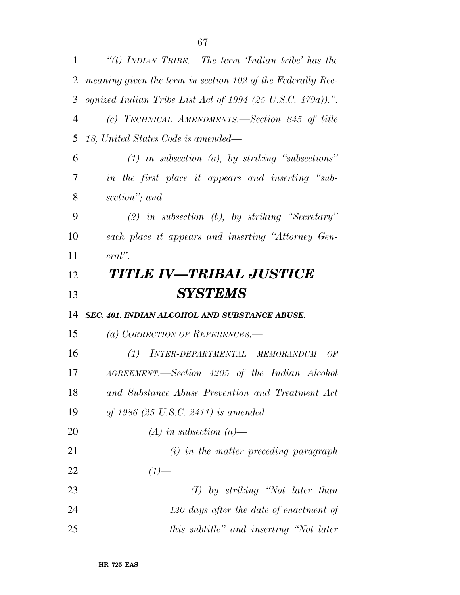| $\mathbf{1}$   | "(t) INDIAN TRIBE.—The term 'Indian tribe' has the          |
|----------------|-------------------------------------------------------------|
| $\overline{2}$ | meaning given the term in section 102 of the Federally Rec- |
| 3              | ognized Indian Tribe List Act of 1994 (25 U.S.C. 479a)).".  |
| $\overline{4}$ | (c) TECHNICAL AMENDMENTS.—Section 845 of title              |
| 5              | 18, United States Code is amended—                          |
| 6              | $(1)$ in subsection $(a)$ , by striking "subsections"       |
| 7              | in the first place it appears and inserting "sub-           |
| 8              | section"; and                                               |
| 9              | $(2)$ in subsection $(b)$ , by striking "Secretary"         |
| 10             | each place it appears and inserting "Attorney Gen-          |
| 11             | $eral$ ".                                                   |
| 12             | TITLE IV—TRIBAL JUSTICE                                     |
| 13             | <b>SYSTEMS</b>                                              |
| 14             | SEC. 401. INDIAN ALCOHOL AND SUBSTANCE ABUSE.               |
| 15             | (a) CORRECTION OF REFERENCES.-                              |
| 16             | INTER-DEPARTMENTAL MEMORANDUM<br>(1)<br>OF                  |
| 17             | AGREEMENT.—Section 4205 of the Indian Alcohol               |
| 18             | and Substance Abuse Prevention and Treatment Act            |
| 19             | of 1986 (25 U.S.C. 2411) is amended—                        |
| 20             | $(A)$ in subsection $(a)$ —                                 |
| 21             | $(i)$ in the matter preceding paragraph                     |
| 22             | $(1)$ —                                                     |
| 23             | $(I)$ by striking "Not later than                           |
| 24             | 120 days after the date of enactment of                     |
| 25             | this subtitle" and inserting "Not later                     |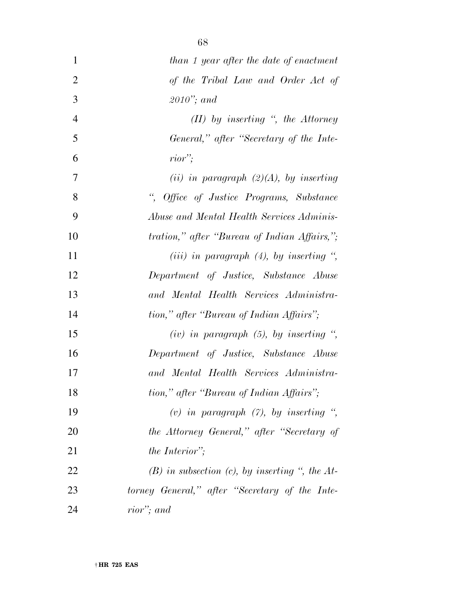| $\mathbf{1}$   | than 1 year after the date of enactment                       |
|----------------|---------------------------------------------------------------|
| $\overline{2}$ | of the Tribal Law and Order Act of                            |
| 3              | $2010$ "; and                                                 |
| $\overline{4}$ | $(II)$ by inserting ", the Attorney                           |
| 5              | General," after "Secretary of the Inte-                       |
| 6              | $rior$ :                                                      |
| 7              | (ii) in paragraph $(2)(A)$ , by inserting                     |
| 8              | $\frac{a}{\sqrt{2}}$<br>Office of Justice Programs, Substance |
| 9              | Abuse and Mental Health Services Adminis-                     |
| 10             | <i>tration,</i> " <i>after</i> "Bureau of Indian Affairs,";   |
| 11             | (iii) in paragraph $(4)$ , by inserting ",                    |
| 12             | Department of Justice, Substance Abuse                        |
| 13             | and Mental Health Services Administra-                        |
| 14             | tion," after "Bureau of Indian Affairs";                      |
| 15             | (iv) in paragraph $(5)$ , by inserting ",                     |
| 16             | Department of Justice, Substance Abuse                        |
| 17             | and Mental Health Services Administra-                        |
| 18             | tion," after "Bureau of Indian Affairs";                      |
| 19             | (v) in paragraph $(7)$ , by inserting ",                      |
| 20             | the Attorney General," after "Secretary of                    |
| 21             | the Interior";                                                |
| 22             | $(B)$ in subsection (c), by inserting ", the At-              |
| 23             | torney General," after "Secretary of the Inte-                |
| 24             | rior"; and                                                    |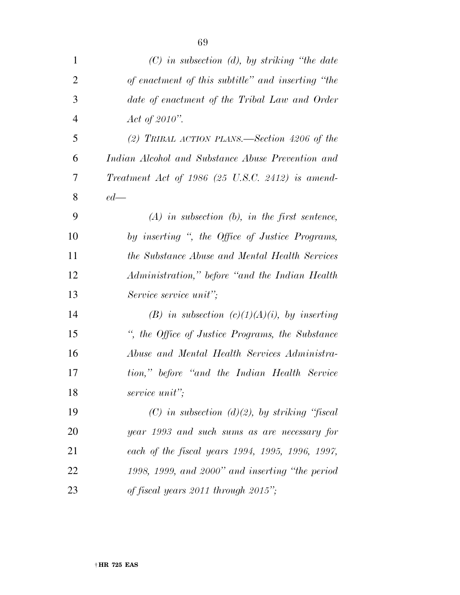| $\mathbf{1}$   | $(C)$ in subsection (d), by striking "the date"    |
|----------------|----------------------------------------------------|
| $\overline{2}$ | of enactment of this subtitle" and inserting "the  |
| 3              | date of enactment of the Tribal Law and Order      |
| $\overline{4}$ | Act of 2010".                                      |
| 5              | (2) TRIBAL ACTION PLANS.—Section 4206 of the       |
| 6              | Indian Alcohol and Substance Abuse Prevention and  |
| 7              | Treatment Act of $1986$ (25 U.S.C. 2412) is amend- |
| 8              | $ed$ —                                             |
| 9              | $(A)$ in subsection $(b)$ , in the first sentence, |
| 10             | by inserting ", the Office of Justice Programs,    |
| 11             | the Substance Abuse and Mental Health Services     |
| 12             | Administration," before "and the Indian Health     |
| 13             | Service service unit";                             |
| 14             | (B) in subsection $(c)(1)(A)(i)$ , by inserting    |
| 15             | ", the Office of Justice Programs, the Substance   |
| 16             | Abuse and Mental Health Services Administra-       |
| 17             | tion," before "and the Indian Health Service"      |
| 18             | service unit";                                     |
| 19             | $(C)$ in subsection $(d)(2)$ , by striking "fiscal |
| 20             | year 1993 and such sums as are necessary for       |
| 21             | each of the fiscal years 1994, 1995, 1996, 1997,   |
| 22             | 1998, 1999, and 2000" and inserting "the period    |
| 23             | of fiscal years 2011 through 2015";                |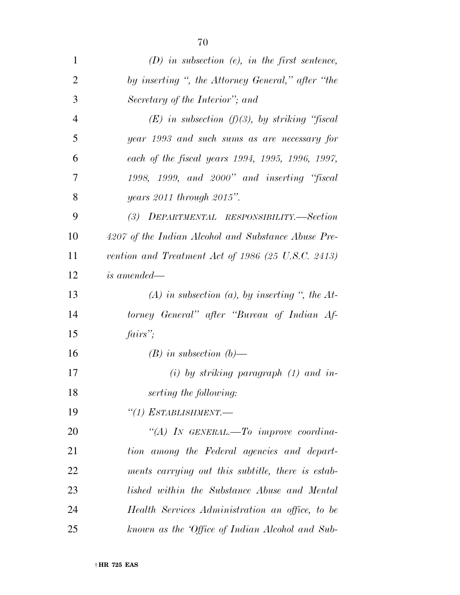| $\mathbf 1$    | $(D)$ in subsection (e), in the first sentence,               |
|----------------|---------------------------------------------------------------|
| $\overline{2}$ | by inserting ", the Attorney General," after "the             |
| 3              | Secretary of the Interior"; and                               |
| $\overline{4}$ | $(E)$ in subsection $(f)(3)$ , by striking "fiscal            |
| 5              | year 1993 and such sums as are necessary for                  |
| 6              | each of the fiscal years 1994, 1995, 1996, 1997,              |
| 7              | $1998, 1999,$ and $2000"$ and inserting "fiscal               |
| 8              | years 2011 through 2015".                                     |
| 9              | (3) DEPARTMENTAL RESPONSIBILITY.—Section                      |
| 10             | 4207 of the Indian Alcohol and Substance Abuse Pre-           |
| 11             | vention and Treatment Act of 1986 $(25 \text{ U.S.C. } 2413)$ |
| 12             | <i>is amended—</i>                                            |
| 13             | (A) in subsection (a), by inserting ", the $At$ -             |
| 14             | torney General" after "Bureau of Indian Af-                   |
| 15             | fairs                                                         |
| 16             | $(B)$ in subsection $(b)$ —                                   |
| 17             | $(i)$ by striking paragraph $(1)$ and in-                     |
| 18             | serting the following:                                        |
| 19             | $``(1)$ ESTABLISHMENT.-                                       |
| 20             | "(A) IN GENERAL.—To improve coordina-                         |
| 21             | tion among the Federal agencies and depart-                   |
| 22             | ments carrying out this subtitle, there is estab-             |
| 23             | lished within the Substance Abuse and Mental                  |
| 24             | Health Services Administration an office, to be               |
| 25             | known as the 'Office of Indian Alcohol and Sub-               |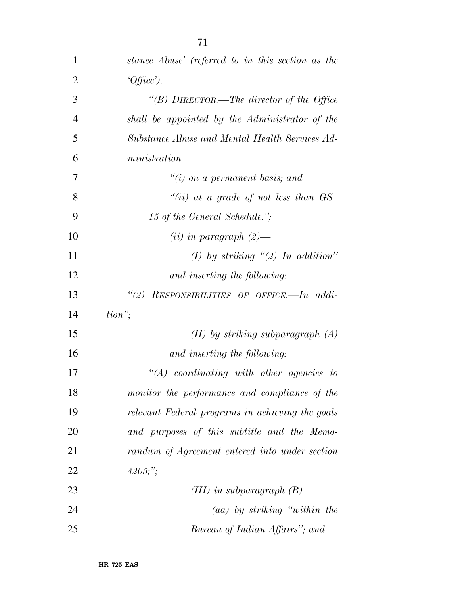| $\mathbf{1}$   | stance Abuse' (referred to in this section as the |
|----------------|---------------------------------------------------|
| 2              | $[Office$ .                                       |
| 3              | "(B) DIRECTOR.—The director of the Office         |
| $\overline{4}$ | shall be appointed by the Administrator of the    |
| 5              | Substance Abuse and Mental Health Services Ad-    |
| 6              | minisation                                        |

|    | $\lq\lq(i)$ on a permanent basis; and       |
|----|---------------------------------------------|
| 8  | "(ii) at a grade of not less than $GS-$     |
| 9  | 15 of the General Schedule.";               |
| 10 | $(ii)$ in paragraph $(2)$ —                 |
| 11 | (I) by striking $\lq(2)$ In addition"       |
| 12 | and inserting the following:                |
| 13 | RESPONSIBILITIES OF OFFICE.—In addi-<br>(2) |
| 14 | $tion$ ";                                   |

| 15 | $(II)$ by striking subparagraph $(A)$            |
|----|--------------------------------------------------|
| 16 | and inserting the following:                     |
| 17 | $\lq\lq (A)$ coordinating with other agencies to |
| 18 | monitor the performance and compliance of the    |
| 19 | relevant Federal programs in achieving the goals |
| 20 | and purposes of this subtitle and the Memo-      |
| 21 | randum of Agreement entered into under section   |
| 22 | $4205;$ ";                                       |
| 23 | (III) in subparagraph $(B)$ —                    |
|    |                                                  |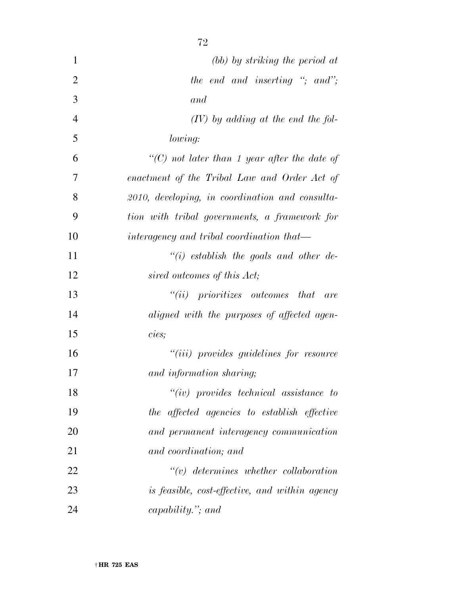| $\mathbf{1}$   | (bb) by striking the period at                     |
|----------------|----------------------------------------------------|
| $\overline{2}$ | the end and inserting "; and";                     |
| 3              | and                                                |
| $\overline{4}$ | $(IV)$ by adding at the end the fol-               |
| 5              | lowing:                                            |
| 6              | " $(C)$ not later than 1 year after the date of    |
| 7              | enactment of the Tribal Law and Order Act of       |
| 8              | $2010$ , developing, in coordination and consulta- |
| 9              | tion with tribal governments, a framework for      |
| 10             | interagency and tribal coordination that—          |
| 11             | $``(i)$ establish the goals and other de-          |
| 12             | sired outcomes of this Act;                        |
| 13             | $``(ii)$ prioritizes outcomes that<br>are          |
| 14             | aligned with the purposes of affected agen-        |
| 15             | cies;                                              |
| 16             | "( <i>iii</i> ) provides guidelines for resource   |
| 17             | and information sharing;                           |
| 18             | $``(iv)$ provides technical assistance to          |
| 19             | the affected agencies to establish effective       |
| 20             | and permanent interagency communication            |
| 21             | and coordination; and                              |
| 22             | $\lq\lq v$ determines whether collaboration        |
| 23             | is feasible, cost-effective, and within agency     |
| 24             | capability. $\dddot{y}$ , and                      |
|                |                                                    |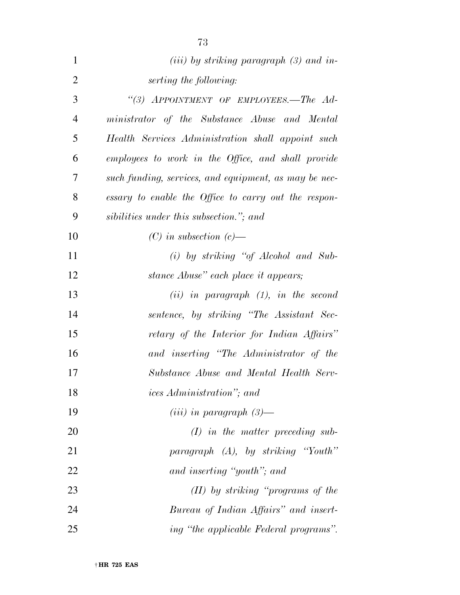| $\mathbf{1}$   | ( <i>iii</i> ) by striking paragraph $(3)$ and in-    |
|----------------|-------------------------------------------------------|
| $\overline{2}$ | serting the following:                                |
| 3              | "(3) APPOINTMENT OF EMPLOYEES.-The Ad-                |
| $\overline{4}$ | ministrator of the Substance Abuse and Mental         |
| 5              | Health Services Administration shall appoint such     |
| 6              | employees to work in the Office, and shall provide    |
| 7              | such funding, services, and equipment, as may be nec- |
| 8              | essary to enable the Office to carry out the respon-  |
| 9              | sibilities under this subsection."; and               |
| 10             | $(C)$ in subsection $(c)$ —                           |
| 11             | (i) by striking "of Alcohol and Sub-                  |
| 12             | stance Abuse" each place it appears;                  |
| 13             | $(ii)$ in paragraph $(1)$ , in the second             |
| 14             | sentence, by striking "The Assistant Sec-             |
| 15             | retary of the Interior for Indian Affairs"            |
| 16             | and inserting "The Administrator of the               |
| 17             | Substance Abuse and Mental Health Serv-               |
| 18             | <i>ices Administration</i> "; and                     |
| 19             | $(iii)$ in paragraph $(3)$ —                          |
| 20             | $(I)$ in the matter preceding sub-                    |
| 21             | paragraph (A), by striking "Youth"                    |
| 22             | and inserting "youth"; and                            |
| 23             | $(II)$ by striking "programs of the                   |
| 24             | Bureau of Indian Affairs" and insert-                 |
| 25             | ing "the applicable Federal programs".                |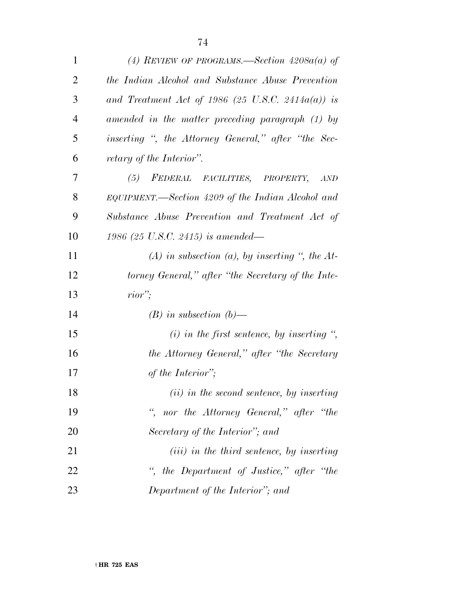| $\mathbf{1}$   | (4) REVIEW OF PROGRAMS.—Section $4208a(a)$ of         |
|----------------|-------------------------------------------------------|
| $\overline{2}$ | the Indian Alcohol and Substance Abuse Prevention     |
| 3              | and Treatment Act of 1986 (25 U.S.C. 2414 $a(a)$ ) is |
| $\overline{4}$ | amended in the matter preceding paragraph (1) by      |
| 5              | inserting ", the Attorney General," after "the Sec-   |
| 6              | retary of the Interior".                              |
| 7              | FEDERAL FACILITIES, PROPERTY,<br>(5)<br>AND           |
| 8              | EQUIPMENT.—Section 4209 of the Indian Alcohol and     |
| 9              | Substance Abuse Prevention and Treatment Act of       |
| 10             | 1986 (25 U.S.C. 2415) is amended—                     |
| 11             | $(A)$ in subsection $(a)$ , by inserting ", the At-   |
| 12             | torney General," after "the Secretary of the Inte-    |
| 13             | $rior$ ;                                              |
| 14             | $(B)$ in subsection $(b)$ —                           |
| 15             | $(i)$ in the first sentence, by inserting ",          |
| 16             | the Attorney General," after "the Secretary           |
| 17             | of the Interior";                                     |
| 18             | (ii) in the second sentence, by inserting             |
| 19             | ", nor the Attorney General," after "the              |
| 20             | Secretary of the Interior"; and                       |
| 21             | $(iii)$ in the third sentence, by inserting           |
| 22             | ", the Department of Justice," after "the             |
| 23             | Department of the Interior"; and                      |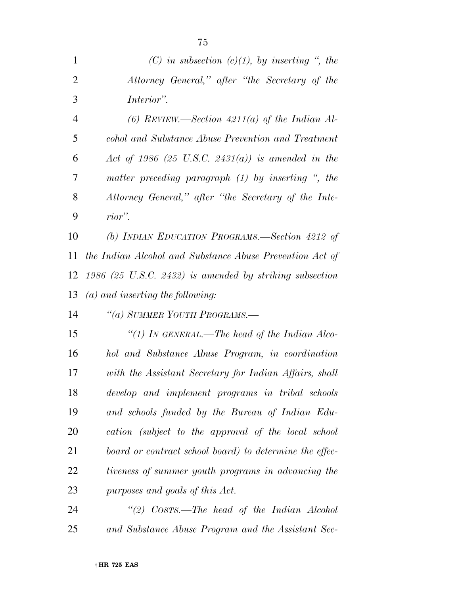| $\mathbf{1}$   | (C) in subsection (c)(1), by inserting ", the                 |
|----------------|---------------------------------------------------------------|
| $\overline{2}$ | Attorney General," after "the Secretary of the                |
| 3              | Interior".                                                    |
| $\overline{4}$ | (6) REVIEW.—Section $4211(a)$ of the Indian Al-               |
| 5              | cohol and Substance Abuse Prevention and Treatment            |
| 6              | Act of 1986 (25 U.S.C. 2431(a)) is amended in the             |
| 7              | matter preceding paragraph $(1)$ by inserting $\degree$ , the |
| 8              | Attorney General," after "the Secretary of the Inte-          |
| 9              | rior".                                                        |
| 10             | (b) INDIAN EDUCATION PROGRAMS.—Section 4212 of                |
| 11             | the Indian Alcohol and Substance Abuse Prevention Act of      |
| 12             | 1986 (25 U.S.C. 2432) is amended by striking subsection       |
| 13             | $(a)$ and inserting the following:                            |
| 14             | "(a) SUMMER YOUTH PROGRAMS.-                                  |
| 15             | "(1) In GENERAL.—The head of the Indian Alco-                 |
| 16             | hol and Substance Abuse Program, in coordination              |
| 17             | with the Assistant Secretary for Indian Affairs, shall        |
| 18             | develop and implement programs in tribal schools              |
| 19             | and schools funded by the Bureau of Indian Edu-               |
| 20             | cation (subject to the approval of the local school           |
| 21             | board or contract school board) to determine the effec-       |
| 22             | tiveness of summer youth programs in advancing the            |
| 23             | purposes and goals of this Act.                               |
| 24             | "(2) $Cosrs$ .—The head of the Indian Alcohol                 |

*and Substance Abuse Program and the Assistant Sec-*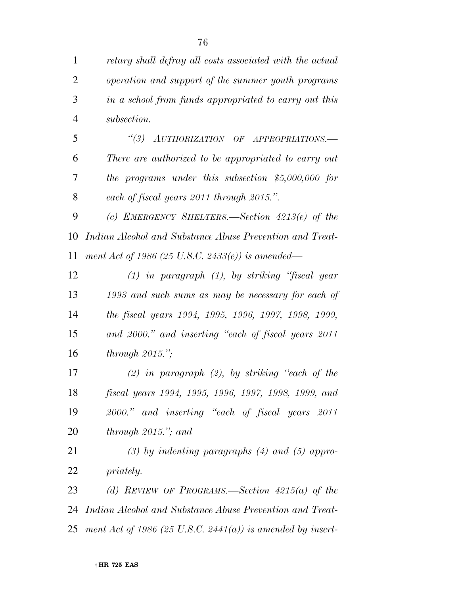| $\mathbf{1}$   | retary shall defray all costs associated with the actual   |
|----------------|------------------------------------------------------------|
| $\overline{2}$ | operation and support of the summer youth programs         |
| 3              | in a school from funds appropriated to carry out this      |
| $\overline{4}$ | subsection.                                                |
| 5              | (3)<br>AUTHORIZATION OF APPROPRIATIONS.                    |
| 6              | There are authorized to be appropriated to carry out       |
| 7              | the programs under this subsection $$5,000,000$ for        |
| 8              | each of fiscal years 2011 through 2015.".                  |
| 9              | (c) EMERGENCY SHELTERS.—Section $4213(e)$ of the           |
| 10             | Indian Alcohol and Substance Abuse Prevention and Treat-   |
| 11             | ment Act of 1986 (25 U.S.C. 2433(e)) is amended—           |
| 12             | $(1)$ in paragraph $(1)$ , by striking "fiscal year        |
| 13             | 1993 and such sums as may be necessary for each of         |
| 14             | the fiscal years 1994, 1995, 1996, 1997, 1998, 1999,       |
| 15             | and 2000." and inserting "each of fiscal years 2011        |
| 16             | through $2015$ .";                                         |
| 17             | $(2)$ in paragraph $(2)$ , by striking "each of the        |
| 18             | fiscal years 1994, 1995, 1996, 1997, 1998, 1999, and       |
| 19             | 2000." and inserting "each of fiscal years 2011            |
| 20             | through $2015$ ,"; and                                     |
| 21             | $(3)$ by indenting paragraphs $(4)$ and $(5)$ appro-       |
| 22             | <i>priately.</i>                                           |
| 23             | (d) REVIEW OF PROGRAMS.—Section $4215(a)$ of the           |
| 24             | Indian Alcohol and Substance Abuse Prevention and Treat-   |
| 25             | ment Act of 1986 (25 U.S.C. 2441(a)) is amended by insert- |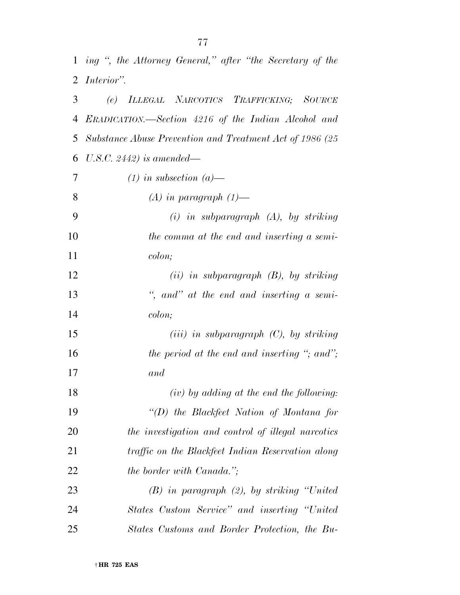*ing '', the Attorney General,'' after ''the Secretary of the* 

|    | 2 Interior".                                             |
|----|----------------------------------------------------------|
| 3  | (e) ILLEGAL NARCOTICS TRAFFICKING; SOURCE                |
| 4  | ERADICATION.—Section 4216 of the Indian Alcohol and      |
| 5  | Substance Abuse Prevention and Treatment Act of 1986 (25 |
| 6  | U.S.C. 2442) is amended—                                 |
| 7  | $(1)$ in subsection $(a)$ —                              |
| 8  | $(A)$ in paragraph $(1)$ —                               |
| 9  | $(i)$ in subparagraph $(A)$ , by striking                |
| 10 | the comma at the end and inserting a semi-               |
| 11 | colon;                                                   |
| 12 | $(ii)$ in subparagraph $(B)$ , by striking               |
| 13 | ", and" at the end and inserting a semi-                 |
| 14 | colon;                                                   |
| 15 | $(iii)$ in subparagraph $(C)$ , by striking              |
| 16 | the period at the end and inserting "; and";             |
| 17 | and                                                      |
| 18 | $(iv)$ by adding at the end the following:               |
| 19 | $``(D)$ the Blackfeet Nation of Montana for              |
| 20 | the investigation and control of illegal narcotics       |
| 21 | traffic on the Blackfeet Indian Reservation along        |
| 22 | <i>the border with Canada.</i> ";                        |
| 23 | $(B)$ in paragraph $(2)$ , by striking "United"          |
| 24 | States Custom Service" and inserting "United"            |
| 25 | States Customs and Border Protection, the Bu-            |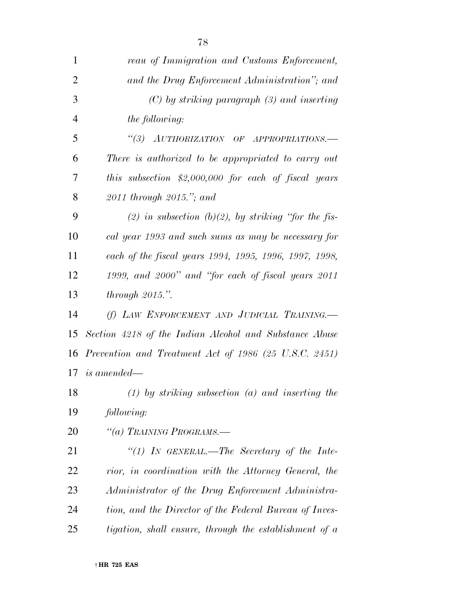| $\mathbf{1}$   | reau of Immigration and Customs Enforcement,           |
|----------------|--------------------------------------------------------|
| $\overline{2}$ | and the Drug Enforcement Administration"; and          |
| 3              | $(C)$ by striking paragraph $(3)$ and inserting        |
| $\overline{4}$ | the following:                                         |
| 5              | "(3) AUTHORIZATION OF APPROPRIATIONS.-                 |
| 6              | There is authorized to be appropriated to carry out    |
| 7              | this subsection $$2,000,000$ for each of fiscal years  |
| 8              | $2011$ through $2015$ ."; and                          |
| 9              | (2) in subsection (b)(2), by striking "for the fis-    |
| 10             | cal year 1993 and such sums as may be necessary for    |
| 11             | each of the fiscal years 1994, 1995, 1996, 1997, 1998, |
| 12             | 1999, and 2000" and "for each of fiscal years 2011     |
| 13             | through $2015$ .".                                     |
| 14             | (f) LAW ENFORCEMENT AND JUDICIAL TRAINING.             |
| 15             | Section 4218 of the Indian Alcohol and Substance Abuse |
| 16             | Prevention and Treatment Act of 1986 (25 U.S.C. 2451)  |
|                | $17$ is amended—                                       |
| 18             | $(1)$ by striking subsection $(a)$ and inserting the   |
| 19             | following:                                             |
| 20             | "(a) TRAINING PROGRAMS.—                               |
| 21             | "(1) IN GENERAL.—The Secretary of the Inte-            |
| 22             | rior, in coordination with the Attorney General, the   |
| 23             | Administrator of the Drug Enforcement Administra-      |
| 24             | tion, and the Director of the Federal Bureau of Inves- |
| 25             | tigation, shall ensure, through the establishment of a |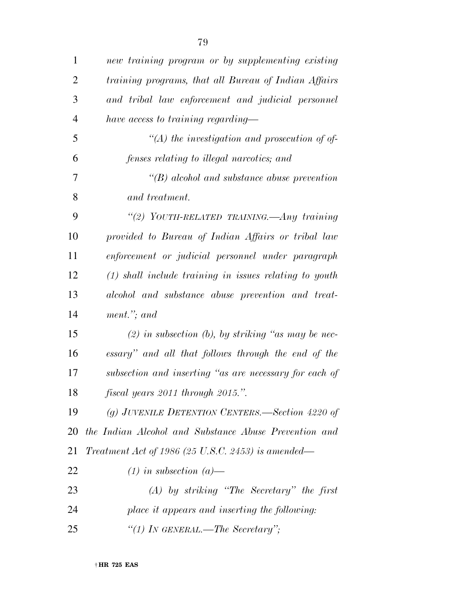| $\mathbf{1}$ | new training program or by supplementing existing        |
|--------------|----------------------------------------------------------|
| 2            | training programs, that all Bureau of Indian Affairs     |
| 3            | and tribal law enforcement and judicial personnel        |
| 4            | have access to training regarding—                       |
| 5            | $\lq (A)$ the investigation and prosecution of of-       |
| 6            | fenses relating to illegal narcotics; and                |
| 7            | $\lq\lq(B)$ alcohol and substance abuse prevention       |
| 8            | and treatment.                                           |
| 9            | "(2) YOUTH-RELATED TRAINING.—Any training                |
| 10           | provided to Bureau of Indian Affairs or tribal law       |
| 11           | enforcement or judicial personnel under paragraph        |
| 12           | $(1)$ shall include training in issues relating to youth |
| 13           | alcohol and substance abuse prevention and treat-        |
| 14           | ment."; and                                              |
| 15           | $(2)$ in subsection (b), by striking "as may be nec-     |
| 16           | essary" and all that follows through the end of the      |
| 17           | subsection and inserting "as are necessary for each of   |
| 18           | fiscal years 2011 through 2015.".                        |
| 19           | (g) JUVENILE DETENTION CENTERS.—Section 4220 of          |
| 20           | the Indian Alcohol and Substance Abuse Prevention and    |
| 21           | Treatment Act of 1986 (25 U.S.C. 2453) is amended—       |
| 22           | $(1)$ in subsection $(a)$ —                              |
| 23           | $(A)$ by striking "The Secretary" the first              |
| 24           | place it appears and inserting the following:            |
| 25           | "(1) In GENERAL.—The Secretary";                         |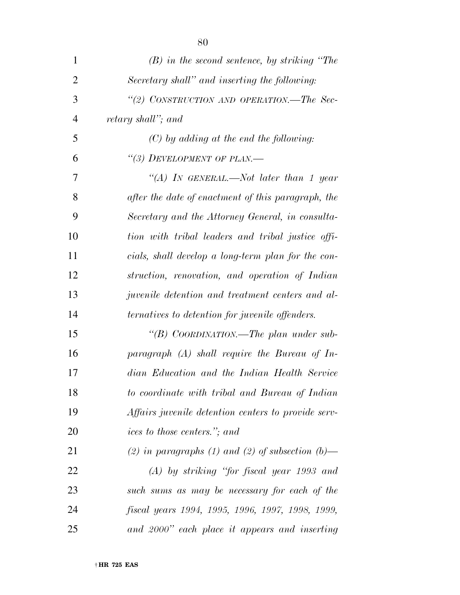| $\mathbf{1}$   | $(B)$ in the second sentence, by striking "The             |
|----------------|------------------------------------------------------------|
| $\overline{2}$ | Secretary shall" and inserting the following:              |
| 3              | "(2) CONSTRUCTION AND OPERATION.—The Sec-                  |
| $\overline{4}$ | retary shall"; and                                         |
| 5              | $(C)$ by adding at the end the following:                  |
| 6              | "(3) DEVELOPMENT OF PLAN.—                                 |
| 7              | "(A) In GENERAL.—Not later than 1 year                     |
| 8              | after the date of enactment of this paragraph, the         |
| 9              | Secretary and the Attorney General, in consulta-           |
| 10             | tion with tribal leaders and tribal justice offi-          |
| 11             | cials, shall develop a long-term plan for the con-         |
| 12             | struction, renovation, and operation of Indian             |
| 13             | <i>juvenile detention and treatment centers and al-</i>    |
| 14             | <i>ternatives to detention for juvenile offenders.</i>     |
| 15             | "(B) COORDINATION.—The plan under sub-                     |
| 16             | paragraph $(A)$ shall require the Bureau of In-            |
| 17             | dian Education and the Indian Health Service               |
| 18             | to coordinate with tribal and Bureau of Indian             |
| 19             | <i>Affairs juvenile detention centers to provide serv-</i> |
| 20             | <i>ices to those centers.</i> "; and                       |
| 21             | (2) in paragraphs (1) and (2) of subsection $(b)$ —        |
| 22             | $(A)$ by striking "for fiscal year 1993 and                |
| 23             | such sums as may be necessary for each of the              |
| 24             | fiscal years 1994, 1995, 1996, 1997, 1998, 1999,           |
| 25             | and 2000" each place it appears and inserting              |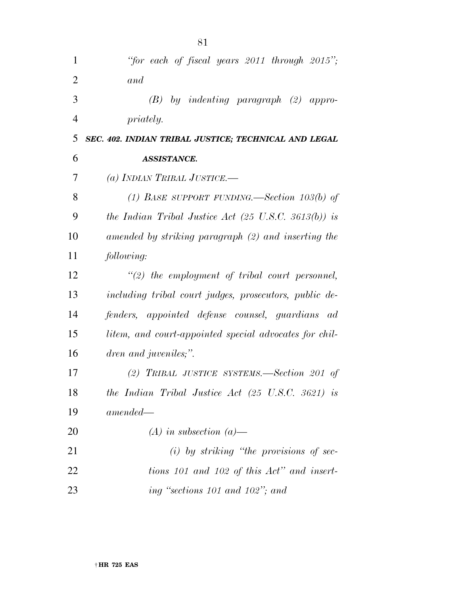| 1              | "for each of fiscal years $2011$ through $2015$ ";              |
|----------------|-----------------------------------------------------------------|
| $\overline{2}$ | and                                                             |
| 3              | by indenting paragraph (2) appro-<br>(B)                        |
| $\overline{4}$ | <i>priately.</i>                                                |
| 5              | SEC. 402. INDIAN TRIBAL JUSTICE; TECHNICAL AND LEGAL            |
| 6              | <b>ASSISTANCE.</b>                                              |
| 7              | (a) INDIAN TRIBAL JUSTICE.—                                     |
| 8              | (1) BASE SUPPORT FUNDING.—Section 103(b) of                     |
| 9              | the Indian Tribal Justice Act $(25 \text{ U.S.C. } 3613(b))$ is |
| 10             | amended by striking paragraph (2) and inserting the             |
| 11             | following:                                                      |
| 12             | $\lq(2)$ the employment of tribal court personnel,              |
| 13             | including tribal court judges, prosecutors, public de-          |
| 14             | fenders, appointed defense counsel, guardians ad                |
| 15             | litem, and court-appointed special advocates for chil-          |
| 16             | dren and juveniles;".                                           |
| 17             | (2) TRIBAL JUSTICE SYSTEMS.—Section 201 of                      |
| 18             | the Indian Tribal Justice Act $(25 \text{ U.S.C. } 3621)$ is    |
| 19             | $amended-$                                                      |
| 20             | $(A)$ in subsection $(a)$ —                                     |
| 21             | $(i)$ by striking "the provisions of sec-                       |
| 22             | tions 101 and 102 of this Act" and insert-                      |
| 23             | ing "sections 101 and 102"; and                                 |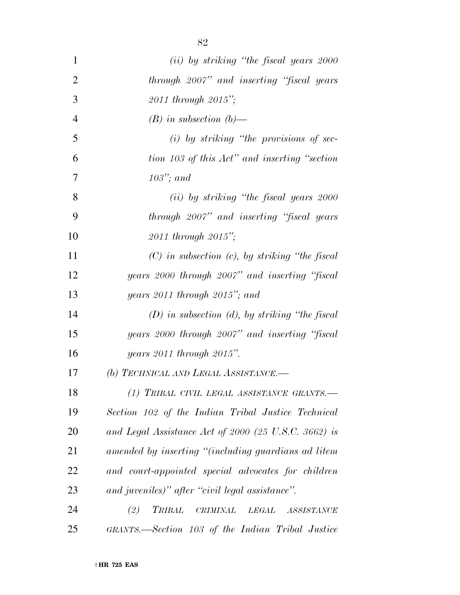| $\mathbf{1}$   | (ii) by striking "the fiscal years 2000                                           |
|----------------|-----------------------------------------------------------------------------------|
| $\overline{2}$ | through 2007" and inserting "fiscal years"                                        |
| 3              | 2011 through 2015";                                                               |
| $\overline{4}$ | $(B)$ in subsection $(b)$ —                                                       |
| 5              | $(i)$ by striking "the provisions of sec-                                         |
| 6              | tion 103 of this Act" and inserting "section                                      |
| 7              | $103$ "; and                                                                      |
| 8              | (ii) by striking "the fiscal years 2000                                           |
| 9              | through 2007" and inserting "fiscal years"                                        |
| 10             | $2011$ through $2015$ ";                                                          |
| 11             | $(C)$ in subsection $(c)$ , by striking "the fiscal                               |
| 12             | years 2000 through 2007" and inserting "fiscal                                    |
| 13             | years 2011 through 2015"; and                                                     |
| 14             | $(D)$ in subsection (d), by striking "the fiscal                                  |
| 15             | years 2000 through 2007" and inserting "fiscal                                    |
| 16             | years $2011$ through $2015$ ".                                                    |
| 17             | (b) TECHNICAL AND LEGAL ASSISTANCE.-                                              |
| 18             | (1) TRIBAL CIVIL LEGAL ASSISTANCE GRANTS.-                                        |
| 19             | Section 102 of the Indian Tribal Justice Technical                                |
| 20             | and Legal Assistance Act of 2000 (25 U.S.C. 3662) is                              |
| 21             | amended by inserting "(including guardians ad litem                               |
| 22             | and court-appointed special advocates for children                                |
| 23             | and juveniles)" after "civil legal assistance".                                   |
| 24             | (2)<br><b>TRIBAL</b><br>$\label{eq:CRIMINAL} CRIMINAL-LEGAL$<br><b>ASSISTANCE</b> |
| 25             | GRANTS.—Section 103 of the Indian Tribal Justice                                  |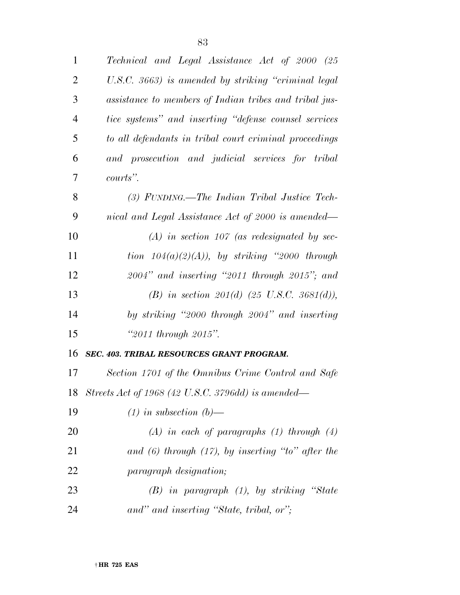| $\mathbf{1}$   | Technical and Legal Assistance Act of 2000 (25         |
|----------------|--------------------------------------------------------|
| $\overline{c}$ | U.S.C. 3663) is amended by striking "criminal legal    |
| 3              | assistance to members of Indian tribes and tribal jus- |
| $\overline{4}$ | tice systems" and inserting "defense counsel services" |
| 5              | to all defendants in tribal court criminal proceedings |
| 6              | and prosecution and judicial services for tribal       |
| 7              | courts".                                               |
| 8              | $(3)$ FUNDING.—The Indian Tribal Justice Tech-         |
| 9              | nical and Legal Assistance Act of 2000 is amended—     |
| 10             | $(A)$ in section 107 (as redesignated by sec-          |
| 11             | tion $104(a)(2)(A)$ , by striking "2000 through        |
| 12             | $2004"$ and inserting "2011 through 2015"; and         |
|                |                                                        |
| 13             | (B) in section $201(d)$ (25 U.S.C. 3681(d)),           |
| 14             | by striking "2000 through 2004" and inserting          |
| 15             | "2011 through 2015".                                   |
| 16             | SEC. 403. TRIBAL RESOURCES GRANT PROGRAM.              |
| 17             | Section 1701 of the Omnibus Crime Control and Safe     |
|                | 18 Streets Act of 1968 (42 U.S.C. 3796dd) is amended—  |
| 19             | $(1)$ in subsection $(b)$ —                            |
| 20             | $(A)$ in each of paragraphs $(1)$ through $(4)$        |
| 21             | and $(6)$ through $(17)$ , by inserting "to" after the |
| 22             | paragraph designation;                                 |
| 23             | $(B)$ in paragraph $(1)$ , by striking "State          |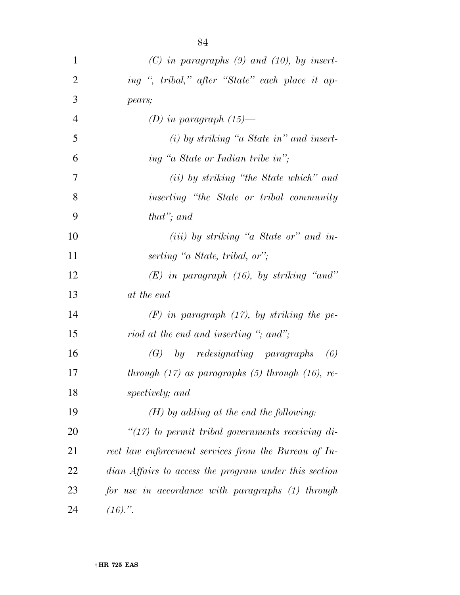| $\mathbf{1}$   | $(C)$ in paragraphs $(9)$ and $(10)$ , by insert-       |
|----------------|---------------------------------------------------------|
| $\overline{2}$ | ing ", tribal," after "State" each place it ap-         |
| 3              | pears;                                                  |
| $\overline{4}$ | (D) in paragraph $(15)$ —                               |
| 5              | $(i)$ by striking "a State in" and insert-              |
| 6              | ing "a State or Indian tribe in";                       |
| 7              | (ii) by striking "the State which" and                  |
| 8              | inserting "the State or tribal community                |
| 9              | that"; and                                              |
| 10             | $(iii)$ by striking "a State or" and in-                |
| 11             | serting "a State, tribal, or";                          |
| 12             | $(E)$ in paragraph (16), by striking "and"              |
| 13             | at the end                                              |
| 14             | $(F)$ in paragraph $(17)$ , by striking the pe-         |
| 15             | riod at the end and inserting "; and";                  |
| 16             | $(G)$ by redesignating paragraphs<br>(6)                |
| 17             | through $(17)$ as paragraphs $(5)$ through $(16)$ , re- |
| 18             | spectively; and                                         |
| 19             | $(H)$ by adding at the end the following:               |
| 20             | " $(17)$ to permit tribal governments receiving di-     |
| 21             | rect law enforcement services from the Bureau of In-    |
| 22             | dian Affairs to access the program under this section   |
| 23             | for use in accordance with paragraphs (1) through       |
| 24             | $(16).$ ".                                              |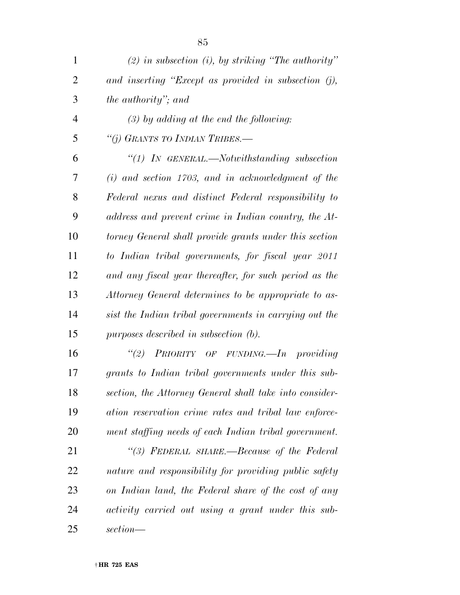| $\mathbf{1}$   | (2) in subsection (i), by striking "The authority"      |
|----------------|---------------------------------------------------------|
| $\overline{2}$ | and inserting "Except as provided in subsection $(j)$ , |
| 3              | the authority"; and                                     |
| $\overline{4}$ | $(3)$ by adding at the end the following:               |
| 5              | "(j) GRANTS TO INDIAN TRIBES.-                          |
| 6              | $\lq(1)$ In GENERAL.—Notwithstanding subsection         |
| 7              | $(i)$ and section 1703, and in acknowledgment of the    |
| 8              | Federal nexus and distinct Federal responsibility to    |
| 9              | address and prevent crime in Indian country, the At-    |
| 10             | torney General shall provide grants under this section  |
| 11             | to Indian tribal governments, for fiscal year 2011      |
| 12             | and any fiscal year thereafter, for such period as the  |
| 13             | Attorney General determines to be appropriate to as-    |
| 14             | sist the Indian tribal governments in carrying out the  |
| 15             | purposes described in subsection $(b)$ .                |
| 16             | "(2) PRIORITY OF FUNDING.—In providing                  |
| 17             | grants to Indian tribal governments under this sub-     |
| 18             | section, the Attorney General shall take into consider- |
| 19             | ation reservation crime rates and tribal law enforce-   |
| 20             | ment staffing needs of each Indian tribal government.   |
| 21             | "(3) FEDERAL SHARE.—Because of the Federal              |
| 22             | nature and responsibility for providing public safety   |
| 23             | on Indian land, the Federal share of the cost of any    |
| 24             | activity carried out using a grant under this sub-      |
| 25             | section—                                                |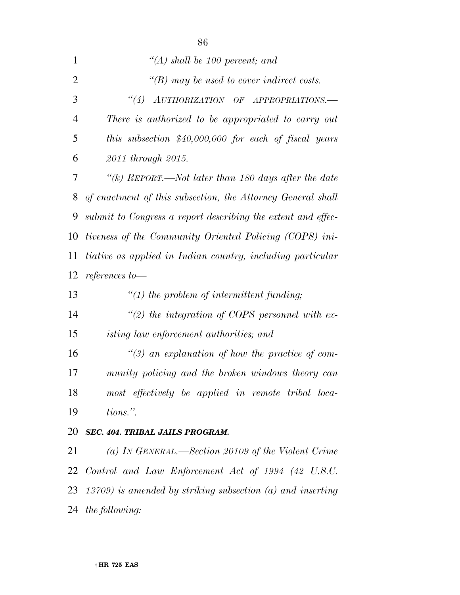| $\mathbf{1}$   | $\lq (A)$ shall be 100 percent; and                                                                               |
|----------------|-------------------------------------------------------------------------------------------------------------------|
| $\overline{2}$ | $\lq (B)$ may be used to cover indirect costs.                                                                    |
| 3              | $\label{eq:1} \textit{AUTHORIZATION OF} \quad \textit{OF} \quad \textit{APPROPRIATIONS}.\textit{---}$<br>$\lq(4)$ |
| $\overline{4}$ | There is authorized to be appropriated to carry out                                                               |
| 5              | this subsection $$40,000,000$ for each of fiscal years                                                            |
| 6              | 2011 through 2015.                                                                                                |
| 7              | "(k) REPORT.—Not later than 180 days after the date                                                               |
| 8              | of enactment of this subsection, the Attorney General shall                                                       |
| 9              | submit to Congress a report describing the extent and effec-                                                      |
| 10             | tiveness of the Community Oriented Policing (COPS) ini-                                                           |
| 11             | tiative as applied in Indian country, including particular                                                        |
| 12             | references to-                                                                                                    |
| 13             | $\lq(1)$ the problem of intermittent funding;                                                                     |
| 14             | "(2) the integration of COPS personnel with ex-                                                                   |
| 15             | isting law enforcement authorities; and                                                                           |
| 16             | $\lq(3)$ an explanation of how the practice of com-                                                               |
| 17             | munity policing and the broken windows theory can                                                                 |
| 18             | most effectively be applied in remote tribal loca-                                                                |
| 19             | tions.".                                                                                                          |
| 20             | <b>SEC. 404. TRIBAL JAILS PROGRAM.</b>                                                                            |
|                |                                                                                                                   |

 *(a) IN GENERAL.—Section 20109 of the Violent Crime Control and Law Enforcement Act of 1994 (42 U.S.C. 13709) is amended by striking subsection (a) and inserting the following:*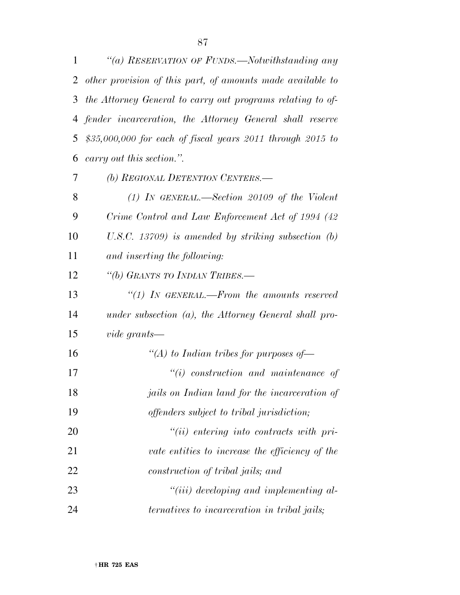| 1  | "(a) RESERVATION OF FUNDS.—Notwithstanding any                   |
|----|------------------------------------------------------------------|
| 2  | other provision of this part, of amounts made available to       |
| 3  | the Attorney General to carry out programs relating to of-       |
|    | 4 fender incarceration, the Attorney General shall reserve       |
| 5  | $$35,000,000$ for each of fiscal years 2011 through 2015 to      |
| 6  | carry out this section.".                                        |
| 7  | (b) REGIONAL DETENTION CENTERS.—                                 |
| 8  | $(1)$ In GENERAL.—Section 20109 of the Violent                   |
| 9  | Crime Control and Law Enforcement Act of 1994 (42)               |
| 10 | U.S.C. 13709) is amended by striking subsection $(b)$            |
| 11 | and inserting the following:                                     |
| 12 | "(b) GRANTS TO INDIAN TRIBES.—                                   |
| 13 | $\lq(1)$ IN GENERAL.—From the amounts reserved                   |
| 14 | under subsection $(a)$ , the Attorney General shall pro-         |
| 15 | vide grants—                                                     |
| 16 | "(A) to Indian tribes for purposes of $-$                        |
| 17 | $``(i)$ construction and maintenance of                          |
| 18 | <i>jails</i> on Indian land for the incarceration of             |
| 19 | offenders subject to tribal jurisdiction;                        |
| 20 | $``(ii)$ entering into contracts with pri-                       |
| 21 | vate entities to increase the efficiency of the                  |
| 22 | construction of tribal jails; and                                |
| 23 | $``(iii) \, \, developing \, \, and \, \, implementing \, \,al.$ |
| 24 | ternatives to incarceration in tribal jails;                     |

† **HR 725 EAS**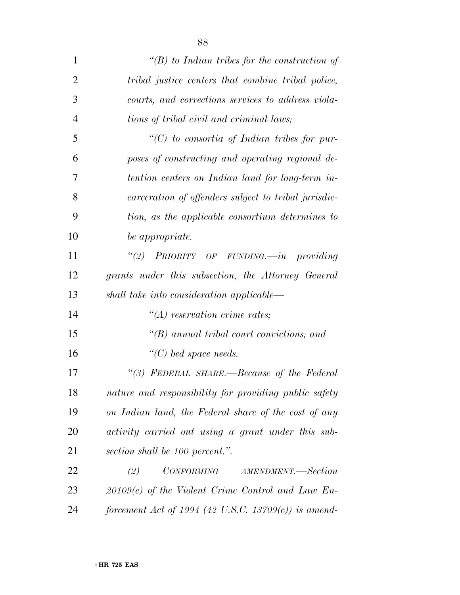| 1              | " $(B)$ to Indian tribes for the construction of         |
|----------------|----------------------------------------------------------|
| $\overline{2}$ | tribal justice centers that combine tribal police,       |
| 3              | courts, and corrections services to address viola-       |
| $\overline{4}$ | tions of tribal civil and criminal laws;                 |
| 5              | "(C) to consortia of Indian tribes for pur-              |
| 6              | poses of constructing and operating regional de-         |
| 7              | tention centers on Indian land for long-term in-         |
| 8              | carceration of offenders subject to tribal jurisdic-     |
| 9              | tion, as the applicable consortium determines to         |
| 10             | be appropriate.                                          |
| 11             | "(2) PRIORITY OF FUNDING.—in providing                   |
| 12             | grants under this subsection, the Attorney General       |
| 13             | shall take into consideration applicable—                |
| 14             | $\lq\lq (A)$ reservation crime rates;                    |
| 15             | $\lq (B)$ annual tribal court convictions; and           |
| 16             | $\lq\lq C$ ) bed space needs.                            |
| 17             | "(3) FEDERAL SHARE.-Because of the Federal               |
| 18             | nature and responsibility for providing public safety    |
| 19             | on Indian land, the Federal share of the cost of any     |
| 20             | activity carried out using a grant under this sub-       |
| 21             | section shall be 100 percent.".                          |
| 22             | <i>CONFORMING</i><br>AMENDMENT.-Section<br>(2)           |
| 23             | $20109(c)$ of the Violent Crime Control and Law En-      |
| 24             | forcement Act of 1994 (42 U.S.C. 13709 $(c)$ ) is amend- |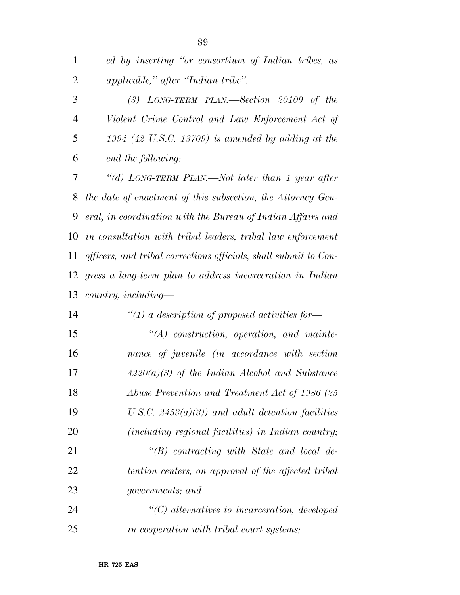| 3              | $(3)$ LONG-TERM PLAN.—Section 20109 of the                       |
|----------------|------------------------------------------------------------------|
| $\overline{4}$ | Violent Crime Control and Law Enforcement Act of                 |
| 5              | $1994$ (42 U.S.C. 13709) is amended by adding at the             |
| 6              | end the following:                                               |
| 7              | "(d) LONG-TERM PLAN.—Not later than 1 year after                 |
| 8              | the date of enactment of this subsection, the Attorney Gen-      |
| 9              | eral, in coordination with the Bureau of Indian Affairs and      |
| 10             | in consultation with tribal leaders, tribal law enforcement      |
| 11             | officers, and tribal corrections officials, shall submit to Con- |
| 12             | gress a long-term plan to address incarceration in Indian        |
| 13             | $country, including-$                                            |
| 14             | "(1) a description of proposed activities for-                   |
| 15             | $\lq (A)$ construction, operation, and mainte-                   |
| 16             | nance of juvenile (in accordance with section                    |
| 17             | $4220(a)(3)$ of the Indian Alcohol and Substance                 |
| 18             | Abuse Prevention and Treatment Act of 1986 (25                   |
| 19             | U.S.C. $2453(a)(3)$ and adult detention facilities               |
| 20             | (including regional facilities) in Indian country;               |
| 21             | $\lq\lq B$ contracting with State and local de-                  |
| 22             | tention centers, on approval of the affected tribal              |
| 23             | <i>governments</i> ; and                                         |
| 24             | $\lq$ (C) alternatives to incarceration, developed               |
| 25             | in cooperation with tribal court systems;                        |
|                |                                                                  |

 *ed by inserting ''or consortium of Indian tribes, as applicable,'' after ''Indian tribe''.*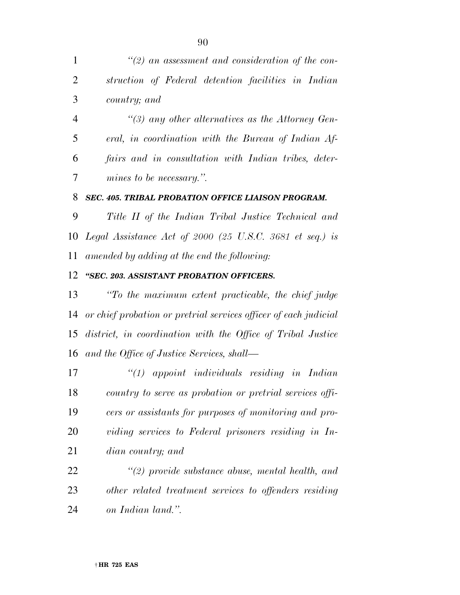*''(3) any other alternatives as the Attorney Gen- eral, in coordination with the Bureau of Indian Af- fairs and in consultation with Indian tribes, deter-mines to be necessary.''.* 

#### *SEC. 405. TRIBAL PROBATION OFFICE LIAISON PROGRAM.*

 *Title II of the Indian Tribal Justice Technical and Legal Assistance Act of 2000 (25 U.S.C. 3681 et seq.) is amended by adding at the end the following:* 

#### *''SEC. 203. ASSISTANT PROBATION OFFICERS.*

 *''To the maximum extent practicable, the chief judge or chief probation or pretrial services officer of each judicial district, in coordination with the Office of Tribal Justice and the Office of Justice Services, shall—* 

 *''(1) appoint individuals residing in Indian country to serve as probation or pretrial services offi- cers or assistants for purposes of monitoring and pro- viding services to Federal prisoners residing in In-dian country; and* 

 *''(2) provide substance abuse, mental health, and other related treatment services to offenders residing on Indian land.''.*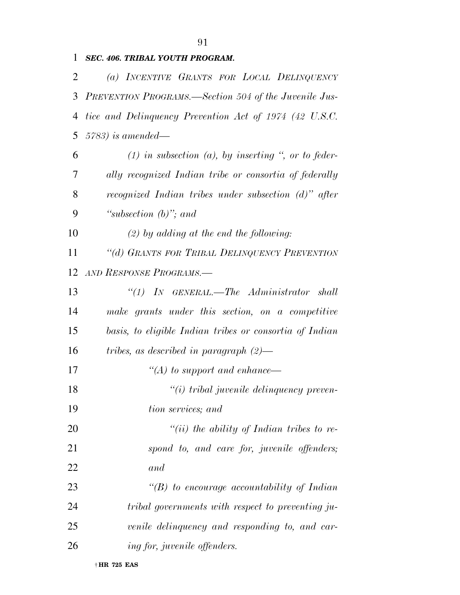## *SEC. 406. TRIBAL YOUTH PROGRAM. (a) INCENTIVE GRANTS FOR LOCAL DELINQUENCY PREVENTION PROGRAMS.—Section 504 of the Juvenile Jus- tice and Delinquency Prevention Act of 1974 (42 U.S.C. 5783) is amended— (1) in subsection (a), by inserting '', or to feder- ally recognized Indian tribe or consortia of federally recognized Indian tribes under subsection (d)'' after ''subsection (b)''; and (2) by adding at the end the following: ''(d) GRANTS FOR TRIBAL DELINQUENCY PREVENTION AND RESPONSE PROGRAMS.— ''(1) IN GENERAL.—The Administrator shall make grants under this section, on a competitive basis, to eligible Indian tribes or consortia of Indian tribes, as described in paragraph (2)— ''(A) to support and enhance— ''(i) tribal juvenile delinquency preven- tion services; and ''(ii) the ability of Indian tribes to re- spond to, and care for, juvenile offenders; and*

 *''(B) to encourage accountability of Indian tribal governments with respect to preventing ju- venile delinquency and responding to, and car-ing for, juvenile offenders.*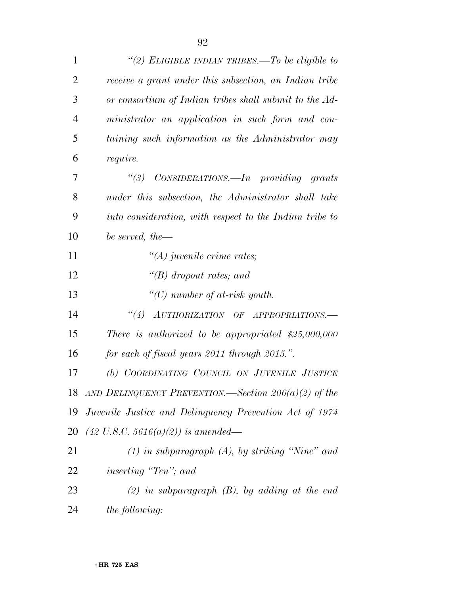| $\mathbf{1}$   | "(2) ELIGIBLE INDIAN TRIBES.—To be eligible to                                                                    |
|----------------|-------------------------------------------------------------------------------------------------------------------|
| $\overline{2}$ | receive a grant under this subsection, an Indian tribe                                                            |
| 3              | or consortium of Indian tribes shall submit to the Ad-                                                            |
| $\overline{4}$ | ministrator an application in such form and con-                                                                  |
| 5              | taining such information as the Administrator may                                                                 |
| 6              | require.                                                                                                          |
| 7              | "(3) CONSIDERATIONS.—In providing grants                                                                          |
| 8              | under this subsection, the Administrator shall take                                                               |
| 9              | into consideration, with respect to the Indian tribe to                                                           |
| 10             | be served, the $-$                                                                                                |
| 11             | $\lq (A)$ juvenile crime rates;                                                                                   |
| 12             | "(B) dropout rates; and                                                                                           |
| 13             | "(C) number of at-risk youth.                                                                                     |
| 14             | $\label{eq:1} \textit{AUTHORIZATION OF} \quad \textit{OF} \quad \textit{APPROPRIATIONS}.\textit{---}$<br>$\lq(4)$ |
| 15             | There is authorized to be appropriated $$25,000,000$                                                              |
| 16             | for each of fiscal years 2011 through 2015.".                                                                     |
| 17             | (b) COORDINATING COUNCIL ON JUVENILE JUSTICE                                                                      |
|                | 18 AND DELINQUENCY PREVENTION.—Section $206(a)(2)$ of the                                                         |
|                | 19 Juvenile Justice and Delinquency Prevention Act of 1974                                                        |
| 20             | $(42 \text{ U.S.C. } 5616(a)(2))$ is amended—                                                                     |
| 21             | $(1)$ in subparagraph $(A)$ , by striking "Nine" and                                                              |
| 22             | <i>inserting</i> "Ten"; and                                                                                       |
| 23             | $(2)$ in subparagraph $(B)$ , by adding at the end                                                                |
| 24             | the following:                                                                                                    |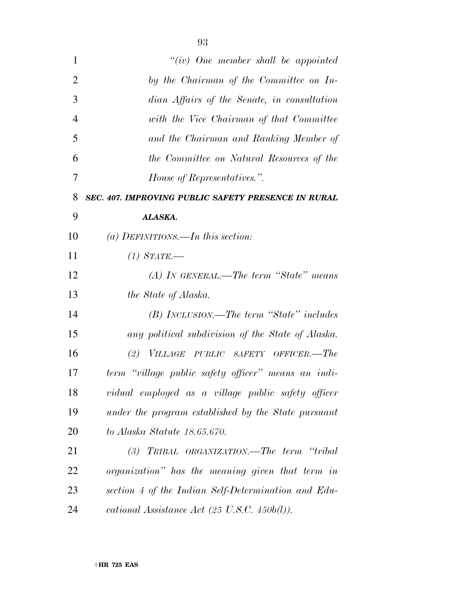| $\mathbf{1}$   | "(iv) One member shall be appointed                      |
|----------------|----------------------------------------------------------|
| $\overline{2}$ | by the Chairman of the Committee on In-                  |
| 3              | dian Affairs of the Senate, in consultation              |
| $\overline{4}$ | with the Vice Chairman of that Committee                 |
| 5              | and the Chairman and Ranking Member of                   |
| 6              | the Committee on Natural Resources of the                |
| 7              | <i>House of Representatives.</i> ".                      |
| 8              | SEC. 407. IMPROVING PUBLIC SAFETY PRESENCE IN RURAL      |
| 9              | ALASKA.                                                  |
| 10             | (a) DEFINITIONS.—In this section:                        |
| 11             | $(1)$ STATE.—                                            |
| 12             | $(A)$ In GENERAL.—The term "State" means                 |
| 13             | the State of Alaska.                                     |
| 14             | (B) INCLUSION.—The term "State" includes                 |
| 15             | any political subdivision of the State of Alaska.        |
| 16             | (2) VILLAGE PUBLIC SAFETY OFFICER.—The                   |
| 17             | term "village public safety officer" means an indi-      |
| 18             | vidual employed as a village public safety officer       |
| 19             | under the program established by the State pursuant      |
| 20             | to Alaska Statute 18.65.670.                             |
| 21             | (3) TRIBAL ORGANIZATION.—The term "tribal                |
| 22             | organization" has the meaning given that term in         |
| 23             | section 4 of the Indian Self-Determination and Edu-      |
| 24             | cational Assistance Act $(25 \text{ U.S.C. } 450b(l))$ . |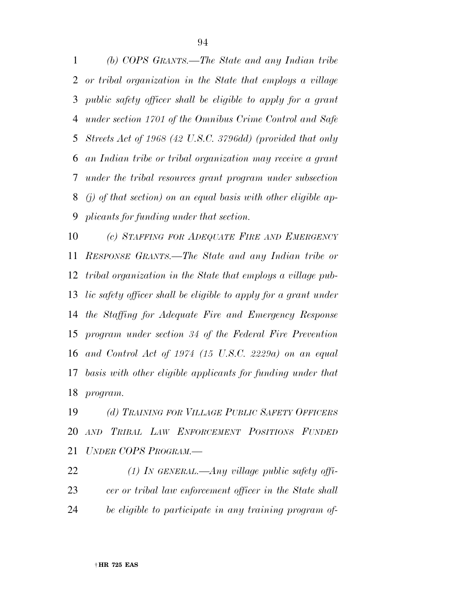*(b) COPS GRANTS.—The State and any Indian tribe or tribal organization in the State that employs a village public safety officer shall be eligible to apply for a grant under section 1701 of the Omnibus Crime Control and Safe Streets Act of 1968 (42 U.S.C. 3796dd) (provided that only an Indian tribe or tribal organization may receive a grant under the tribal resources grant program under subsection (j) of that section) on an equal basis with other eligible ap-plicants for funding under that section.* 

 *(c) STAFFING FOR ADEQUATE FIRE AND EMERGENCY RESPONSE GRANTS.—The State and any Indian tribe or tribal organization in the State that employs a village pub- lic safety officer shall be eligible to apply for a grant under the Staffing for Adequate Fire and Emergency Response program under section 34 of the Federal Fire Prevention and Control Act of 1974 (15 U.S.C. 2229a) on an equal basis with other eligible applicants for funding under that program.* 

 *(d) TRAINING FOR VILLAGE PUBLIC SAFETY OFFICERS AND TRIBAL LAW ENFORCEMENT POSITIONS FUNDED UNDER COPS PROGRAM.—* 

 *(1) IN GENERAL.—Any village public safety offi- cer or tribal law enforcement officer in the State shall be eligible to participate in any training program of-*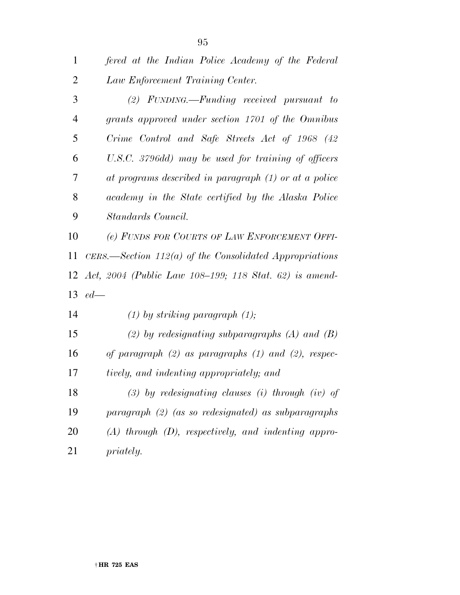| $\mathbf{1}$   | fered at the Indian Police Academy of the Federal          |
|----------------|------------------------------------------------------------|
| $\overline{2}$ | Law Enforcement Training Center.                           |
| 3              | $(2)$ FUNDING.—Funding received pursuant to                |
| $\overline{4}$ | grants approved under section 1701 of the Omnibus          |
| 5              | Crime Control and Safe Streets Act of 1968 (42             |
| 6              | U.S.C. 3796dd) may be used for training of officers        |
| 7              | at programs described in paragraph (1) or at a police      |
| 8              | academy in the State certified by the Alaska Police        |
| 9              | Standards Council.                                         |
| 10             | (e) FUNDS FOR COURTS OF LAW ENFORCEMENT OFFI-              |
| 11             | CERS.—Section $112(a)$ of the Consolidated Appropriations  |
|                | 12 Act, 2004 (Public Law 108-199; 118 Stat. 62) is amend-  |
|                | 13 $ed-$                                                   |
| 14             | $(1)$ by striking paragraph $(1)$ ;                        |
| 15             | (2) by redesignating subparagraphs $(A)$ and $(B)$         |
| 16             | of paragraph $(2)$ as paragraphs $(1)$ and $(2)$ , respec- |
| 17             | tively, and indenting appropriately; and                   |
|                |                                                            |

 *(3) by redesignating clauses (i) through (iv) of paragraph (2) (as so redesignated) as subparagraphs (A) through (D), respectively, and indenting appro-priately.*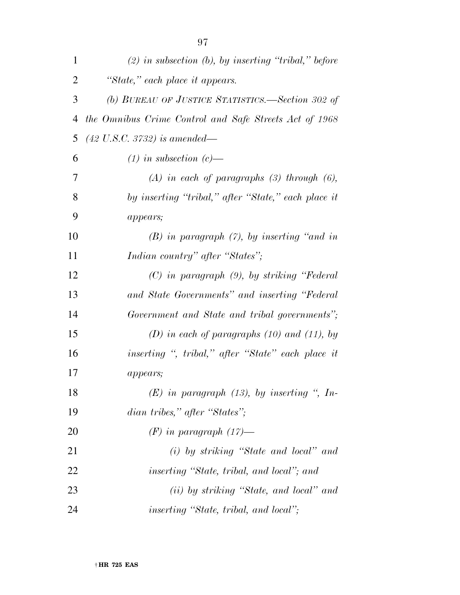| $\mathbf{1}$   | $(2)$ in subsection $(b)$ , by inserting "tribal," before |
|----------------|-----------------------------------------------------------|
| $\overline{2}$ | "State," each place it appears.                           |
| 3              | (b) BUREAU OF JUSTICE STATISTICS.—Section 302 of          |
| 4              | the Omnibus Crime Control and Safe Streets Act of 1968    |
| 5              | $(42 \text{ U.S.C. } 3732)$ is amended—                   |
| 6              | $(1)$ in subsection $(c)$ —                               |
| 7              | $(A)$ in each of paragraphs $(B)$ through $(B)$ ,         |
| 8              | by inserting "tribal," after "State," each place it       |
| 9              | appears;                                                  |
| 10             | $(B)$ in paragraph $(7)$ , by inserting "and in           |
| 11             | Indian country" after "States";                           |
| 12             | $(C)$ in paragraph $(9)$ , by striking "Federal"          |
| 13             | and State Governments" and inserting "Federal             |
| 14             | Government and State and tribal governments";             |
| 15             | $(D)$ in each of paragraphs (10) and (11), by             |
| 16             | inserting ", tribal," after "State" each place it         |
| 17             | <i>appears;</i>                                           |
| 18             | $(E)$ in paragraph (13), by inserting ", In-              |
| 19             | dian tribes," after "States";                             |
| 20             | $(F)$ in paragraph $(17)$ —                               |
| 21             | $(i)$ by striking "State and local" and                   |
| 22             | <i>inserting "State, tribal, and local"; and</i>          |
| 23             | (ii) by striking "State, and local" and                   |
| 24             | <i>inserting "State, tribal, and local"</i> ;             |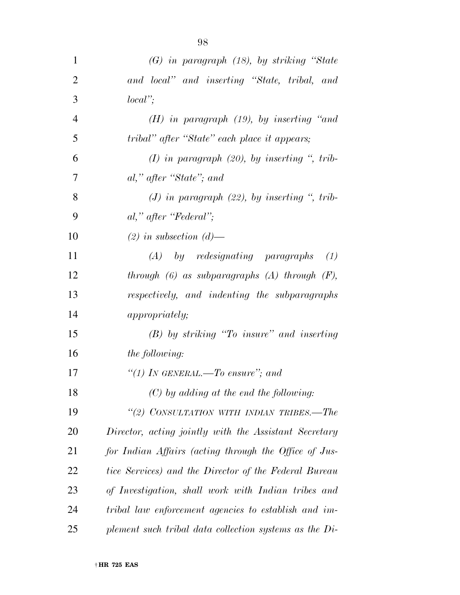| $\mathbf{1}$   | $(G)$ in paragraph $(18)$ , by striking "State           |
|----------------|----------------------------------------------------------|
| $\overline{2}$ | and local" and inserting "State, tribal, and             |
| 3              | $local$ ";                                               |
| $\overline{4}$ | $(H)$ in paragraph $(19)$ , by inserting "and            |
| 5              | tribal" after "State" each place it appears;             |
| 6              | $(I)$ in paragraph $(20)$ , by inserting ", trib-        |
| 7              | al," after "State"; and                                  |
| 8              | (J) in paragraph $(22)$ , by inserting ", trib-          |
| 9              | $al$ ," after "Federal";                                 |
| 10             | $(2)$ in subsection $(d)$ —                              |
| 11             | $(A)$ by redesignating paragraphs<br>(1)                 |
| 12             | through $(6)$ as subparagraphs $(A)$ through $(F)$ ,     |
| 13             | respectively, and indenting the subparagraphs            |
| 14             | <i>appropriately;</i>                                    |
| 15             | $(B)$ by striking "To insure" and inserting              |
| 16             | <i>the following:</i>                                    |
| 17             | "(1) In GENERAL.—To ensure"; and                         |
| 18             | $(C)$ by adding at the end the following:                |
| 19             | "(2) CONSULTATION WITH INDIAN TRIBES.-The                |
| <b>20</b>      | Director, acting jointly with the Assistant Secretary    |
| 21             | for Indian Affairs (acting through the Office of Jus-    |
| 22             | tice Services) and the Director of the Federal Bureau    |
| 23             | of Investigation, shall work with Indian tribes and      |
| 24             | tribal law enforcement agencies to establish and im-     |
| 25             | plement such tribal data collection systems as the $Di-$ |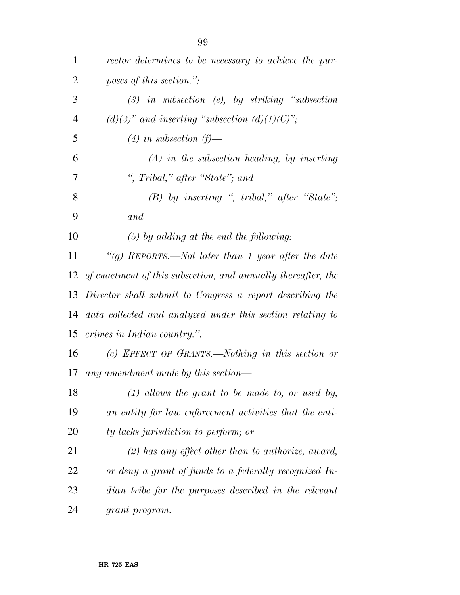| $\mathbf{1}$   | rector determines to be necessary to achieve the pur-            |
|----------------|------------------------------------------------------------------|
| $\overline{2}$ | poses of this section.";                                         |
| 3              | $(3)$ in subsection (e), by striking "subsection                 |
| $\overline{4}$ | $(d)(3)$ " and inserting "subsection $(d)(1)(C)$ ";              |
| 5              | $(4)$ in subsection $(f)$ —                                      |
| 6              | $(A)$ in the subsection heading, by inserting                    |
| 7              | ", Tribal," after "State"; and                                   |
| 8              | $(B)$ by inserting ", tribal," after "State";                    |
| 9              | and                                                              |
| 10             | $(5)$ by adding at the end the following:                        |
| 11             | "(g) REPORTS.—Not later than 1 year after the date               |
|                | 12 of enactment of this subsection, and annually thereafter, the |
| 13             | Director shall submit to Congress a report describing the        |
| 14             | data collected and analyzed under this section relating to       |
| 15             | crimes in Indian country.".                                      |
| 16             | (c) EFFECT OF GRANTS.—Nothing in this section or                 |
| 17             | any amendment made by this section—                              |
| 18             | $(1)$ allows the grant to be made to, or used by,                |
| 19             | an entity for law enforcement activities that the enti-          |
| 20             | ty lacks jurisdiction to perform; or                             |
| 21             | $(2)$ has any effect other than to authorize, award,             |
| 22             | or deny a grant of funds to a federally recognized In-           |
| 23             | dian tribe for the purposes described in the relevant            |
| 24             | grant program.                                                   |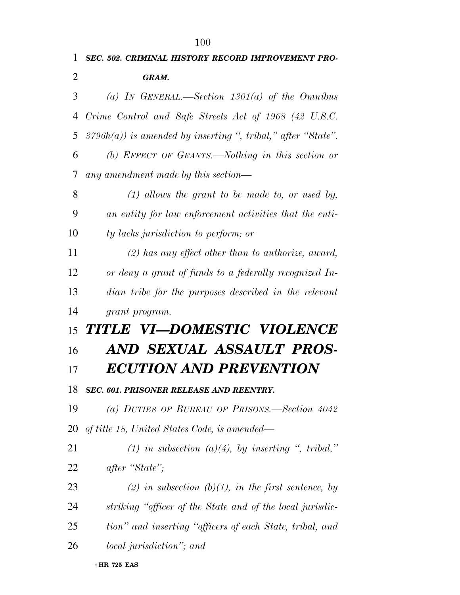| 1              | SEC. 502. CRIMINAL HISTORY RECORD IMPROVEMENT PRO-              |
|----------------|-----------------------------------------------------------------|
| $\overline{2}$ | <b>GRAM.</b>                                                    |
| 3              | (a) IN GENERAL.—Section $1301(a)$ of the Omnibus                |
| 4              | Crime Control and Safe Streets Act of 1968 (42 U.S.C.           |
| 5              | $3796h(a)$ ) is amended by inserting ", tribal," after "State". |
| 6              | (b) EFFECT OF GRANTS.—Nothing in this section or                |
| 7              | any amendment made by this section—                             |
| 8              | $(1)$ allows the grant to be made to, or used by,               |
| 9              | an entity for law enforcement activities that the enti-         |
| 10             | ty lacks jurisdiction to perform; or                            |
| 11             | $(2)$ has any effect other than to authorize, award,            |
| 12             | or deny a grant of funds to a federally recognized In-          |
| 13             | dian tribe for the purposes described in the relevant           |
| 14             | grant program.                                                  |
| 15             | TITLE VI—DOMESTIC VIOLENCE                                      |
| 16             | AND SEXUAL ASSAULT PROS-                                        |
| 17             | ECUTION AND PREVENTION                                          |
| 18             | <b>SEC. 601. PRISONER RELEASE AND REENTRY.</b>                  |
| 19             | (a) DUTIES OF BUREAU OF PRISONS.—Section 4042                   |
| <b>20</b>      | of title 18, United States Code, is amended—                    |
| 21             | (1) in subsection (a)(4), by inserting ", tribal,"              |
| 22             | after "State";                                                  |
| 23             | (2) in subsection (b)(1), in the first sentence, by             |
| 24             | striking "officer of the State and of the local jurisdic-       |
| 25             | tion" and inserting "officers of each State, tribal, and        |
| 26             | <i>local jurisdiction</i> "; and                                |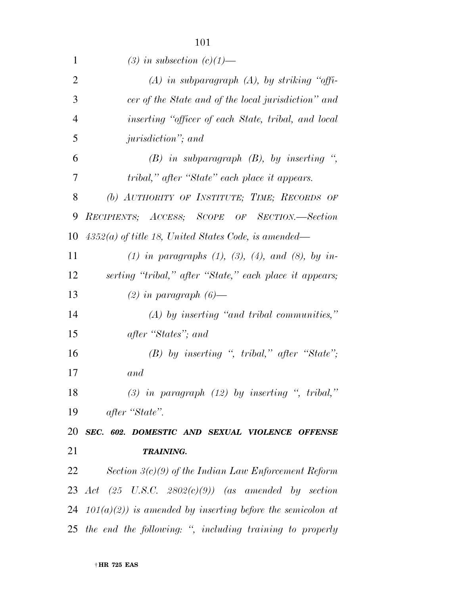| 1              | (3) in subsection $(c)(1)$ —                                    |
|----------------|-----------------------------------------------------------------|
| $\overline{2}$ | $(A)$ in subparagraph $(A)$ , by striking "offi-                |
| 3              | cer of the State and of the local jurisdiction" and             |
| $\overline{4}$ | inserting "officer of each State, tribal, and local             |
| 5              | <i>jurisdiction</i> "; and                                      |
| 6              | $(B)$ in subparagraph $(B)$ , by inserting ",                   |
| 7              | tribal," after "State" each place it appears.                   |
| 8              | (b) AUTHORITY OF INSTITUTE; TIME; RECORDS OF                    |
| 9              | RECIPIENTS; ACCESS; SCOPE OF SECTION.-Section                   |
| 10             | $4352(a)$ of title 18, United States Code, is amended—          |
| 11             | (1) in paragraphs (1), (3), (4), and (8), by in-                |
| 12             | serting "tribal," after "State," each place it appears;         |
| 13             | $(2)$ in paragraph $(6)$ —                                      |
| 14             | $(A)$ by inserting "and tribal communities,"                    |
| 15             | after "States"; and                                             |
| 16             | $(B)$ by inserting ", tribal," after "State";                   |
| 17             | and                                                             |
| 18             | $(3)$ in paragraph $(12)$ by inserting ", tribal,"              |
| 19             | after "State".                                                  |
|                | 20 SEC. 602. DOMESTIC AND SEXUAL VIOLENCE OFFENSE               |
| 21             | <b>TRAINING.</b>                                                |
| 22             | $Section 3(c)(9)$ of the Indian Law Enforcement Reform          |
|                | 23 Act $(25 \text{ U.S.C. } 2802(c)(9))$ (as amended by section |
|                | 24 $101(a)(2)$ is amended by inserting before the semicolon at  |
|                | 25 the end the following: ", including training to properly     |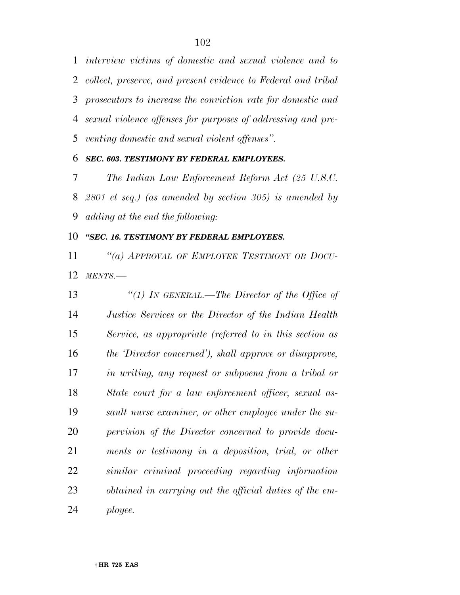*interview victims of domestic and sexual violence and to collect, preserve, and present evidence to Federal and tribal prosecutors to increase the conviction rate for domestic and sexual violence offenses for purposes of addressing and pre-venting domestic and sexual violent offenses''.* 

#### *SEC. 603. TESTIMONY BY FEDERAL EMPLOYEES.*

 *The Indian Law Enforcement Reform Act (25 U.S.C. 2801 et seq.) (as amended by section 305) is amended by adding at the end the following:* 

#### *''SEC. 16. TESTIMONY BY FEDERAL EMPLOYEES.*

 *''(a) APPROVAL OF EMPLOYEE TESTIMONY OR DOCU-MENTS.—* 

 *''(1) IN GENERAL.—The Director of the Office of Justice Services or the Director of the Indian Health Service, as appropriate (referred to in this section as the 'Director concerned'), shall approve or disapprove, in writing, any request or subpoena from a tribal or State court for a law enforcement officer, sexual as- sault nurse examiner, or other employee under the su- pervision of the Director concerned to provide docu- ments or testimony in a deposition, trial, or other similar criminal proceeding regarding information obtained in carrying out the official duties of the em-ployee.*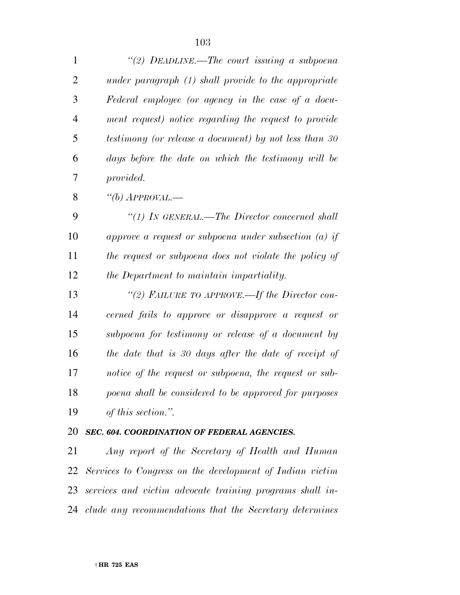*''(2) DEADLINE.—The court issuing a subpoena under paragraph (1) shall provide to the appropriate Federal employee (or agency in the case of a docu- ment request) notice regarding the request to provide testimony (or release a document) by not less than 30 days before the date on which the testimony will be provided.* 

*''(b) APPROVAL.—* 

 *''(1) IN GENERAL.—The Director concerned shall approve a request or subpoena under subsection (a) if the request or subpoena does not violate the policy of the Department to maintain impartiality.* 

 *''(2) FAILURE TO APPROVE.—If the Director con- cerned fails to approve or disapprove a request or subpoena for testimony or release of a document by the date that is 30 days after the date of receipt of notice of the request or subpoena, the request or sub- poena shall be considered to be approved for purposes of this section.''.* 

#### *SEC. 604. COORDINATION OF FEDERAL AGENCIES.*

 *Any report of the Secretary of Health and Human Services to Congress on the development of Indian victim services and victim advocate training programs shall in-clude any recommendations that the Secretary determines*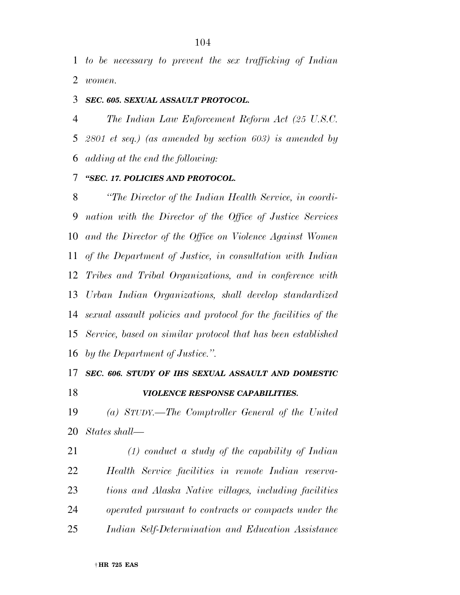*to be necessary to prevent the sex trafficking of Indian women.* 

#### *SEC. 605. SEXUAL ASSAULT PROTOCOL.*

 *The Indian Law Enforcement Reform Act (25 U.S.C. 2801 et seq.) (as amended by section 603) is amended by adding at the end the following:* 

#### *''SEC. 17. POLICIES AND PROTOCOL.*

 *''The Director of the Indian Health Service, in coordi- nation with the Director of the Office of Justice Services and the Director of the Office on Violence Against Women of the Department of Justice, in consultation with Indian Tribes and Tribal Organizations, and in conference with Urban Indian Organizations, shall develop standardized sexual assault policies and protocol for the facilities of the Service, based on similar protocol that has been established by the Department of Justice.''.* 

### *SEC. 606. STUDY OF IHS SEXUAL ASSAULT AND DOMESTIC VIOLENCE RESPONSE CAPABILITIES.*

 *(a) STUDY.—The Comptroller General of the United States shall—* 

 *(1) conduct a study of the capability of Indian Health Service facilities in remote Indian reserva- tions and Alaska Native villages, including facilities operated pursuant to contracts or compacts under the Indian Self-Determination and Education Assistance*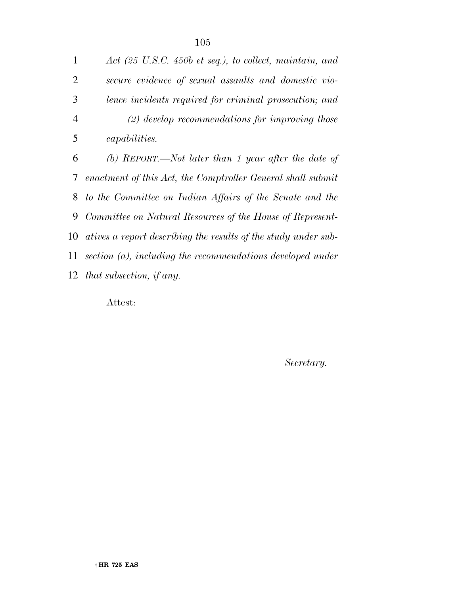*Act (25 U.S.C. 450b et seq.), to collect, maintain, and secure evidence of sexual assaults and domestic vio- lence incidents required for criminal prosecution; and (2) develop recommendations for improving those capabilities. (b) REPORT.—Not later than 1 year after the date of enactment of this Act, the Comptroller General shall submit to the Committee on Indian Affairs of the Senate and the Committee on Natural Resources of the House of Represent- atives a report describing the results of the study under sub- section (a), including the recommendations developed under that subsection, if any.* 

Attest:

*Secretary.*